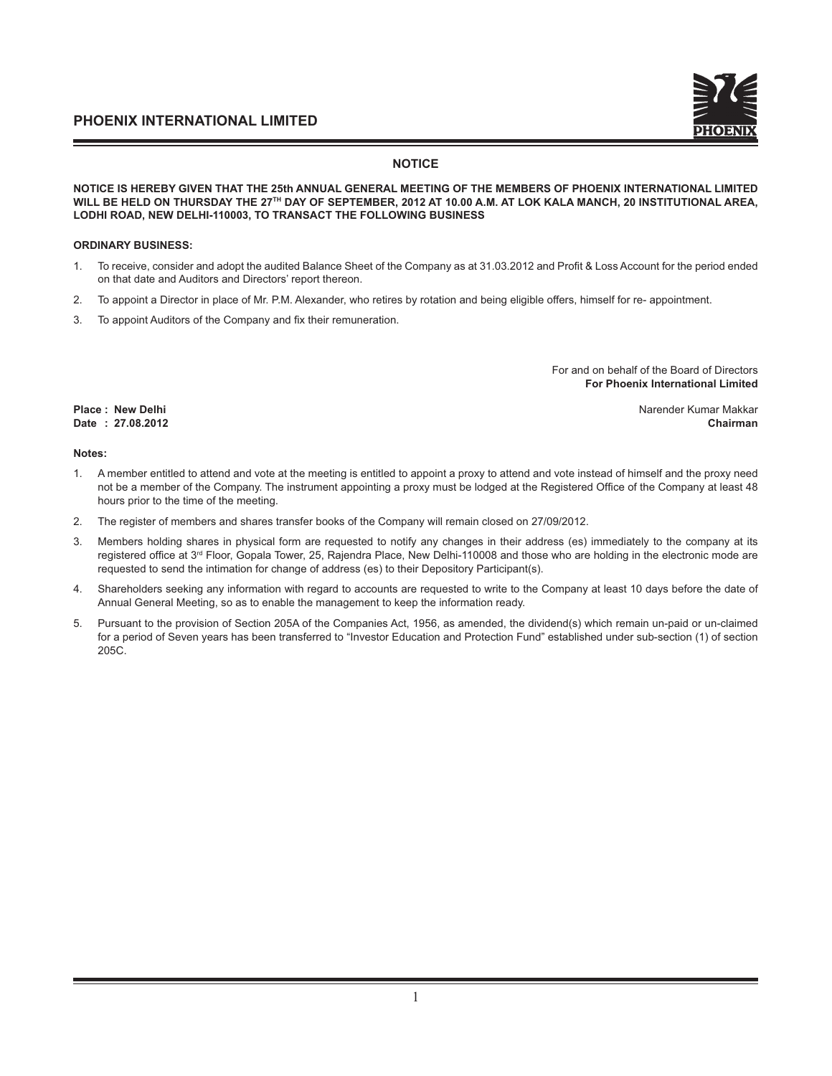#### **NOTICE**

#### **NOTICE IS HEREBY GIVEN THAT THE 25th ANNUAL GENERAL MEETING OF THE MEMBERS OF PHOENIX INTERNATIONAL LIMITED WILL BE HELD ON THURSDAY THE 27TH DAY OF SEPTEMBER, 2012 AT 10.00 A.M. AT LOK KALA MANCH, 20 INSTITUTIONAL AREA, LODHI ROAD, NEW DELHI-110003, TO TRANSACT THE FOLLOWING BUSINESS**

#### **ORDINARY BUSINESS:**

- 1. To receive, consider and adopt the audited Balance Sheet of the Company as at 31.03.2012 and Profit & Loss Account for the period ended on that date and Auditors and Directors' report thereon.
- 2. To appoint a Director in place of Mr. P.M. Alexander, who retires by rotation and being eligible offers, himself for re- appointment.
- 3. To appoint Auditors of the Company and fix their remuneration.

For and on behalf of the Board of Directors **For Phoenix International Limited** 

**Place : New Delhi Narender Kumar Makkar Narender Kumar Makkar Narender Kumar Makkar Narender Kumar Makkar Date : 27.08.2012 Chairman**

#### **Notes:**

- 1. A member entitled to attend and vote at the meeting is entitled to appoint a proxy to attend and vote instead of himself and the proxy need not be a member of the Company. The instrument appointing a proxy must be lodged at the Registered Office of the Company at least 48 hours prior to the time of the meeting.
- 2. The register of members and shares transfer books of the Company will remain closed on 27/09/2012.
- 3. Members holding shares in physical form are requested to notify any changes in their address (es) immediately to the company at its registered office at 3<sup>rd</sup> Floor, Gopala Tower, 25, Rajendra Place, New Delhi-110008 and those who are holding in the electronic mode are requested to send the intimation for change of address (es) to their Depository Participant(s).
- 4. Shareholders seeking any information with regard to accounts are requested to write to the Company at least 10 days before the date of Annual General Meeting, so as to enable the management to keep the information ready.
- 5. Pursuant to the provision of Section 205A of the Companies Act, 1956, as amended, the dividend(s) which remain un-paid or un-claimed for a period of Seven years has been transferred to "Investor Education and Protection Fund" established under sub-section (1) of section 205C.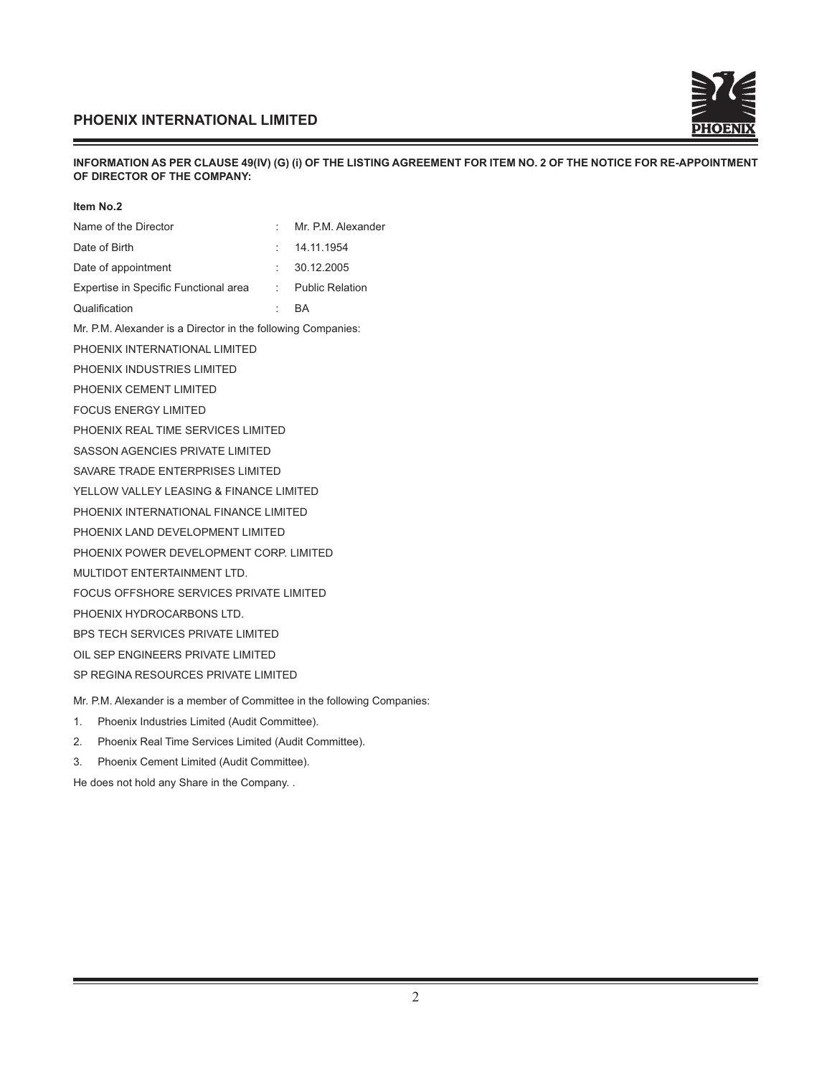

#### **INFORMATION AS PER CLAUSE 49(IV) (G) (i) OF THE LISTING AGREEMENT FOR ITEM NO. 2 OF THE NOTICE FOR RE-APPOINTMENT OF DIRECTOR OF THE COMPANY:**

| Item No.2                                                               |                  |                    |
|-------------------------------------------------------------------------|------------------|--------------------|
| Name of the Director                                                    | ÷                | Mr. P.M. Alexander |
| Date of Birth                                                           |                  | 14.11.1954         |
| Date of appointment                                                     |                  | : 30.12.2005       |
| Expertise in Specific Functional area : Public Relation                 |                  |                    |
| Qualification                                                           | <b>Participa</b> | BA                 |
| Mr. P.M. Alexander is a Director in the following Companies:            |                  |                    |
| PHOENIX INTERNATIONAL LIMITED                                           |                  |                    |
| PHOENIX INDUSTRIES LIMITED                                              |                  |                    |
| PHOENIX CEMENT LIMITED                                                  |                  |                    |
| <b>FOCUS ENERGY LIMITED</b>                                             |                  |                    |
| PHOENIX REAL TIME SERVICES LIMITED                                      |                  |                    |
| SASSON AGENCIES PRIVATE LIMITED                                         |                  |                    |
| SAVARE TRADE ENTERPRISES LIMITED                                        |                  |                    |
| YELLOW VALLEY LEASING & FINANCE LIMITED                                 |                  |                    |
| PHOENIX INTERNATIONAL FINANCE LIMITED                                   |                  |                    |
| PHOENIX LAND DEVELOPMENT LIMITED                                        |                  |                    |
| PHOENIX POWER DEVELOPMENT CORP. LIMITED                                 |                  |                    |
| MULTIDOT ENTERTAINMENT LTD.                                             |                  |                    |
| FOCUS OFFSHORE SERVICES PRIVATE LIMITED                                 |                  |                    |
| PHOENIX HYDROCARBONS LTD.                                               |                  |                    |
| BPS TECH SERVICES PRIVATE LIMITED                                       |                  |                    |
| OIL SEP ENGINEERS PRIVATE LIMITED                                       |                  |                    |
| SP REGINA RESOURCES PRIVATE LIMITED                                     |                  |                    |
| Mr. P.M. Alexander is a member of Committee in the following Companies: |                  |                    |
| Phoenix Industries Limited (Audit Committee).<br>1.                     |                  |                    |

- 2. Phoenix Real Time Services Limited (Audit Committee).
- 3. Phoenix Cement Limited (Audit Committee).

He does not hold any Share in the Company. .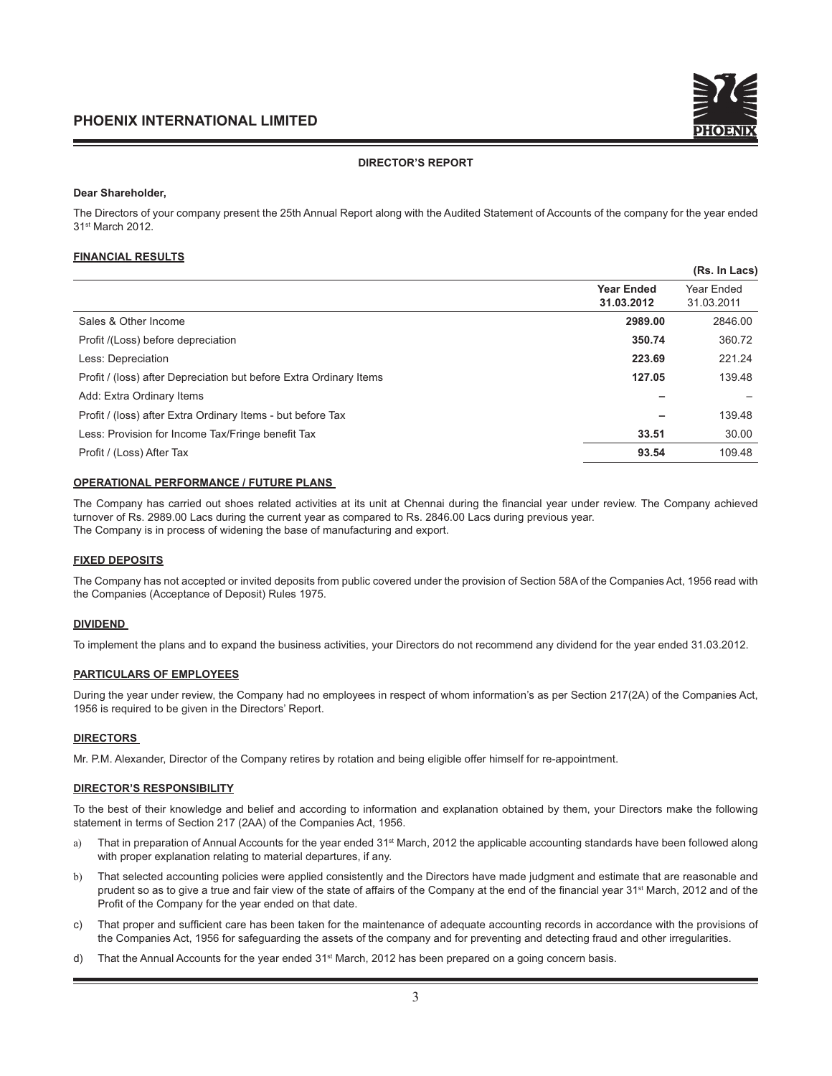#### **DIRECTOR'S REPORT**

#### **Dear Shareholder,**

The Directors of your company present the 25th Annual Report along with the Audited Statement of Accounts of the company for the year ended 31st March 2012.

#### **FINANCIAL RESULTS**

|                                                                    |                                 | (Rs. In Lacs)            |
|--------------------------------------------------------------------|---------------------------------|--------------------------|
|                                                                    | <b>Year Ended</b><br>31.03.2012 | Year Ended<br>31.03.2011 |
| Sales & Other Income                                               | 2989.00                         | 2846.00                  |
| Profit /(Loss) before depreciation                                 | 350.74                          | 360.72                   |
| Less: Depreciation                                                 | 223.69                          | 221.24                   |
| Profit / (loss) after Depreciation but before Extra Ordinary Items | 127.05                          | 139.48                   |
| Add: Extra Ordinary Items                                          |                                 |                          |
| Profit / (loss) after Extra Ordinary Items - but before Tax        |                                 | 139.48                   |
| Less: Provision for Income Tax/Fringe benefit Tax                  | 33.51                           | 30.00                    |
| Profit / (Loss) After Tax                                          | 93.54                           | 109.48                   |

#### **OPERATIONAL PERFORMANCE / FUTURE PLANS**

The Company has carried out shoes related activities at its unit at Chennai during the financial year under review. The Company achieved turnover of Rs. 2989.00 Lacs during the current year as compared to Rs. 2846.00 Lacs during previous year. The Company is in process of widening the base of manufacturing and export.

#### **FIXED DEPOSITS**

The Company has not accepted or invited deposits from public covered under the provision of Section 58A of the Companies Act, 1956 read with the Companies (Acceptance of Deposit) Rules 1975.

#### **DIVIDEND**

To implement the plans and to expand the business activities, your Directors do not recommend any dividend for the year ended 31.03.2012.

#### **PARTICULARS OF EMPLOYEES**

During the year under review, the Company had no employees in respect of whom information's as per Section 217(2A) of the Companies Act, 1956 is required to be given in the Directors' Report.

#### **DIRECTORS**

Mr. P.M. Alexander, Director of the Company retires by rotation and being eligible offer himself for re-appointment.

#### **DIRECTOR'S RESPONSIBILITY**

To the best of their knowledge and belief and according to information and explanation obtained by them, your Directors make the following statement in terms of Section 217 (2AA) of the Companies Act, 1956.

- a) That in preparation of Annual Accounts for the year ended 31<sup>st</sup> March, 2012 the applicable accounting standards have been followed along with proper explanation relating to material departures, if any.
- b) That selected accounting policies were applied consistently and the Directors have made judgment and estimate that are reasonable and prudent so as to give a true and fair view of the state of affairs of the Company at the end of the financial year 31<sup>st</sup> March, 2012 and of the Profit of the Company for the year ended on that date.
- c) That proper and sufficient care has been taken for the maintenance of adequate accounting records in accordance with the provisions of the Companies Act, 1956 for safeguarding the assets of the company and for preventing and detecting fraud and other irregularities.
- d) That the Annual Accounts for the year ended 31<sup>st</sup> March, 2012 has been prepared on a going concern basis.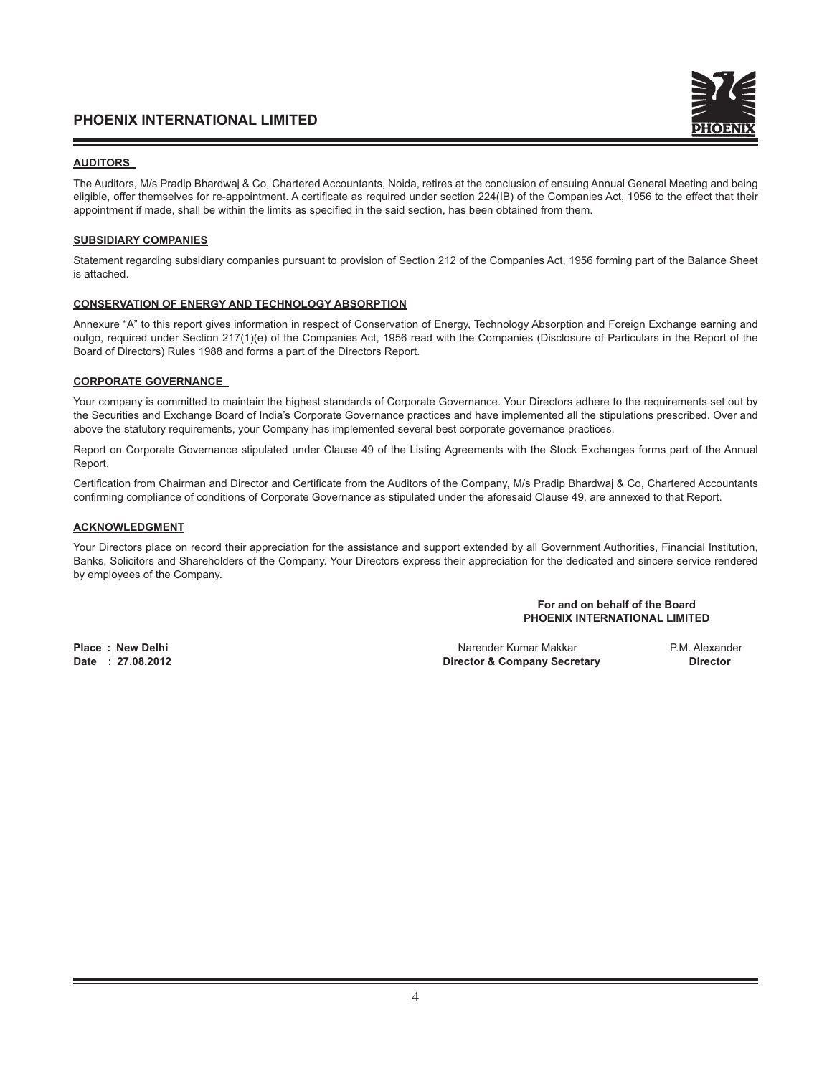#### **AUDITORS**

The Auditors, M/s Pradip Bhardwaj & Co, Chartered Accountants, Noida, retires at the conclusion of ensuing Annual General Meeting and being eligible, offer themselves for re-appointment. A certificate as required under section 224(IB) of the Companies Act, 1956 to the effect that their appointment if made, shall be within the limits as specified in the said section, has been obtained from them.

#### **SUBSIDIARY COMPANIES**

Statement regarding subsidiary companies pursuant to provision of Section 212 of the Companies Act, 1956 forming part of the Balance Sheet is attached.

#### **CONSERVATION OF ENERGY AND TECHNOLOGY ABSORPTION**

Annexure "A" to this report gives information in respect of Conservation of Energy, Technology Absorption and Foreign Exchange earning and outgo, required under Section 217(1)(e) of the Companies Act, 1956 read with the Companies (Disclosure of Particulars in the Report of the Board of Directors) Rules 1988 and forms a part of the Directors Report.

#### **CORPORATE GOVERNANCE**

Your company is committed to maintain the highest standards of Corporate Governance. Your Directors adhere to the requirements set out by the Securities and Exchange Board of India's Corporate Governance practices and have implemented all the stipulations prescribed. Over and above the statutory requirements, your Company has implemented several best corporate governance practices.

Report on Corporate Governance stipulated under Clause 49 of the Listing Agreements with the Stock Exchanges forms part of the Annual Report.

Certification from Chairman and Director and Certificate from the Auditors of the Company, M/s Pradip Bhardwaj & Co, Chartered Accountants confirming compliance of conditions of Corporate Governance as stipulated under the aforesaid Clause 49, are annexed to that Report.

#### **ACKNOWLEDGMENT**

Your Directors place on record their appreciation for the assistance and support extended by all Government Authorities, Financial Institution, Banks, Solicitors and Shareholders of the Company. Your Directors express their appreciation for the dedicated and sincere service rendered by employees of the Company.

#### **For and on behalf of the Board PHOENIX INTERNATIONAL LIMITED**

**Place : New Delhi** Narender Kumar Makkar P.M. Alexander **Director & Company Secretary**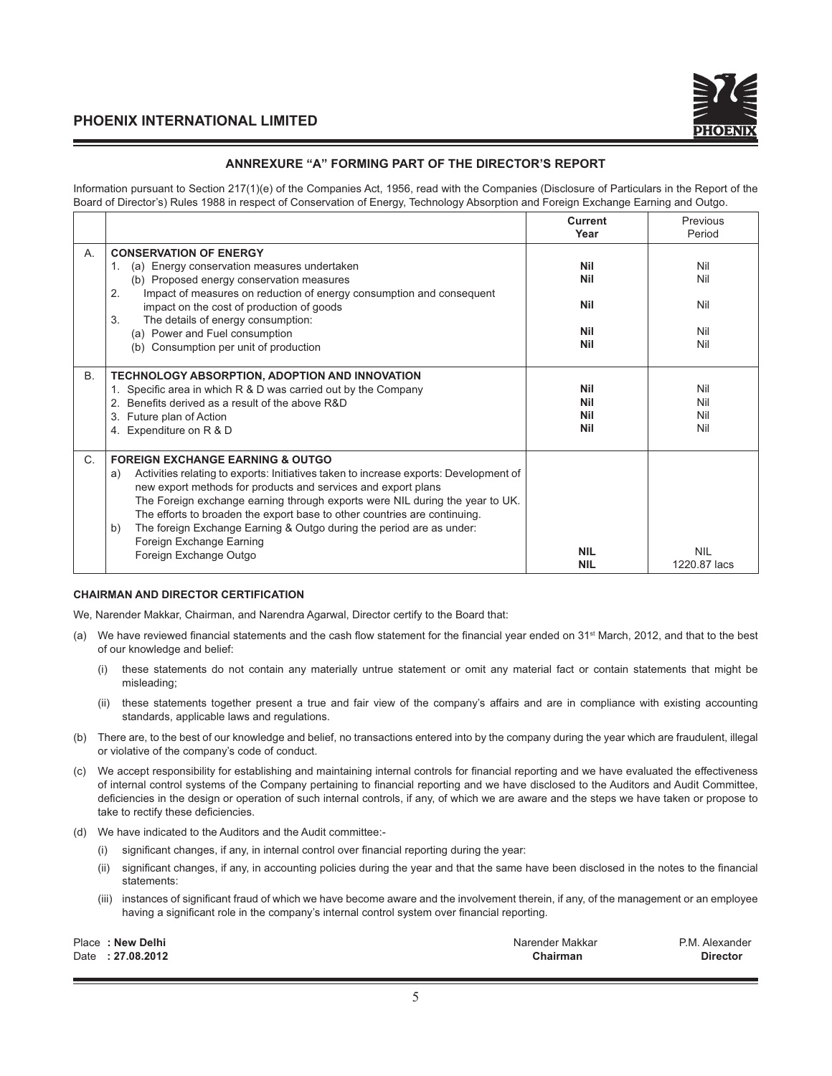

#### **ANNREXURE "A" FORMING PART OF THE DIRECTOR'S REPORT**

Information pursuant to Section 217(1)(e) of the Companies Act, 1956, read with the Companies (Disclosure of Particulars in the Report of the Board of Director's) Rules 1988 in respect of Conservation of Energy, Technology Absorption and Foreign Exchange Earning and Outgo.

|             |                                                                                                                                                                                                                                                                                                                                                                                                                                                                                                              | <b>Current</b><br>Year                        | Previous<br>Period              |
|-------------|--------------------------------------------------------------------------------------------------------------------------------------------------------------------------------------------------------------------------------------------------------------------------------------------------------------------------------------------------------------------------------------------------------------------------------------------------------------------------------------------------------------|-----------------------------------------------|---------------------------------|
| А.          | <b>CONSERVATION OF ENERGY</b><br>(a) Energy conservation measures undertaken<br>$\mathbf{1}$ .<br>(b) Proposed energy conservation measures<br>Impact of measures on reduction of energy consumption and consequent<br>2.<br>impact on the cost of production of goods<br>3.<br>The details of energy consumption:<br>(a) Power and Fuel consumption<br>Consumption per unit of production<br>(b)                                                                                                            | Nil<br><b>Nil</b><br>Nil<br><b>Nil</b><br>Nil | Nil<br>Nil<br>Nil<br>Nil<br>Nil |
| <b>B.</b>   | TECHNOLOGY ABSORPTION, ADOPTION AND INNOVATION<br>1. Specific area in which R & D was carried out by the Company<br>2. Benefits derived as a result of the above R&D<br>Future plan of Action<br>3.<br>4. Expenditure on R & D                                                                                                                                                                                                                                                                               | Nil<br>Nil<br>Nil<br><b>Nil</b>               | Nil<br>Nil<br>Nil<br>Nil        |
| $C_{\cdot}$ | <b>FOREIGN EXCHANGE EARNING &amp; OUTGO</b><br>Activities relating to exports: Initiatives taken to increase exports: Development of<br>a)<br>new export methods for products and services and export plans<br>The Foreign exchange earning through exports were NIL during the year to UK.<br>The efforts to broaden the export base to other countries are continuing.<br>The foreign Exchange Earning & Outgo during the period are as under:<br>b)<br>Foreign Exchange Earning<br>Foreign Exchange Outgo | <b>NIL</b><br><b>NIL</b>                      | <b>NIL</b><br>1220.87 lacs      |

#### **CHAIRMAN AND DIRECTOR CERTIFICATION**

We, Narender Makkar, Chairman, and Narendra Agarwal, Director certify to the Board that:

- (a) We have reviewed financial statements and the cash flow statement for the financial year ended on  $31<sup>st</sup>$  March, 2012, and that to the best of our knowledge and belief:
	- (i) these statements do not contain any materially untrue statement or omit any material fact or contain statements that might be misleading;
	- (ii) these statements together present a true and fair view of the company's affairs and are in compliance with existing accounting standards, applicable laws and regulations.
- (b) There are, to the best of our knowledge and belief, no transactions entered into by the company during the year which are fraudulent, illegal or violative of the company's code of conduct.
- (c) We accept responsibility for establishing and maintaining internal controls for fi nancial reporting and we have evaluated the effectiveness of internal control systems of the Company pertaining to financial reporting and we have disclosed to the Auditors and Audit Committee, deficiencies in the design or operation of such internal controls, if any, of which we are aware and the steps we have taken or propose to take to rectify these deficiencies.
- (d) We have indicated to the Auditors and the Audit committee:-
	- $(i)$  significant changes, if any, in internal control over financial reporting during the year:
	- (ii) significant changes, if any, in accounting policies during the year and that the same have been disclosed in the notes to the financial statements:
	- (iii) instances of significant fraud of which we have become aware and the involvement therein, if any, of the management or an employee having a significant role in the company's internal control system over financial reporting.

| Place: New Delhi | Narender Makkar | P.M. Alexander  |
|------------------|-----------------|-----------------|
| Date: 27.08.2012 | Chairman        | <b>Director</b> |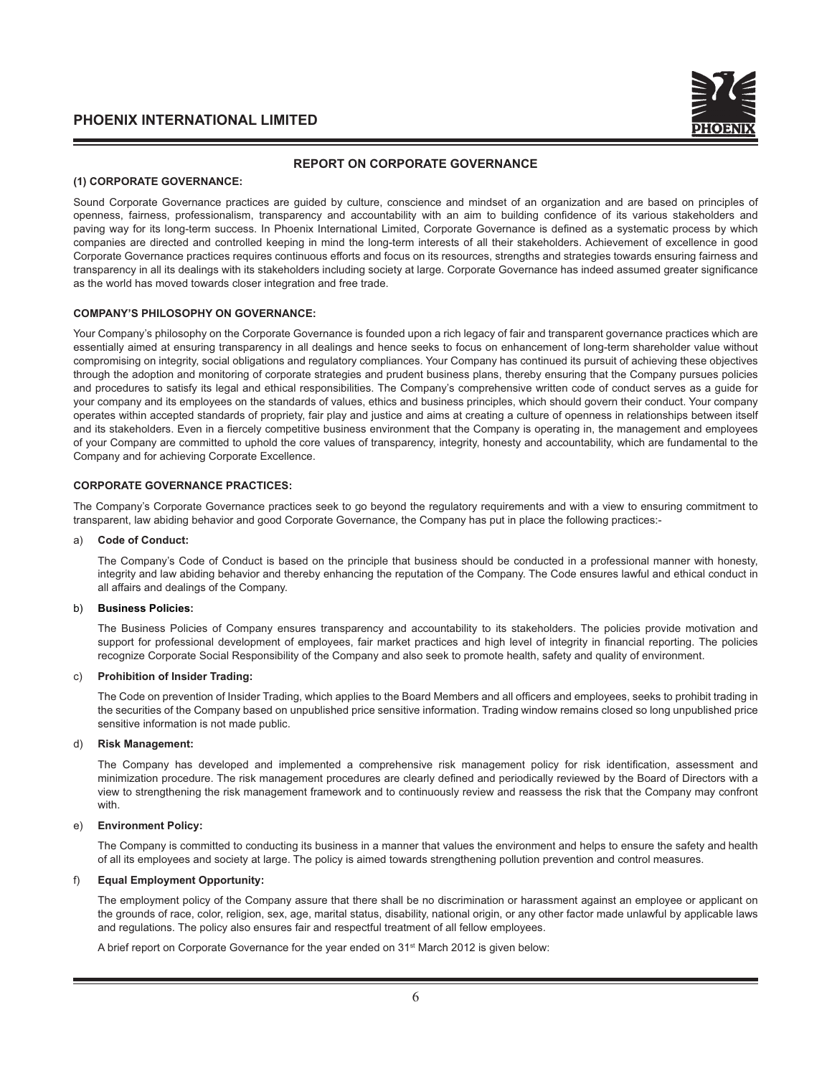

#### **REPORT ON CORPORATE GOVERNANCE**

#### **(1) CORPORATE GOVERNANCE:**

Sound Corporate Governance practices are guided by culture, conscience and mindset of an organization and are based on principles of openness, fairness, professionalism, transparency and accountability with an aim to building confidence of its various stakeholders and paving way for its long-term success. In Phoenix International Limited, Corporate Governance is defined as a systematic process by which companies are directed and controlled keeping in mind the long-term interests of all their stakeholders. Achievement of excellence in good Corporate Governance practices requires continuous efforts and focus on its resources, strengths and strategies towards ensuring fairness and transparency in all its dealings with its stakeholders including society at large. Corporate Governance has indeed assumed greater significance as the world has moved towards closer integration and free trade.

#### **COMPANY'S PHILOSOPHY ON GOVERNANCE:**

Your Company's philosophy on the Corporate Governance is founded upon a rich legacy of fair and transparent governance practices which are essentially aimed at ensuring transparency in all dealings and hence seeks to focus on enhancement of long-term shareholder value without compromising on integrity, social obligations and regulatory compliances. Your Company has continued its pursuit of achieving these objectives through the adoption and monitoring of corporate strategies and prudent business plans, thereby ensuring that the Company pursues policies and procedures to satisfy its legal and ethical responsibilities. The Company's comprehensive written code of conduct serves as a guide for your company and its employees on the standards of values, ethics and business principles, which should govern their conduct. Your company operates within accepted standards of propriety, fair play and justice and aims at creating a culture of openness in relationships between itself and its stakeholders. Even in a fiercely competitive business environment that the Company is operating in, the management and employees of your Company are committed to uphold the core values of transparency, integrity, honesty and accountability, which are fundamental to the Company and for achieving Corporate Excellence.

#### **CORPORATE GOVERNANCE PRACTICES:**

The Company's Corporate Governance practices seek to go beyond the regulatory requirements and with a view to ensuring commitment to transparent, law abiding behavior and good Corporate Governance, the Company has put in place the following practices:-

#### a) **Code of Conduct:**

 The Company's Code of Conduct is based on the principle that business should be conducted in a professional manner with honesty, integrity and law abiding behavior and thereby enhancing the reputation of the Company. The Code ensures lawful and ethical conduct in all affairs and dealings of the Company.

#### b) **Business Policies:**

 The Business Policies of Company ensures transparency and accountability to its stakeholders. The policies provide motivation and support for professional development of employees, fair market practices and high level of integrity in financial reporting. The policies recognize Corporate Social Responsibility of the Company and also seek to promote health, safety and quality of environment.

#### c) **Prohibition of Insider Trading:**

The Code on prevention of Insider Trading, which applies to the Board Members and all officers and employees, seeks to prohibit trading in the securities of the Company based on unpublished price sensitive information. Trading window remains closed so long unpublished price sensitive information is not made public.

#### d) **Risk Management:**

The Company has developed and implemented a comprehensive risk management policy for risk identification, assessment and minimization procedure. The risk management procedures are clearly defined and periodically reviewed by the Board of Directors with a view to strengthening the risk management framework and to continuously review and reassess the risk that the Company may confront with.

#### e) **Environment Policy:**

 The Company is committed to conducting its business in a manner that values the environment and helps to ensure the safety and health of all its employees and society at large. The policy is aimed towards strengthening pollution prevention and control measures.

#### f) **Equal Employment Opportunity:**

 The employment policy of the Company assure that there shall be no discrimination or harassment against an employee or applicant on the grounds of race, color, religion, sex, age, marital status, disability, national origin, or any other factor made unlawful by applicable laws and regulations. The policy also ensures fair and respectful treatment of all fellow employees.

A brief report on Corporate Governance for the year ended on 31st March 2012 is given below: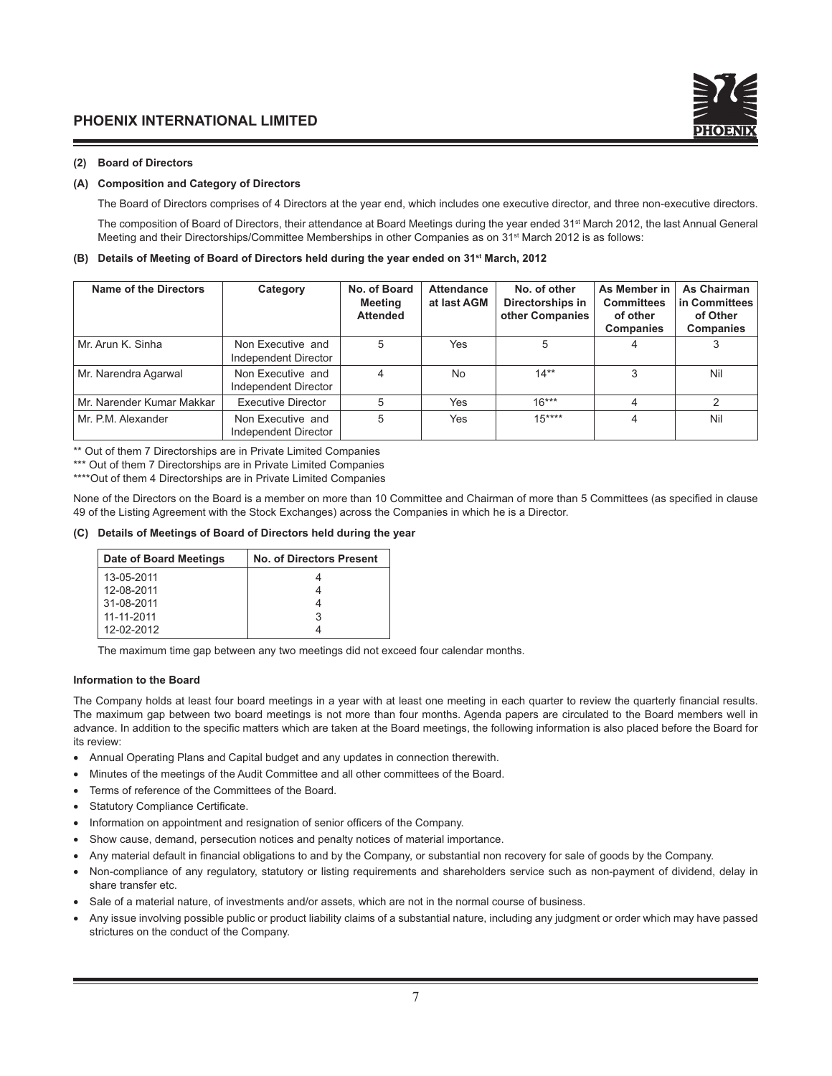#### **(2) Board of Directors**

#### **(A) Composition and Category of Directors**

The Board of Directors comprises of 4 Directors at the year end, which includes one executive director, and three non-executive directors.

The composition of Board of Directors, their attendance at Board Meetings during the year ended 31<sup>st</sup> March 2012, the last Annual General Meeting and their Directorships/Committee Memberships in other Companies as on 31<sup>st</sup> March 2012 is as follows:

#### **(B) Details of Meeting of Board of Directors held during the year ended on 31st March, 2012**

| Name of the Directors     | Category                                  | No. of Board<br>Meeting<br><b>Attended</b> | Attendance<br>at last AGM | No. of other<br>Directorships in<br>other Companies | As Member in<br><b>Committees</b><br>of other<br><b>Companies</b> | As Chairman<br>in Committees<br>of Other<br><b>Companies</b> |
|---------------------------|-------------------------------------------|--------------------------------------------|---------------------------|-----------------------------------------------------|-------------------------------------------------------------------|--------------------------------------------------------------|
| Mr. Arun K. Sinha         | Non Executive and<br>Independent Director | 5                                          | Yes                       | 5                                                   |                                                                   |                                                              |
| Mr. Narendra Agarwal      | Non Executive and<br>Independent Director | 4                                          | <b>No</b>                 | $14**$                                              | 3                                                                 | Nil                                                          |
| Mr. Narender Kumar Makkar | Executive Director                        | 5                                          | Yes                       | $16***$                                             |                                                                   | 2                                                            |
| Mr. P.M. Alexander        | Non Executive and<br>Independent Director | 5                                          | Yes                       | $15***$                                             |                                                                   | Nil                                                          |

\*\* Out of them 7 Directorships are in Private Limited Companies

\*\*\* Out of them 7 Directorships are in Private Limited Companies

\*\*\*\*Out of them 4 Directorships are in Private Limited Companies

None of the Directors on the Board is a member on more than 10 Committee and Chairman of more than 5 Committees (as specified in clause 49 of the Listing Agreement with the Stock Exchanges) across the Companies in which he is a Director.

#### **(C) Details of Meetings of Board of Directors held during the year**

| Date of Board Meetings | No. of Directors Present |
|------------------------|--------------------------|
| 13-05-2011             |                          |
| 12-08-2011             |                          |
| 31-08-2011             |                          |
| 11-11-2011             | З                        |
| 12-02-2012             |                          |

The maximum time gap between any two meetings did not exceed four calendar months.

#### **Information to the Board**

The Company holds at least four board meetings in a year with at least one meeting in each quarter to review the quarterly financial results. The maximum gap between two board meetings is not more than four months. Agenda papers are circulated to the Board members well in advance. In addition to the specific matters which are taken at the Board meetings, the following information is also placed before the Board for its review:

- Annual Operating Plans and Capital budget and any updates in connection therewith.
- Minutes of the meetings of the Audit Committee and all other committees of the Board.
- Terms of reference of the Committees of the Board.
- Statutory Compliance Certificate.
- Information on appointment and resignation of senior officers of the Company.
- Show cause, demand, persecution notices and penalty notices of material importance.
- Any material default in financial obligations to and by the Company, or substantial non recovery for sale of goods by the Company.
- Non-compliance of any regulatory, statutory or listing requirements and shareholders service such as non-payment of dividend, delay in share transfer etc.
- Sale of a material nature, of investments and/or assets, which are not in the normal course of business.
- Any issue involving possible public or product liability claims of a substantial nature, including any judgment or order which may have passed strictures on the conduct of the Company.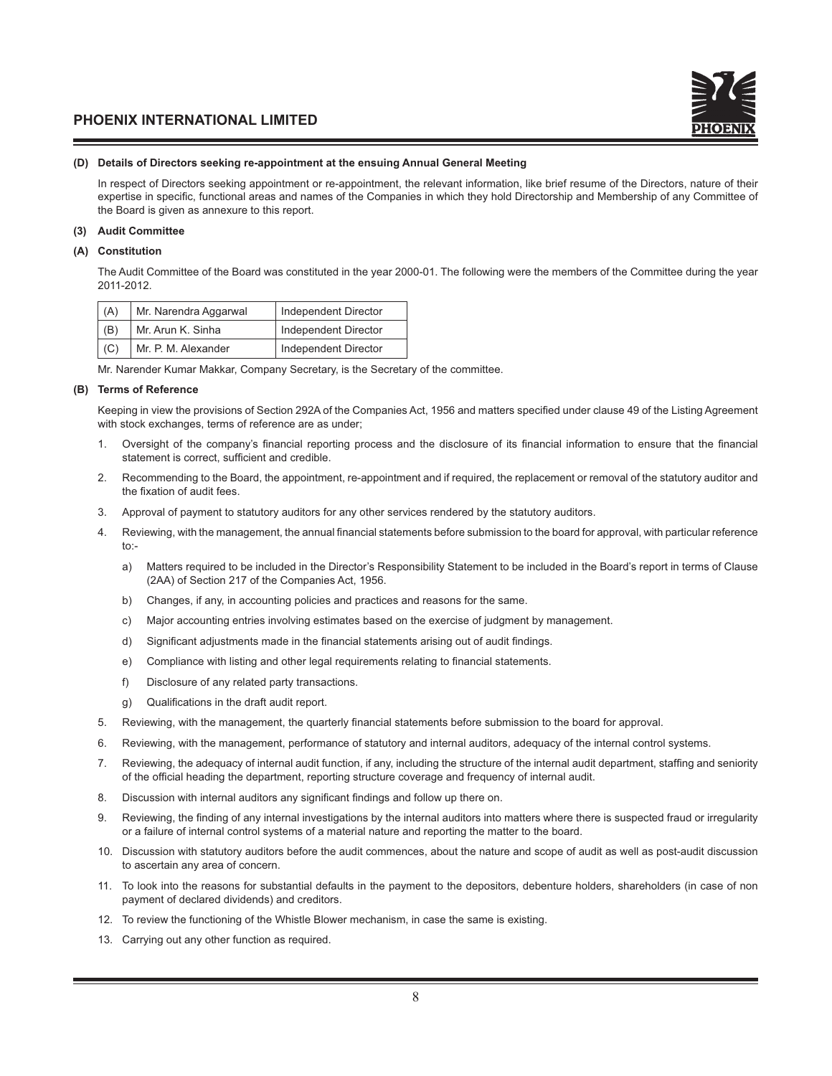#### **(D) Details of Directors seeking re-appointment at the ensuing Annual General Meeting**

In respect of Directors seeking appointment or re-appointment, the relevant information, like brief resume of the Directors, nature of their expertise in specific, functional areas and names of the Companies in which they hold Directorship and Membership of any Committee of the Board is given as annexure to this report.

#### **(3) Audit Committee**

#### **(A) Constitution**

The Audit Committee of the Board was constituted in the year 2000-01. The following were the members of the Committee during the year 2011-2012.

| (A) | Mr. Narendra Aggarwal | Independent Director |
|-----|-----------------------|----------------------|
| (B) | Mr. Arun K. Sinha     | Independent Director |
| (C) | Mr. P. M. Alexander   | Independent Director |

Mr. Narender Kumar Makkar, Company Secretary, is the Secretary of the committee.

#### **(B) Terms of Reference**

Keeping in view the provisions of Section 292A of the Companies Act, 1956 and matters specified under clause 49 of the Listing Agreement with stock exchanges, terms of reference are as under;

- 1. Oversight of the company's financial reporting process and the disclosure of its financial information to ensure that the financial statement is correct, sufficient and credible.
- 2. Recommending to the Board, the appointment, re-appointment and if required, the replacement or removal of the statutory auditor and the fixation of audit fees.
- 3. Approval of payment to statutory auditors for any other services rendered by the statutory auditors.
- 4. Reviewing, with the management, the annual financial statements before submission to the board for approval, with particular reference to:
	- a) Matters required to be included in the Director's Responsibility Statement to be included in the Board's report in terms of Clause (2AA) of Section 217 of the Companies Act, 1956.
	- b) Changes, if any, in accounting policies and practices and reasons for the same.
	- c) Major accounting entries involving estimates based on the exercise of judgment by management.
	- d) Significant adjustments made in the financial statements arising out of audit findings.
	- e) Compliance with listing and other legal requirements relating to financial statements.
	- f) Disclosure of any related party transactions.
	- g) Qualifications in the draft audit report.
- 5. Reviewing, with the management, the quarterly financial statements before submission to the board for approval.
- 6. Reviewing, with the management, performance of statutory and internal auditors, adequacy of the internal control systems.
- 7. Reviewing, the adequacy of internal audit function, if any, including the structure of the internal audit department, staffing and seniority of the official heading the department, reporting structure coverage and frequency of internal audit.
- 8. Discussion with internal auditors any significant findings and follow up there on.
- 9. Reviewing, the finding of any internal investigations by the internal auditors into matters where there is suspected fraud or irregularity or a failure of internal control systems of a material nature and reporting the matter to the board.
- 10. Discussion with statutory auditors before the audit commences, about the nature and scope of audit as well as post-audit discussion to ascertain any area of concern.
- 11. To look into the reasons for substantial defaults in the payment to the depositors, debenture holders, shareholders (in case of non payment of declared dividends) and creditors.
- 12. To review the functioning of the Whistle Blower mechanism, in case the same is existing.
- 13. Carrying out any other function as required.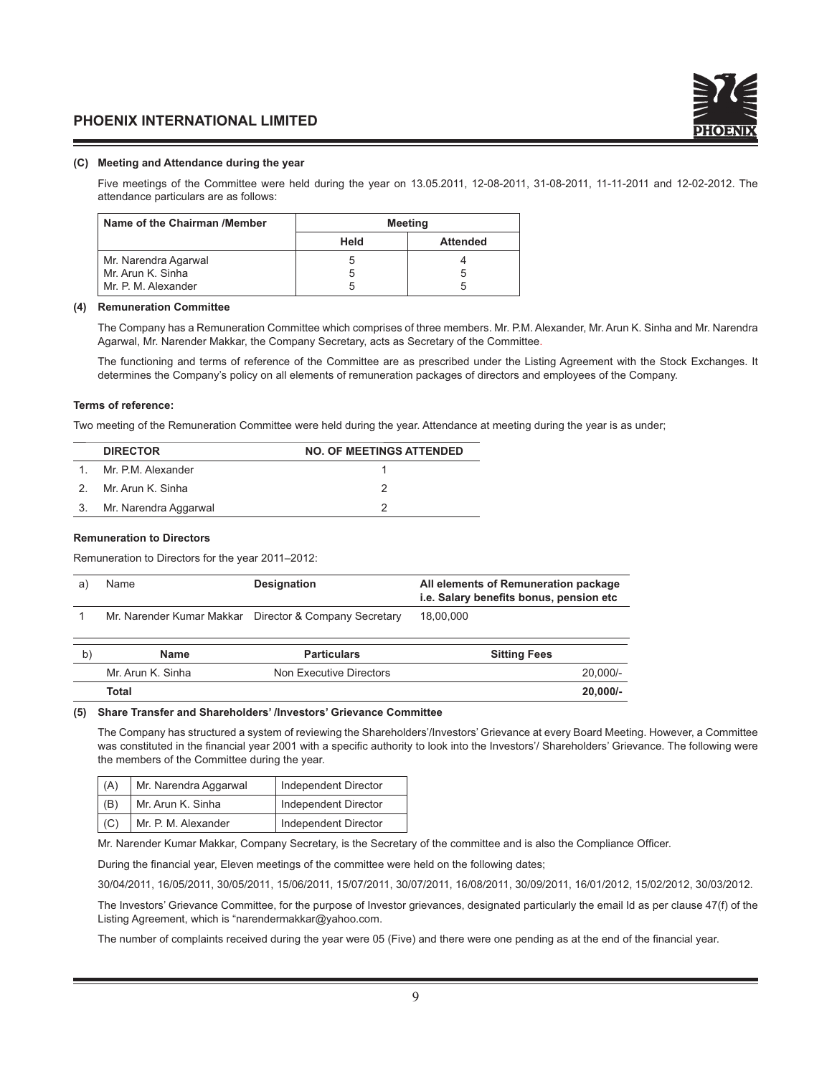#### **(C) Meeting and Attendance during the year**

Five meetings of the Committee were held during the year on 13.05.2011, 12-08-2011, 31-08-2011, 11-11-2011 and 12-02-2012. The attendance particulars are as follows:

| Name of the Chairman /Member | <b>Meeting</b> |                 |
|------------------------------|----------------|-----------------|
|                              | Held           | <b>Attended</b> |
| Mr. Narendra Agarwal         |                |                 |
| Mr. Arun K. Sinha            |                |                 |
| Mr. P. M. Alexander          |                |                 |

#### **(4) Remuneration Committee**

The Company has a Remuneration Committee which comprises of three members. Mr. P.M. Alexander, Mr. Arun K. Sinha and Mr. Narendra Agarwal, Mr. Narender Makkar, the Company Secretary, acts as Secretary of the Committee.

The functioning and terms of reference of the Committee are as prescribed under the Listing Agreement with the Stock Exchanges. It determines the Company's policy on all elements of remuneration packages of directors and employees of the Company.

#### **Terms of reference:**

Two meeting of the Remuneration Committee were held during the year. Attendance at meeting during the year is as under;

| <b>DIRECTOR</b>          | <b>NO. OF MEETINGS ATTENDED</b> |
|--------------------------|---------------------------------|
| 1. Mr. P.M. Alexander    |                                 |
| 2. Mr. Arun K. Sinha     |                                 |
| 3. Mr. Narendra Aggarwal |                                 |

#### **Remuneration to Directors**

Remuneration to Directors for the year 2011–2012:

| a) | Name | <b>Designation</b>                                     | All elements of Remuneration package<br>i.e. Salary benefits bonus, pension etc |
|----|------|--------------------------------------------------------|---------------------------------------------------------------------------------|
|    |      | Mr. Narender Kumar Makkar Director & Company Secretary | 18,00,000                                                                       |

| Name              | <b>Particulars</b>      | <b>Sitting Fees</b> |
|-------------------|-------------------------|---------------------|
| Mr. Arun K. Sinha | Non Executive Directors | $20,000/-$          |
| Total             |                         | 20,000/-            |

#### **(5) Share Transfer and Shareholders' /Investors' Grievance Committee**

 The Company has structured a system of reviewing the Shareholders'/Investors' Grievance at every Board Meeting. However, a Committee was constituted in the financial year 2001 with a specific authority to look into the Investors'/ Shareholders' Grievance. The following were the members of the Committee during the year.

| Mr. Narendra Aggarwal<br>(A) |                     | Independent Director |
|------------------------------|---------------------|----------------------|
| (B)                          | Mr. Arun K. Sinha   | Independent Director |
| (C)                          | Mr. P. M. Alexander | Independent Director |

Mr. Narender Kumar Makkar, Company Secretary, is the Secretary of the committee and is also the Compliance Officer.

During the financial year, Eleven meetings of the committee were held on the following dates;

30/04/2011, 16/05/2011, 30/05/2011, 15/06/2011, 15/07/2011, 30/07/2011, 16/08/2011, 30/09/2011, 16/01/2012, 15/02/2012, 30/03/2012.

 The Investors' Grievance Committee, for the purpose of Investor grievances, designated particularly the email Id as per clause 47(f) of the Listing Agreement, which is "narendermakkar@yahoo.com.

The number of complaints received during the year were 05 (Five) and there were one pending as at the end of the financial year.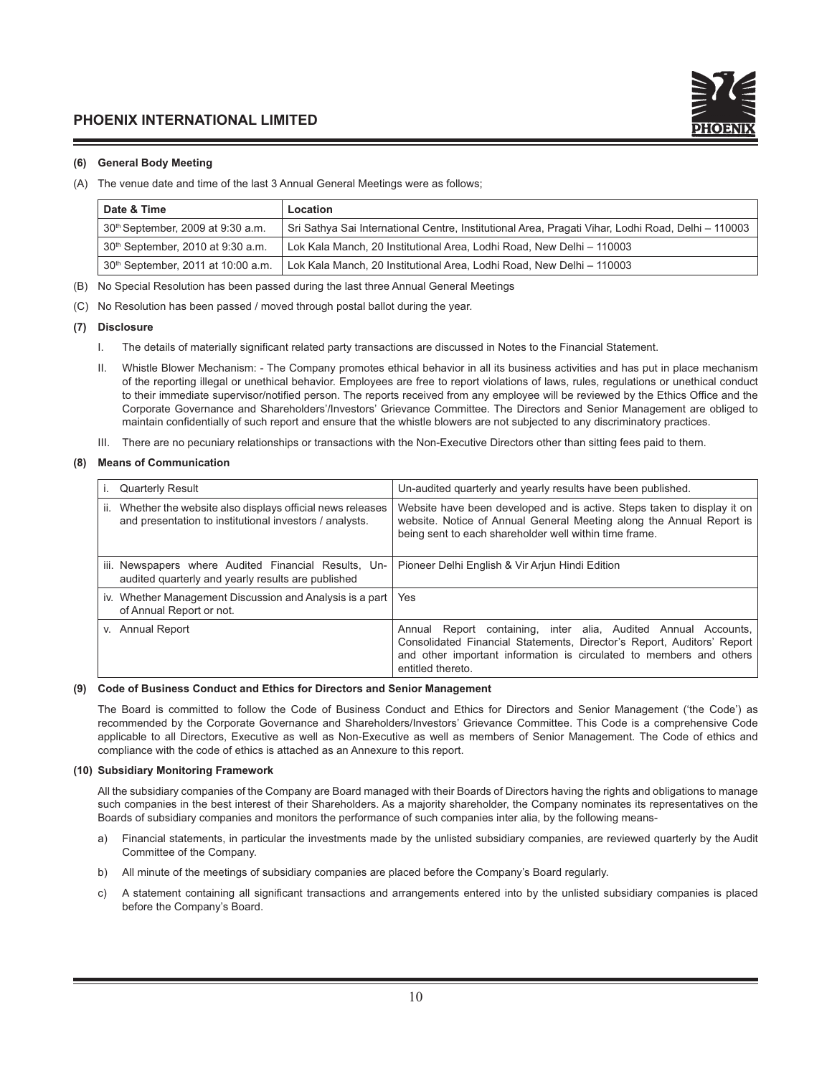

#### **(6) General Body Meeting**

(A) The venue date and time of the last 3 Annual General Meetings were as follows;

| Date & Time                                    | Location                                                                                           |
|------------------------------------------------|----------------------------------------------------------------------------------------------------|
| 30 <sup>th</sup> September, 2009 at 9:30 a.m.  | Sri Sathya Sai International Centre, Institutional Area, Pragati Vihar, Lodhi Road, Delhi - 110003 |
| 30 <sup>th</sup> September, 2010 at 9:30 a.m.  | Lok Kala Manch, 20 Institutional Area, Lodhi Road, New Delhi - 110003                              |
| 30 <sup>th</sup> September, 2011 at 10:00 a.m. | Lok Kala Manch, 20 Institutional Area, Lodhi Road, New Delhi - 110003                              |

- (B) No Special Resolution has been passed during the last three Annual General Meetings
- (C) No Resolution has been passed / moved through postal ballot during the year.

#### **(7) Disclosure**

- I. The details of materially significant related party transactions are discussed in Notes to the Financial Statement.
- II. Whistle Blower Mechanism: The Company promotes ethical behavior in all its business activities and has put in place mechanism of the reporting illegal or unethical behavior. Employees are free to report violations of laws, rules, regulations or unethical conduct to their immediate supervisor/notified person. The reports received from any employee will be reviewed by the Ethics Office and the Corporate Governance and Shareholders'/Investors' Grievance Committee. The Directors and Senior Management are obliged to maintain confidentially of such report and ensure that the whistle blowers are not subjected to any discriminatory practices.
- III. There are no pecuniary relationships or transactions with the Non-Executive Directors other than sitting fees paid to them.

#### **(8) Means of Communication**

| <b>Quarterly Result</b>                                                                                                    | Un-audited quarterly and yearly results have been published.                                                                                                                                                                         |  |  |
|----------------------------------------------------------------------------------------------------------------------------|--------------------------------------------------------------------------------------------------------------------------------------------------------------------------------------------------------------------------------------|--|--|
| Whether the website also displays official news releases<br>ii.<br>and presentation to institutional investors / analysts. | Website have been developed and is active. Steps taken to display it on<br>website. Notice of Annual General Meeting along the Annual Report is<br>being sent to each shareholder well within time frame.                            |  |  |
| iii. Newspapers where Audited Financial Results, Un-<br>audited quarterly and yearly results are published                 | Pioneer Delhi English & Vir Arjun Hindi Edition                                                                                                                                                                                      |  |  |
| iv. Whether Management Discussion and Analysis is a part<br>of Annual Report or not.                                       | Yes                                                                                                                                                                                                                                  |  |  |
| v. Annual Report                                                                                                           | Annual Report containing, inter alia, Audited Annual Accounts,<br>Consolidated Financial Statements, Director's Report, Auditors' Report<br>and other important information is circulated to members and others<br>entitled thereto. |  |  |

#### **(9) Code of Business Conduct and Ethics for Directors and Senior Management**

 The Board is committed to follow the Code of Business Conduct and Ethics for Directors and Senior Management ('the Code') as recommended by the Corporate Governance and Shareholders/Investors' Grievance Committee. This Code is a comprehensive Code applicable to all Directors, Executive as well as Non-Executive as well as members of Senior Management. The Code of ethics and compliance with the code of ethics is attached as an Annexure to this report.

#### **(10) Subsidiary Monitoring Framework**

 All the subsidiary companies of the Company are Board managed with their Boards of Directors having the rights and obligations to manage such companies in the best interest of their Shareholders. As a majority shareholder, the Company nominates its representatives on the Boards of subsidiary companies and monitors the performance of such companies inter alia, by the following means-

- a) Financial statements, in particular the investments made by the unlisted subsidiary companies, are reviewed quarterly by the Audit Committee of the Company.
- b) All minute of the meetings of subsidiary companies are placed before the Company's Board regularly.
- c) A statement containing all significant transactions and arrangements entered into by the unlisted subsidiary companies is placed before the Company's Board.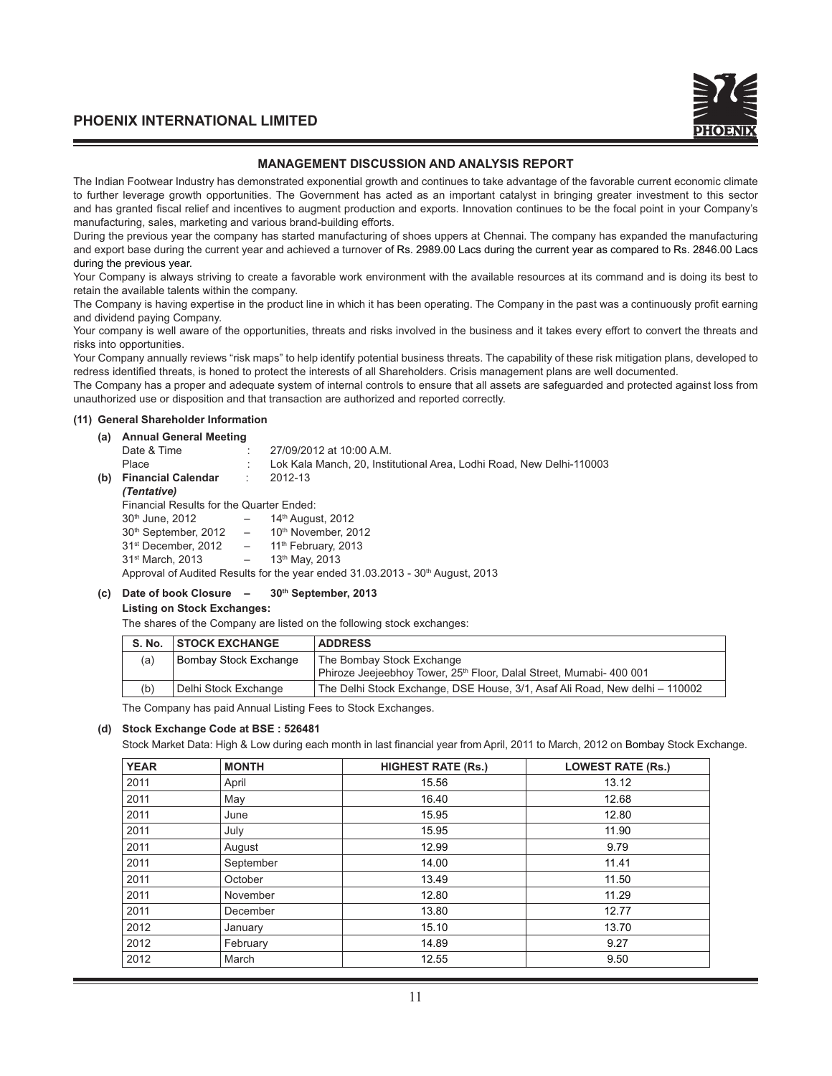#### **MANAGEMENT DISCUSSION AND ANALYSIS REPORT**

The Indian Footwear Industry has demonstrated exponential growth and continues to take advantage of the favorable current economic climate to further leverage growth opportunities. The Government has acted as an important catalyst in bringing greater investment to this sector and has granted fiscal relief and incentives to augment production and exports. Innovation continues to be the focal point in your Company's manufacturing, sales, marketing and various brand-building efforts.

During the previous year the company has started manufacturing of shoes uppers at Chennai. The company has expanded the manufacturing and export base during the current year and achieved a turnover of Rs. 2989.00 Lacs during the current year as compared to Rs. 2846.00 Lacs during the previous year.

Your Company is always striving to create a favorable work environment with the available resources at its command and is doing its best to retain the available talents within the company.

The Company is having expertise in the product line in which it has been operating. The Company in the past was a continuously profit earning and dividend paying Company.

Your company is well aware of the opportunities, threats and risks involved in the business and it takes every effort to convert the threats and risks into opportunities.

Your Company annually reviews "risk maps" to help identify potential business threats. The capability of these risk mitigation plans, developed to redress identified threats, is honed to protect the interests of all Shareholders. Crisis management plans are well documented.

The Company has a proper and adequate system of internal controls to ensure that all assets are safeguarded and protected against loss from unauthorized use or disposition and that transaction are authorized and reported correctly.

#### **(11) General Shareholder Information**

| (a) | <b>Annual General Meeting</b>                              |                                 |                                                                                           |  |  |
|-----|------------------------------------------------------------|---------------------------------|-------------------------------------------------------------------------------------------|--|--|
|     | Date & Time                                                |                                 | 27/09/2012 at 10:00 A.M.                                                                  |  |  |
|     | Place                                                      |                                 | Lok Kala Manch, 20, Institutional Area, Lodhi Road, New Delhi-110003                      |  |  |
| (b) | <b>Financial Calendar</b> :                                |                                 | 2012-13                                                                                   |  |  |
|     | (Tentative)                                                |                                 |                                                                                           |  |  |
|     | Financial Results for the Quarter Ended:                   |                                 |                                                                                           |  |  |
|     | 30 <sup>th</sup> June, 2012                                | $\hspace{0.1mm}-\hspace{0.1mm}$ | 14 <sup>th</sup> August, 2012                                                             |  |  |
|     | $30th$ September, 2012 $-$ 10 <sup>th</sup> November, 2012 |                                 |                                                                                           |  |  |
|     | $31st$ December, 2012 $-$ 11 <sup>th</sup> February, 2013  |                                 |                                                                                           |  |  |
|     | 31 <sup>st</sup> March, 2013                               | $\sim$                          | 13th May, 2013                                                                            |  |  |
|     |                                                            |                                 | Approval of Audited Results for the year ended 31.03.2013 - 30 <sup>th</sup> August, 2013 |  |  |

#### **(c) Date of book Closure – 30th September, 2013**

#### **Listing on Stock Exchanges:**

The shares of the Company are listed on the following stock exchanges:

| S. No. | <b>STOCK EXCHANGE</b> | <b>ADDRESS</b>                                                                  |
|--------|-----------------------|---------------------------------------------------------------------------------|
| (a)    | Bombay Stock Exchange | The Bombay Stock Exchange                                                       |
|        |                       | Phiroze Jeejeebhoy Tower, 25 <sup>th</sup> Floor, Dalal Street, Mumabi- 400 001 |
| (b)    | Delhi Stock Exchange  | The Delhi Stock Exchange, DSE House, 3/1, Asaf Ali Road, New delhi – 110002     |

The Company has paid Annual Listing Fees to Stock Exchanges.

#### **(d) Stock Exchange Code at BSE : 526481**

Stock Market Data: High & Low during each month in last financial year from April, 2011 to March, 2012 on Bombay Stock Exchange.

| <b>YEAR</b> | <b>MONTH</b> | <b>HIGHEST RATE (Rs.)</b> | <b>LOWEST RATE (Rs.)</b> |
|-------------|--------------|---------------------------|--------------------------|
| 2011        | April        | 15.56                     | 13.12                    |
| 2011        | May          | 16.40                     | 12.68                    |
| 2011        | June         | 15.95                     | 12.80                    |
| 2011        | July         | 15.95                     | 11.90                    |
| 2011        | August       | 12.99                     | 9.79                     |
| 2011        | September    | 14.00                     | 11.41                    |
| 2011        | October      | 13.49                     | 11.50                    |
| 2011        | November     | 12.80                     | 11.29                    |
| 2011        | December     | 13.80                     | 12.77                    |
| 2012        | January      | 15.10                     | 13.70                    |
| 2012        | February     | 14.89                     | 9.27                     |
| 2012        | March        | 12.55                     | 9.50                     |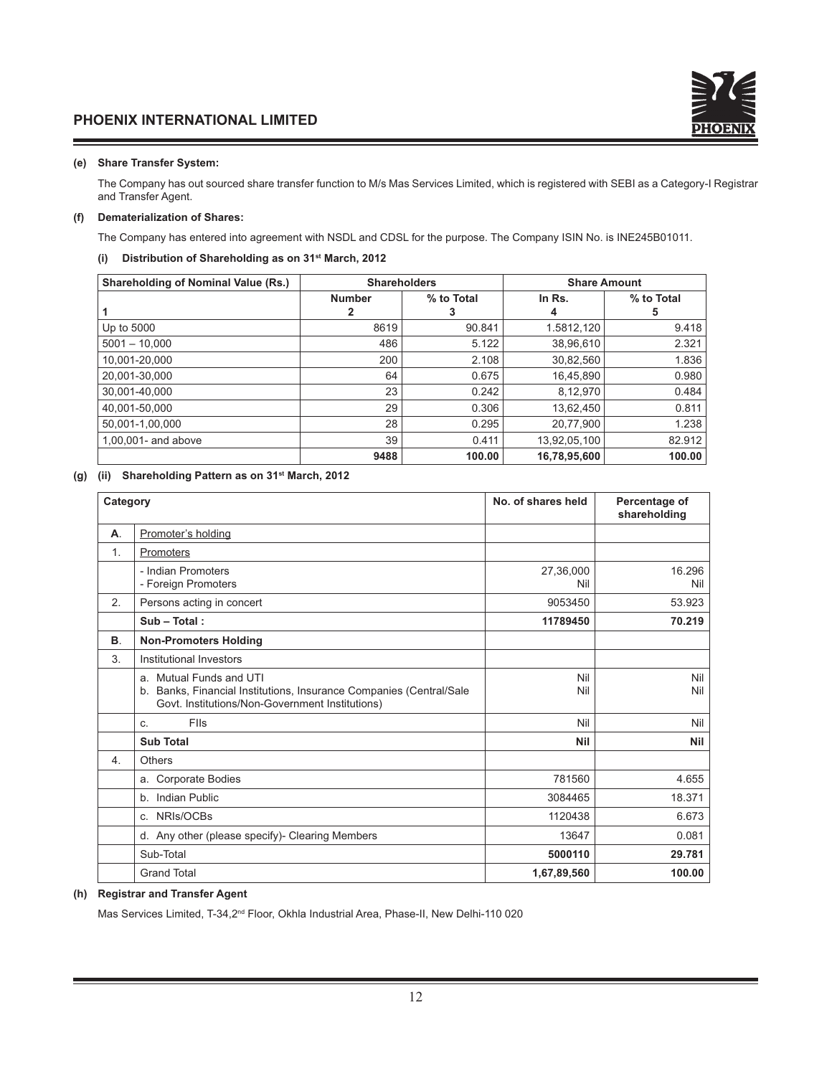#### **(e) Share Transfer System:**

 The Company has out sourced share transfer function to M/s Mas Services Limited, which is registered with SEBI as a Category-I Registrar and Transfer Agent.

#### **(f) Dematerialization of Shares:**

The Company has entered into agreement with NSDL and CDSL for the purpose. The Company ISIN No. is INE245B01011.

#### **(i) Distribution of Shareholding as on 31st March, 2012**

| <b>Shareholding of Nominal Value (Rs.)</b> | <b>Shareholders</b> |            | <b>Share Amount</b> |            |
|--------------------------------------------|---------------------|------------|---------------------|------------|
|                                            | <b>Number</b>       | % to Total | In Rs.              | % to Total |
|                                            | 2                   | J.         | 4                   | 5          |
| Up to 5000                                 | 8619                | 90.841     | 1.5812,120          | 9.418      |
| $5001 - 10.000$                            | 486                 | 5.122      | 38,96,610           | 2.321      |
| 10.001-20.000                              | 200                 | 2.108      | 30,82,560           | 1.836      |
| 20,001-30,000                              | 64                  | 0.675      | 16,45,890           | 0.980      |
| 30.001-40.000                              | 23                  | 0.242      | 8,12,970            | 0.484      |
| 40.001-50.000                              | 29                  | 0.306      | 13,62,450           | 0.811      |
| 50.001-1.00.000                            | 28                  | 0.295      | 20,77,900           | 1.238      |
| $1.00.001$ - and above                     | 39                  | 0.411      | 13,92,05,100        | 82.912     |
|                                            | 9488                | 100.00     | 16,78,95,600        | 100.00     |

#### **(g) (ii) Shareholding Pattern as on 31st March, 2012**

| Category         |                                                                                                                                                   | No. of shares held | Percentage of<br>shareholding |
|------------------|---------------------------------------------------------------------------------------------------------------------------------------------------|--------------------|-------------------------------|
| Α.               | Promoter's holding                                                                                                                                |                    |                               |
| 1.               | Promoters                                                                                                                                         |                    |                               |
|                  | - Indian Promoters<br>- Foreign Promoters                                                                                                         | 27,36,000<br>Nil   | 16.296<br>Nil                 |
| 2.               | Persons acting in concert                                                                                                                         | 9053450            | 53.923                        |
|                  | $Sub - Total:$                                                                                                                                    | 11789450           | 70.219                        |
| <b>B.</b>        | <b>Non-Promoters Holding</b>                                                                                                                      |                    |                               |
| 3.               | Institutional Investors                                                                                                                           |                    |                               |
|                  | a. Mutual Funds and UTI<br>b. Banks, Financial Institutions, Insurance Companies (Central/Sale<br>Govt. Institutions/Non-Government Institutions) | Nil<br>Nil         | Nil<br>Nil                    |
|                  | Flls<br>C.                                                                                                                                        | Nil                | Nil                           |
|                  | <b>Sub Total</b>                                                                                                                                  | <b>Nil</b>         | <b>Nil</b>                    |
| $\overline{4}$ . | Others                                                                                                                                            |                    |                               |
|                  | a. Corporate Bodies                                                                                                                               | 781560             | 4.655                         |
|                  | b. Indian Public                                                                                                                                  | 3084465            | 18.371                        |
|                  | c. NRIs/OCBs                                                                                                                                      | 1120438            | 6.673                         |
|                  | d. Any other (please specify)- Clearing Members                                                                                                   | 13647              | 0.081                         |
|                  | Sub-Total                                                                                                                                         | 5000110            | 29.781                        |
|                  | <b>Grand Total</b>                                                                                                                                | 1,67,89,560        | 100.00                        |

#### **(h) Registrar and Transfer Agent**

Mas Services Limited, T-34,2nd Floor, Okhla Industrial Area, Phase-II, New Delhi-110 020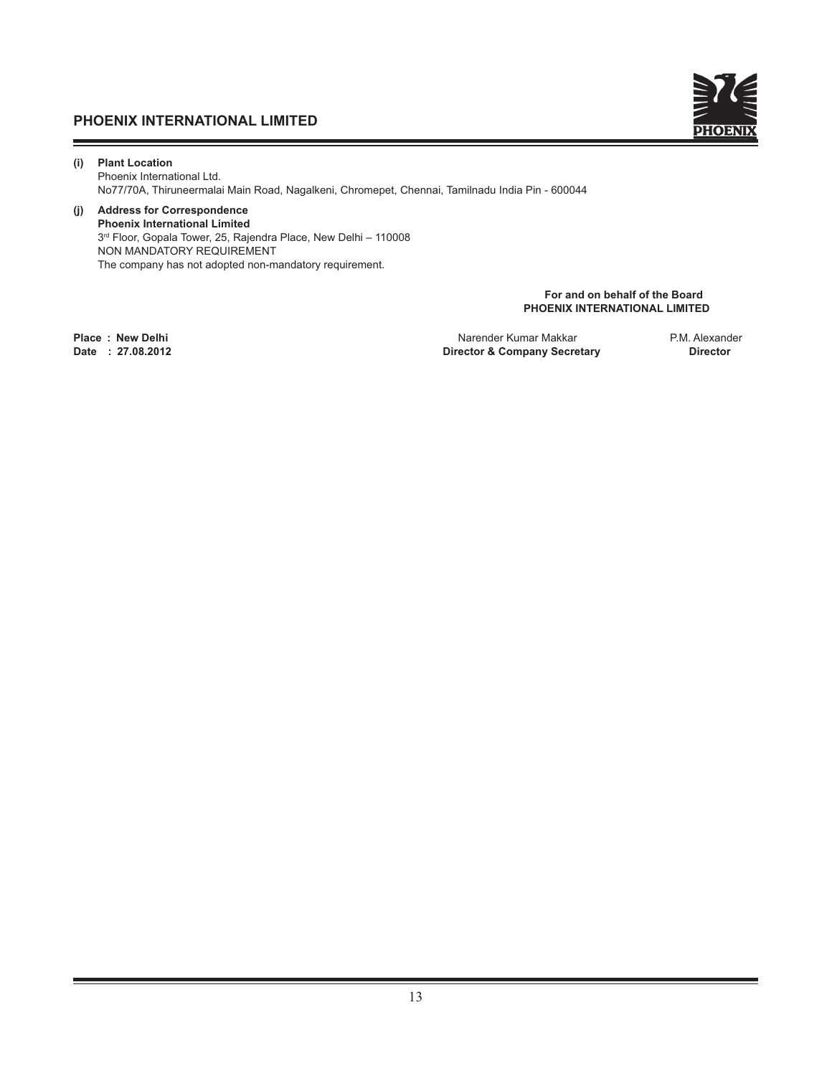

**(i) Plant Location**  Phoenix International Ltd. No77/70A, Thiruneermalai Main Road, Nagalkeni, Chromepet, Chennai, Tamilnadu India Pin - 600044

#### **(j) Address for Correspondence Phoenix International Limited** 3rd Floor, Gopala Tower, 25, Rajendra Place, New Delhi – 110008 NON MANDATORY REQUIREMENT The company has not adopted non-mandatory requirement.

**For and on behalf of the Board PHOENIX INTERNATIONAL LIMITED** 

**Place : New Delhi** Narender Kumar Makkar P.M. Alexander **Director & Company Secretary**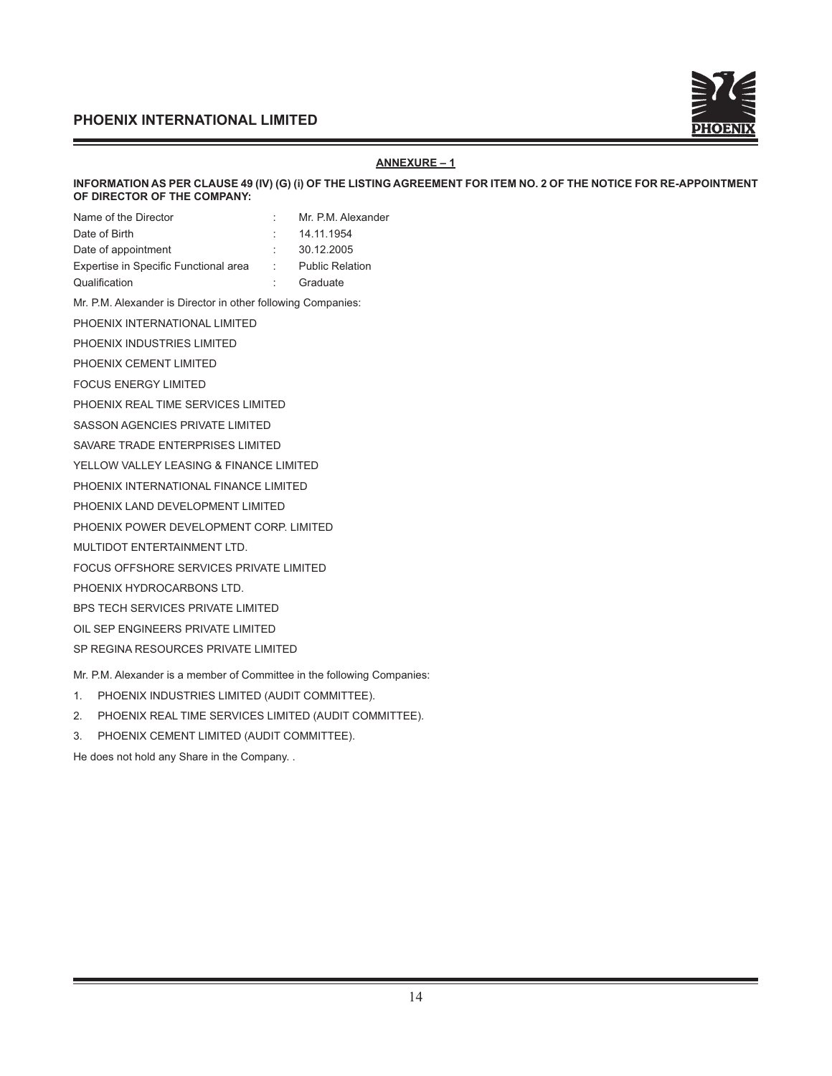

## **ANNEXURE – 1**

**INFORMATION AS PER CLAUSE 49 (IV) (G) (i) OF THE LISTING AGREEMENT FOR ITEM NO. 2 OF THE NOTICE FOR RE-APPOINTMENT OF DIRECTOR OF THE COMPANY:** 

|    | Mr. P.M. Alexander     |
|----|------------------------|
|    | 14.11.1954             |
|    | 30.12.2005             |
| ÷. | <b>Public Relation</b> |
|    |                        |

Qualification : Graduate

Mr. P.M. Alexander is Director in other following Companies:

PHOENIX INTERNATIONAL LIMITED

PHOENIX INDUSTRIES LIMITED

PHOENIX CEMENT LIMITED

FOCUS ENERGY LIMITED

PHOENIX REAL TIME SERVICES LIMITED

SASSON AGENCIES PRIVATE LIMITED

SAVARE TRADE ENTERPRISES LIMITED

YELLOW VALLEY LEASING & FINANCE LIMITED

PHOENIX INTERNATIONAL FINANCE LIMITED

PHOENIX LAND DEVELOPMENT LIMITED

PHOENIX POWER DEVELOPMENT CORP. LIMITED

MULTIDOT ENTERTAINMENT LTD.

FOCUS OFFSHORE SERVICES PRIVATE LIMITED

PHOENIX HYDROCARBONS LTD.

BPS TECH SERVICES PRIVATE LIMITED

OIL SEP ENGINEERS PRIVATE LIMITED

SP REGINA RESOURCES PRIVATE LIMITED

Mr. P.M. Alexander is a member of Committee in the following Companies:

- 1. PHOENIX INDUSTRIES LIMITED (AUDIT COMMITTEE).
- 2. PHOENIX REAL TIME SERVICES LIMITED (AUDIT COMMITTEE).

3. PHOENIX CEMENT LIMITED (AUDIT COMMITTEE).

He does not hold any Share in the Company. .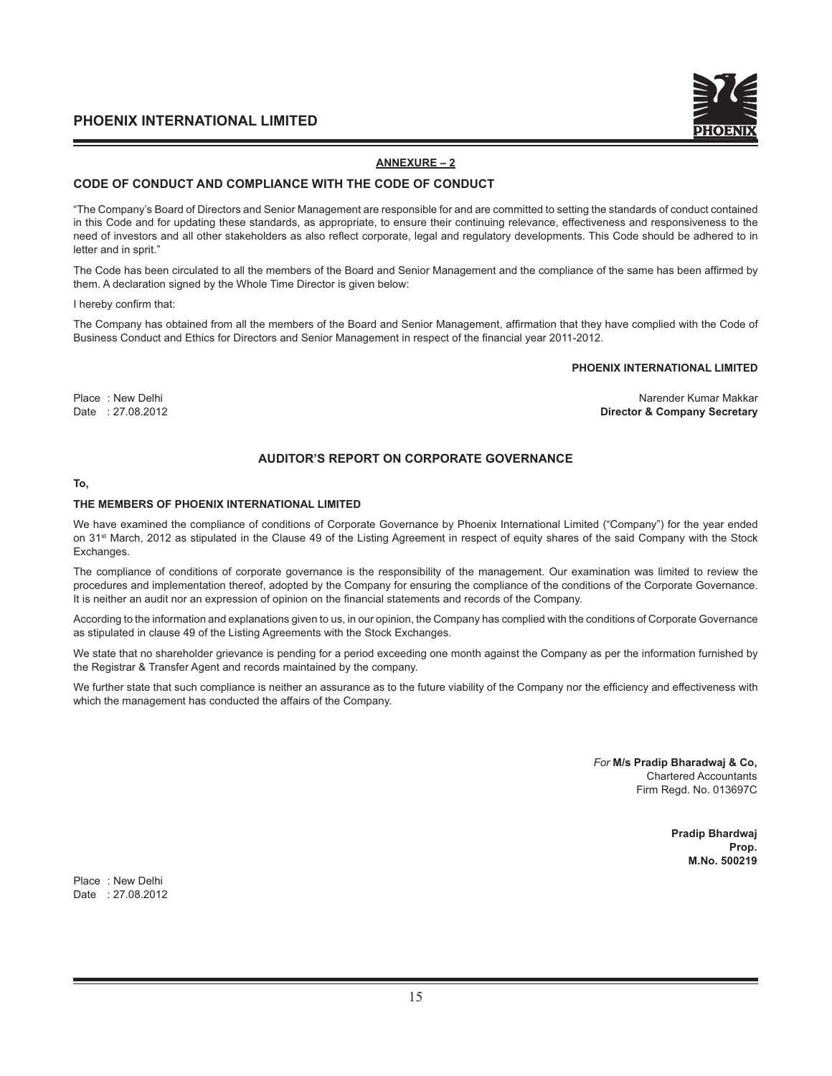

#### **ANNEXURE – 2**

#### **CODE OF CONDUCT AND COMPLIANCE WITH THE CODE OF CONDUCT**

"The Company's Board of Directors and Senior Management are responsible for and are committed to setting the standards of conduct contained in this Code and for updating these standards, as appropriate, to ensure their continuing relevance, effectiveness and responsiveness to the need of investors and all other stakeholders as also reflect corporate, legal and regulatory developments. This Code should be adhered to in letter and in sprit."

The Code has been circulated to all the members of the Board and Senior Management and the compliance of the same has been affirmed by them. A declaration signed by the Whole Time Director is given below:

I hereby confirm that:

The Company has obtained from all the members of the Board and Senior Management, affirmation that they have complied with the Code of Business Conduct and Ethics for Directors and Senior Management in respect of the financial year 2011-2012.

#### **PHOENIX INTERNATIONAL LIMITED**

Place : New Delhi Narender Kumar Makkar Narender Kumar Makkar Narender Kumar Makkar Narender Kumar Makkar Date : 27.08.2012 **Director & Company Secretary**

## **AUDITOR'S REPORT ON CORPORATE GOVERNANCE**

#### **To,**

#### **THE MEMBERS OF PHOENIX INTERNATIONAL LIMITED**

We have examined the compliance of conditions of Corporate Governance by Phoenix International Limited ("Company") for the year ended on 31<sup>st</sup> March, 2012 as stipulated in the Clause 49 of the Listing Agreement in respect of equity shares of the said Company with the Stock Exchanges.

The compliance of conditions of corporate governance is the responsibility of the management. Our examination was limited to review the procedures and implementation thereof, adopted by the Company for ensuring the compliance of the conditions of the Corporate Governance. It is neither an audit nor an expression of opinion on the financial statements and records of the Company.

According to the information and explanations given to us, in our opinion, the Company has complied with the conditions of Corporate Governance as stipulated in clause 49 of the Listing Agreements with the Stock Exchanges.

We state that no shareholder grievance is pending for a period exceeding one month against the Company as per the information furnished by the Registrar & Transfer Agent and records maintained by the company.

We further state that such compliance is neither an assurance as to the future viability of the Company nor the efficiency and effectiveness with which the management has conducted the affairs of the Company.

> *For* **M/s Pradip Bharadwaj & Co,** Chartered Accountants Firm Regd. No. 013697C

> > **Pradip Bhardwaj Prop. M.No. 500219**

Place : New Delhi Date : 27.08.2012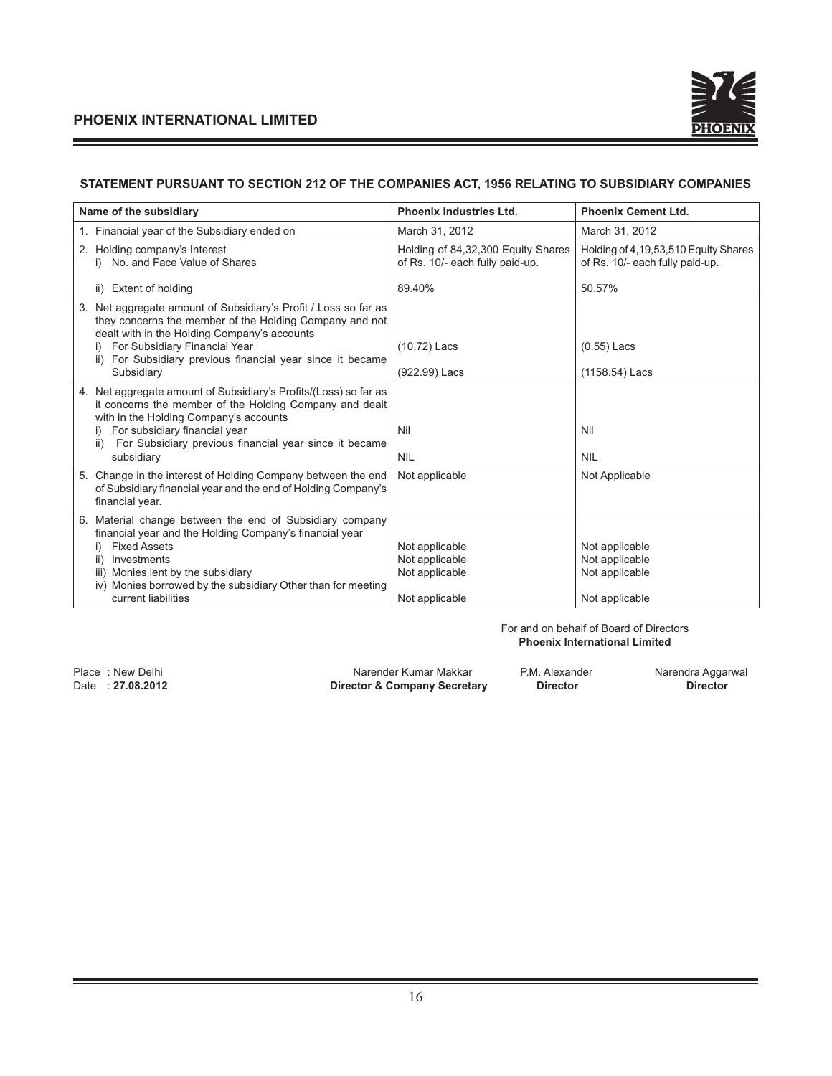

## **STATEMENT PURSUANT TO SECTION 212 OF THE COMPANIES ACT, 1956 RELATING TO SUBSIDIARY COMPANIES**

| Name of the subsidiary                                                                                                                                                     | <b>Phoenix Industries Ltd.</b>                                        | <b>Phoenix Cement Ltd.</b>                                              |
|----------------------------------------------------------------------------------------------------------------------------------------------------------------------------|-----------------------------------------------------------------------|-------------------------------------------------------------------------|
| 1. Financial year of the Subsidiary ended on                                                                                                                               | March 31, 2012                                                        | March 31, 2012                                                          |
| 2. Holding company's Interest<br>i) No. and Face Value of Shares                                                                                                           | Holding of 84,32,300 Equity Shares<br>of Rs. 10/- each fully paid-up. | Holding of 4,19,53,510 Equity Shares<br>of Rs. 10/- each fully paid-up. |
| ii) Extent of holding                                                                                                                                                      | 89.40%                                                                | 50.57%                                                                  |
| 3. Net aggregate amount of Subsidiary's Profit / Loss so far as<br>they concerns the member of the Holding Company and not<br>dealt with in the Holding Company's accounts |                                                                       |                                                                         |
| i) For Subsidiary Financial Year<br>ii) For Subsidiary previous financial year since it became                                                                             | $(10.72)$ Lacs                                                        | $(0.55)$ Lacs                                                           |
| Subsidiary                                                                                                                                                                 | (922.99) Lacs                                                         | (1158.54) Lacs                                                          |
| 4. Net aggregate amount of Subsidiary's Profits/(Loss) so far as<br>it concerns the member of the Holding Company and dealt<br>with in the Holding Company's accounts      |                                                                       |                                                                         |
| For subsidiary financial year                                                                                                                                              | Nil                                                                   | Nil                                                                     |
| For Subsidiary previous financial year since it became<br>ii)<br>subsidiary                                                                                                | <b>NIL</b>                                                            | <b>NIL</b>                                                              |
| 5. Change in the interest of Holding Company between the end<br>of Subsidiary financial year and the end of Holding Company's<br>financial year.                           | Not applicable                                                        | Not Applicable                                                          |
| 6. Material change between the end of Subsidiary company<br>financial year and the Holding Company's financial year                                                        |                                                                       |                                                                         |
| <b>Fixed Assets</b><br>i)                                                                                                                                                  | Not applicable                                                        | Not applicable                                                          |
| Investments<br>ii)                                                                                                                                                         | Not applicable                                                        | Not applicable                                                          |
| iii) Monies lent by the subsidiary<br>iv) Monies borrowed by the subsidiary Other than for meeting                                                                         | Not applicable                                                        | Not applicable                                                          |
| current liabilities                                                                                                                                                        | Not applicable                                                        | Not applicable                                                          |

For and on behalf of Board of Directors **Phoenix International Limited**

**Director & Company Secretary** 

Place : New Delhi **Narender Kumar Makkar** P.M. Alexander P.M. Alexander Narendra Aggarwal<br>Director **A. Company Secretary Director Director Director Director**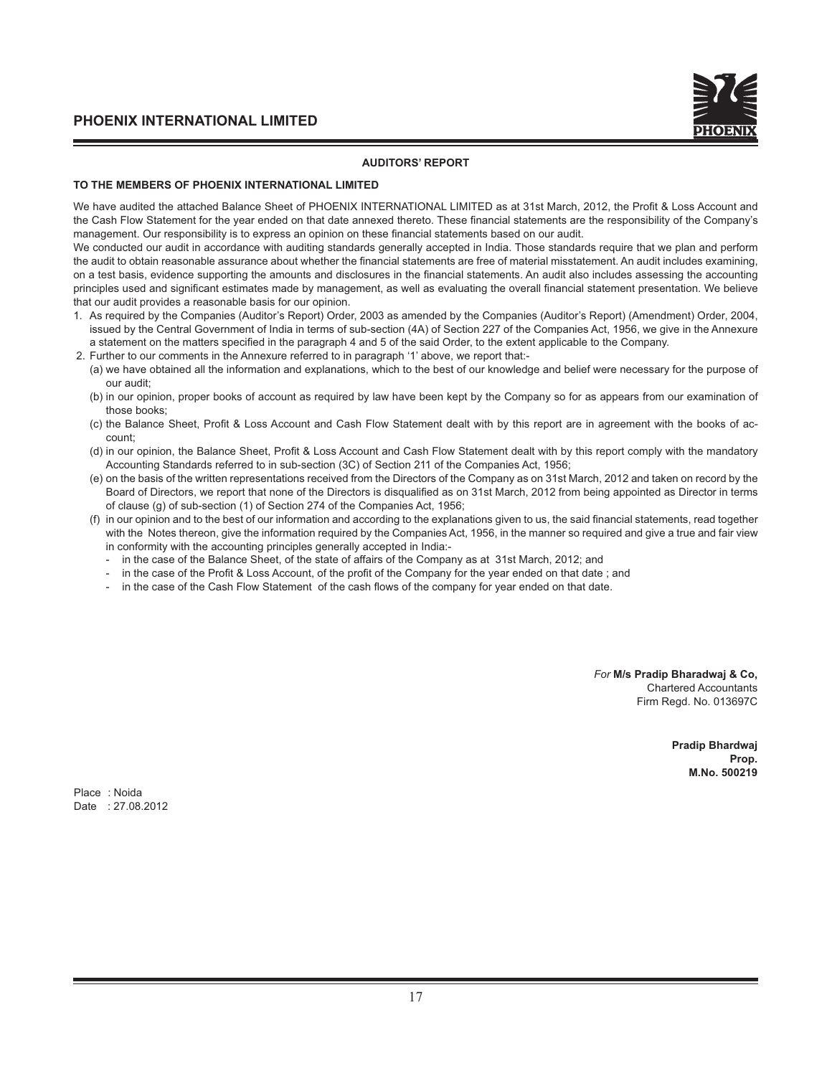#### **AUDITORS' REPORT**

#### **TO THE MEMBERS OF PHOENIX INTERNATIONAL LIMITED**

We have audited the attached Balance Sheet of PHOENIX INTERNATIONAL LIMITED as at 31st March, 2012, the Profit & Loss Account and the Cash Flow Statement for the year ended on that date annexed thereto. These financial statements are the responsibility of the Company's management. Our responsibility is to express an opinion on these financial statements based on our audit.

We conducted our audit in accordance with auditing standards generally accepted in India. Those standards require that we plan and perform the audit to obtain reasonable assurance about whether the financial statements are free of material misstatement. An audit includes examining, on a test basis, evidence supporting the amounts and disclosures in the financial statements. An audit also includes assessing the accounting principles used and significant estimates made by management, as well as evaluating the overall financial statement presentation. We believe that our audit provides a reasonable basis for our opinion.

- 1. As required by the Companies (Auditor's Report) Order, 2003 as amended by the Companies (Auditor's Report) (Amendment) Order, 2004, issued by the Central Government of India in terms of sub-section (4A) of Section 227 of the Companies Act, 1956, we give in the Annexure a statement on the matters specified in the paragraph 4 and 5 of the said Order, to the extent applicable to the Company.
- 2. Further to our comments in the Annexure referred to in paragraph '1' above, we report that:-
	- (a) we have obtained all the information and explanations, which to the best of our knowledge and belief were necessary for the purpose of our audit;
	- (b) in our opinion, proper books of account as required by law have been kept by the Company so for as appears from our examination of those books;
	- (c) the Balance Sheet, Profit & Loss Account and Cash Flow Statement dealt with by this report are in agreement with the books of account;
	- (d) in our opinion, the Balance Sheet, Profit & Loss Account and Cash Flow Statement dealt with by this report comply with the mandatory Accounting Standards referred to in sub-section (3C) of Section 211 of the Companies Act, 1956;
	- (e) on the basis of the written representations received from the Directors of the Company as on 31st March, 2012 and taken on record by the Board of Directors, we report that none of the Directors is disqualified as on 31st March, 2012 from being appointed as Director in terms of clause (g) of sub-section (1) of Section 274 of the Companies Act, 1956;
	- (f) in our opinion and to the best of our information and according to the explanations given to us, the said financial statements, read together with the Notes thereon, give the information required by the Companies Act, 1956, in the manner so required and give a true and fair view in conformity with the accounting principles generally accepted in India:-
		- in the case of the Balance Sheet, of the state of affairs of the Company as at 31st March, 2012; and
		- in the case of the Profit & Loss Account, of the profit of the Company for the year ended on that date; and
		- in the case of the Cash Flow Statement of the cash flows of the company for year ended on that date.

*For* **M/s Pradip Bharadwaj & Co,** Chartered Accountants Firm Regd. No. 013697C

> **Pradip Bhardwaj Prop. M.No. 500219**

Place : Noida Date : 27.08.2012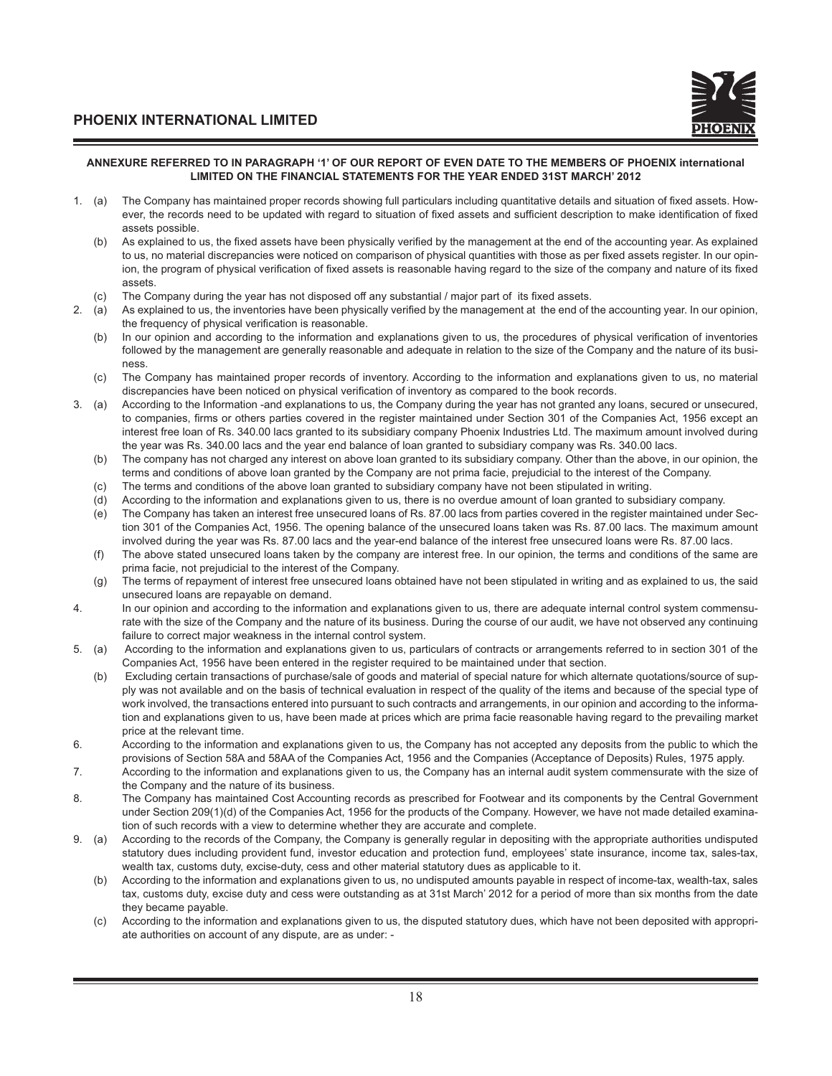

#### **ANNEXURE REFERRED TO IN PARAGRAPH '1' OF OUR REPORT OF EVEN DATE TO THE MEMBERS OF PHOENIX international LIMITED ON THE FINANCIAL STATEMENTS FOR THE YEAR ENDED 31ST MARCH' 2012**

- 1. (a) The Company has maintained proper records showing full particulars including quantitative details and situation of fixed assets. However, the records need to be updated with regard to situation of fixed assets and sufficient description to make identification of fixed assets possible.
	- (b) As explained to us, the fixed assets have been physically verified by the management at the end of the accounting year. As explained to us, no material discrepancies were noticed on comparison of physical quantities with those as per fixed assets register. In our opinion, the program of physical verification of fixed assets is reasonable having regard to the size of the company and nature of its fixed assets.
	- (c) The Company during the year has not disposed off any substantial / major part of its fixed assets.
- 2. (a) As explained to us, the inventories have been physically verified by the management at the end of the accounting year. In our opinion, the frequency of physical verification is reasonable.
	- (b) In our opinion and according to the information and explanations given to us, the procedures of physical verification of inventories followed by the management are generally reasonable and adequate in relation to the size of the Company and the nature of its business.
	- (c) The Company has maintained proper records of inventory. According to the information and explanations given to us, no material discrepancies have been noticed on physical verification of inventory as compared to the book records.
- 3. (a) According to the Information -and explanations to us, the Company during the year has not granted any loans, secured or unsecured, to companies, firms or others parties covered in the register maintained under Section 301 of the Companies Act, 1956 except an interest free loan of Rs. 340.00 lacs granted to its subsidiary company Phoenix Industries Ltd. The maximum amount involved during the year was Rs. 340.00 lacs and the year end balance of loan granted to subsidiary company was Rs. 340.00 lacs.
	- (b) The company has not charged any interest on above loan granted to its subsidiary company. Other than the above, in our opinion, the terms and conditions of above loan granted by the Company are not prima facie, prejudicial to the interest of the Company.
	- (c) The terms and conditions of the above loan granted to subsidiary company have not been stipulated in writing.
	- (d) According to the information and explanations given to us, there is no overdue amount of loan granted to subsidiary company.
	- (e) The Company has taken an interest free unsecured loans of Rs. 87.00 lacs from parties covered in the register maintained under Section 301 of the Companies Act, 1956. The opening balance of the unsecured loans taken was Rs. 87.00 lacs. The maximum amount involved during the year was Rs. 87.00 lacs and the year-end balance of the interest free unsecured loans were Rs. 87.00 lacs.
	- (f) The above stated unsecured loans taken by the company are interest free. In our opinion, the terms and conditions of the same are prima facie, not prejudicial to the interest of the Company.
	- (g) The terms of repayment of interest free unsecured loans obtained have not been stipulated in writing and as explained to us, the said unsecured loans are repayable on demand.
- 4. In our opinion and according to the information and explanations given to us, there are adequate internal control system commensurate with the size of the Company and the nature of its business. During the course of our audit, we have not observed any continuing failure to correct major weakness in the internal control system.
- 5. (a) According to the information and explanations given to us, particulars of contracts or arrangements referred to in section 301 of the Companies Act, 1956 have been entered in the register required to be maintained under that section.
	- (b) Excluding certain transactions of purchase/sale of goods and material of special nature for which alternate quotations/source of supply was not available and on the basis of technical evaluation in respect of the quality of the items and because of the special type of work involved, the transactions entered into pursuant to such contracts and arrangements, in our opinion and according to the information and explanations given to us, have been made at prices which are prima facie reasonable having regard to the prevailing market price at the relevant time.
- 6. According to the information and explanations given to us, the Company has not accepted any deposits from the public to which the provisions of Section 58A and 58AA of the Companies Act, 1956 and the Companies (Acceptance of Deposits) Rules, 1975 apply.
- 7. According to the information and explanations given to us, the Company has an internal audit system commensurate with the size of the Company and the nature of its business.
- 8. The Company has maintained Cost Accounting records as prescribed for Footwear and its components by the Central Government under Section 209(1)(d) of the Companies Act, 1956 for the products of the Company. However, we have not made detailed examination of such records with a view to determine whether they are accurate and complete.
- 9. (a) According to the records of the Company, the Company is generally regular in depositing with the appropriate authorities undisputed statutory dues including provident fund, investor education and protection fund, employees' state insurance, income tax, sales-tax, wealth tax, customs duty, excise-duty, cess and other material statutory dues as applicable to it.
	- (b) According to the information and explanations given to us, no undisputed amounts payable in respect of income-tax, wealth-tax, sales tax, customs duty, excise duty and cess were outstanding as at 31st March' 2012 for a period of more than six months from the date they became payable.
	- (c) According to the information and explanations given to us, the disputed statutory dues, which have not been deposited with appropriate authorities on account of any dispute, are as under: -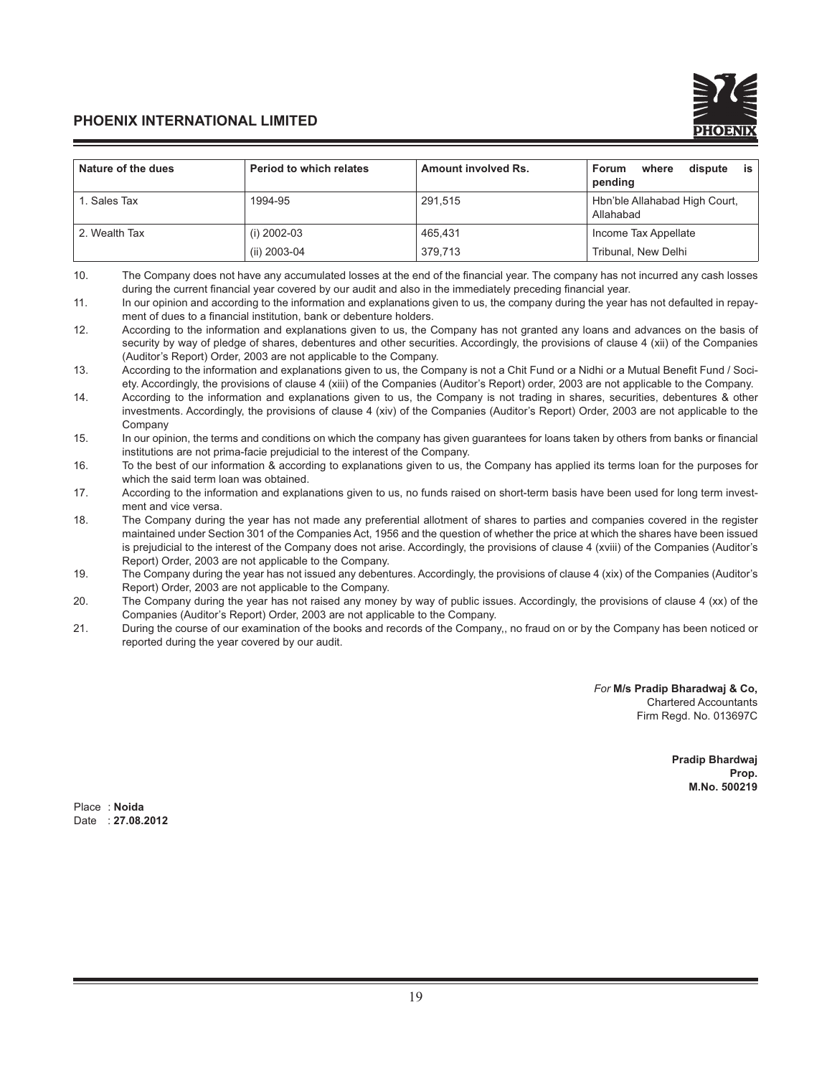| Nature of the dues | <b>Period to which relates</b> | Amount involved Rs. | is '<br>dispute<br>where<br><b>Forum</b><br>pending |
|--------------------|--------------------------------|---------------------|-----------------------------------------------------|
| 1. Sales Tax       | 1994-95                        | 291,515             | Hbn'ble Allahabad High Court,<br>Allahabad          |
| 2. Wealth Tax      | (i) 2002-03                    | 465.431             | Income Tax Appellate                                |
|                    | (ii) 2003-04                   | 379.713             | Tribunal, New Delhi                                 |

<sup>10.</sup> The Company does not have any accumulated losses at the end of the financial year. The company has not incurred any cash losses during the current financial year covered by our audit and also in the immediately preceding financial year.

*For* **M/s Pradip Bharadwaj & Co,** Chartered Accountants Firm Regd. No. 013697C

> **Pradip Bhardwaj Prop. M.No. 500219**

Place : **Noida** Date : **27.08.2012**

<sup>11.</sup> In our opinion and according to the information and explanations given to us, the company during the year has not defaulted in repayment of dues to a financial institution, bank or debenture holders.

<sup>12.</sup> According to the information and explanations given to us, the Company has not granted any loans and advances on the basis of security by way of pledge of shares, debentures and other securities. Accordingly, the provisions of clause 4 (xii) of the Companies (Auditor's Report) Order, 2003 are not applicable to the Company.

<sup>13.</sup> According to the information and explanations given to us, the Company is not a Chit Fund or a Nidhi or a Mutual Benefit Fund / Society. Accordingly, the provisions of clause 4 (xiii) of the Companies (Auditor's Report) order, 2003 are not applicable to the Company.

<sup>14.</sup> According to the information and explanations given to us, the Company is not trading in shares, securities, debentures & other investments. Accordingly, the provisions of clause 4 (xiv) of the Companies (Auditor's Report) Order, 2003 are not applicable to the Company

<sup>15.</sup> In our opinion, the terms and conditions on which the company has given guarantees for loans taken by others from banks or financial institutions are not prima-facie prejudicial to the interest of the Company.

<sup>16.</sup> To the best of our information & according to explanations given to us, the Company has applied its terms loan for the purposes for which the said term loan was obtained.

<sup>17.</sup> According to the information and explanations given to us, no funds raised on short-term basis have been used for long term investment and vice versa.

<sup>18.</sup> The Company during the year has not made any preferential allotment of shares to parties and companies covered in the register maintained under Section 301 of the Companies Act, 1956 and the question of whether the price at which the shares have been issued is prejudicial to the interest of the Company does not arise. Accordingly, the provisions of clause 4 (xviii) of the Companies (Auditor's Report) Order, 2003 are not applicable to the Company.

<sup>19.</sup> The Company during the year has not issued any debentures. Accordingly, the provisions of clause 4 (xix) of the Companies (Auditor's Report) Order, 2003 are not applicable to the Company.

<sup>20.</sup> The Company during the year has not raised any money by way of public issues. Accordingly, the provisions of clause 4 (xx) of the Companies (Auditor's Report) Order, 2003 are not applicable to the Company.

<sup>21.</sup> During the course of our examination of the books and records of the Company,, no fraud on or by the Company has been noticed or reported during the year covered by our audit.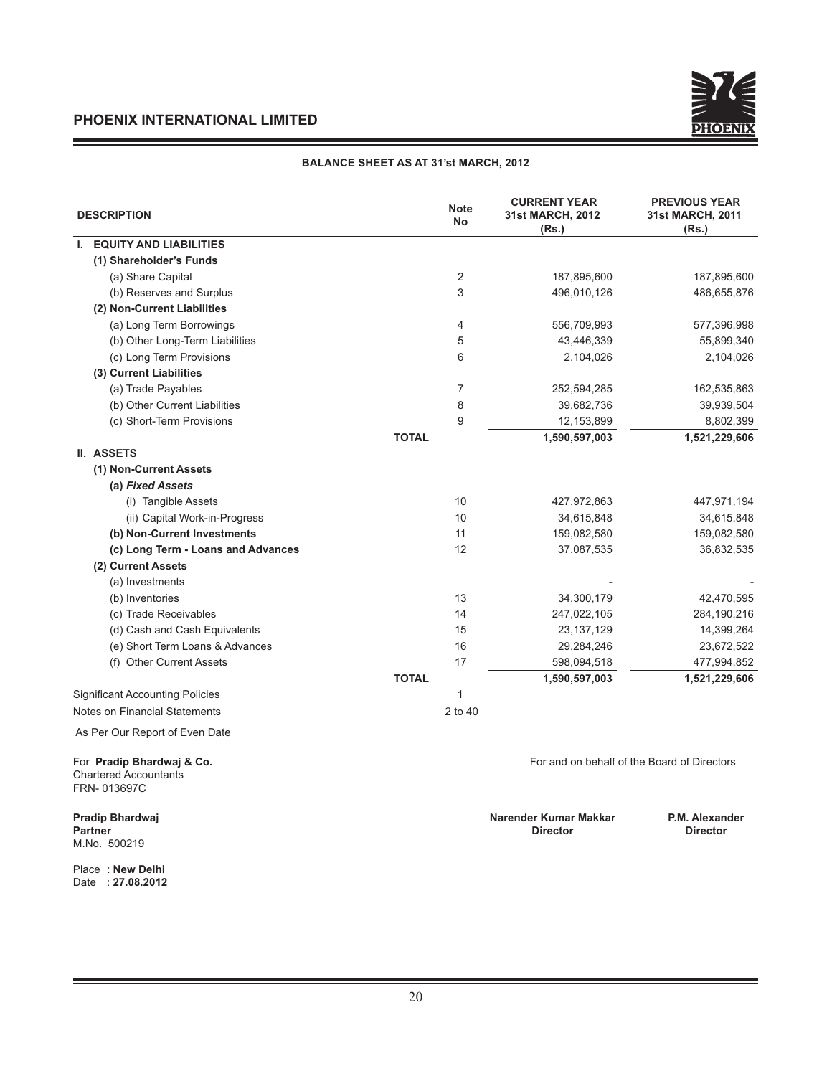

#### **BALANCE SHEET AS AT 31'st MARCH, 2012**

| <b>DESCRIPTION</b>                                                       | <b>Note</b><br><b>No</b> | <b>CURRENT YEAR</b><br>31st MARCH, 2012<br>(Rs.) | <b>PREVIOUS YEAR</b><br>31st MARCH, 2011<br>(Rs.) |
|--------------------------------------------------------------------------|--------------------------|--------------------------------------------------|---------------------------------------------------|
| <b>I. EQUITY AND LIABILITIES</b>                                         |                          |                                                  |                                                   |
| (1) Shareholder's Funds                                                  |                          |                                                  |                                                   |
| (a) Share Capital                                                        | $\overline{2}$           | 187,895,600                                      | 187,895,600                                       |
| (b) Reserves and Surplus                                                 | 3                        | 496,010,126                                      | 486,655,876                                       |
| (2) Non-Current Liabilities                                              |                          |                                                  |                                                   |
| (a) Long Term Borrowings                                                 | 4                        | 556,709,993                                      | 577,396,998                                       |
| (b) Other Long-Term Liabilities                                          | 5                        | 43,446,339                                       | 55,899,340                                        |
| (c) Long Term Provisions                                                 | 6                        | 2,104,026                                        | 2,104,026                                         |
| (3) Current Liabilities                                                  |                          |                                                  |                                                   |
| (a) Trade Payables                                                       | $\overline{7}$           | 252,594,285                                      | 162,535,863                                       |
| (b) Other Current Liabilities                                            | 8                        | 39,682,736                                       | 39,939,504                                        |
| (c) Short-Term Provisions                                                | 9                        | 12,153,899                                       | 8,802,399                                         |
|                                                                          | <b>TOTAL</b>             | 1,590,597,003                                    | 1,521,229,606                                     |
| <b>II. ASSETS</b>                                                        |                          |                                                  |                                                   |
| (1) Non-Current Assets                                                   |                          |                                                  |                                                   |
| (a) Fixed Assets                                                         |                          |                                                  |                                                   |
| (i) Tangible Assets                                                      | 10                       | 427,972,863                                      | 447,971,194                                       |
| (ii) Capital Work-in-Progress                                            | 10                       | 34,615,848                                       | 34,615,848                                        |
| (b) Non-Current Investments                                              | 11                       | 159,082,580                                      | 159,082,580                                       |
| (c) Long Term - Loans and Advances                                       | 12                       | 37,087,535                                       | 36,832,535                                        |
| (2) Current Assets                                                       |                          |                                                  |                                                   |
| (a) Investments                                                          |                          |                                                  |                                                   |
| (b) Inventories                                                          | 13                       | 34,300,179                                       | 42,470,595                                        |
| (c) Trade Receivables                                                    | 14                       | 247,022,105                                      | 284,190,216                                       |
| (d) Cash and Cash Equivalents                                            | 15                       | 23, 137, 129                                     | 14,399,264                                        |
| (e) Short Term Loans & Advances                                          | 16                       | 29,284,246                                       | 23,672,522                                        |
| (f) Other Current Assets                                                 | 17                       | 598,094,518                                      | 477,994,852                                       |
|                                                                          | <b>TOTAL</b>             | 1,590,597,003                                    | 1,521,229,606                                     |
| <b>Significant Accounting Policies</b>                                   | $\mathbf{1}$             |                                                  |                                                   |
| Notes on Financial Statements                                            | 2 to 40                  |                                                  |                                                   |
| As Per Our Report of Even Date                                           |                          |                                                  |                                                   |
| For Pradip Bhardwaj & Co.<br><b>Chartered Accountants</b><br>FRN-013697C |                          |                                                  | For and on behalf of the Board of Directors       |
| Pradip Bhardwaj<br><b>Partner</b><br>M.No. 500219                        |                          | Narender Kumar Makkar<br><b>Director</b>         | P.M. Alexander<br><b>Director</b>                 |
| Place New Delhi                                                          |                          |                                                  |                                                   |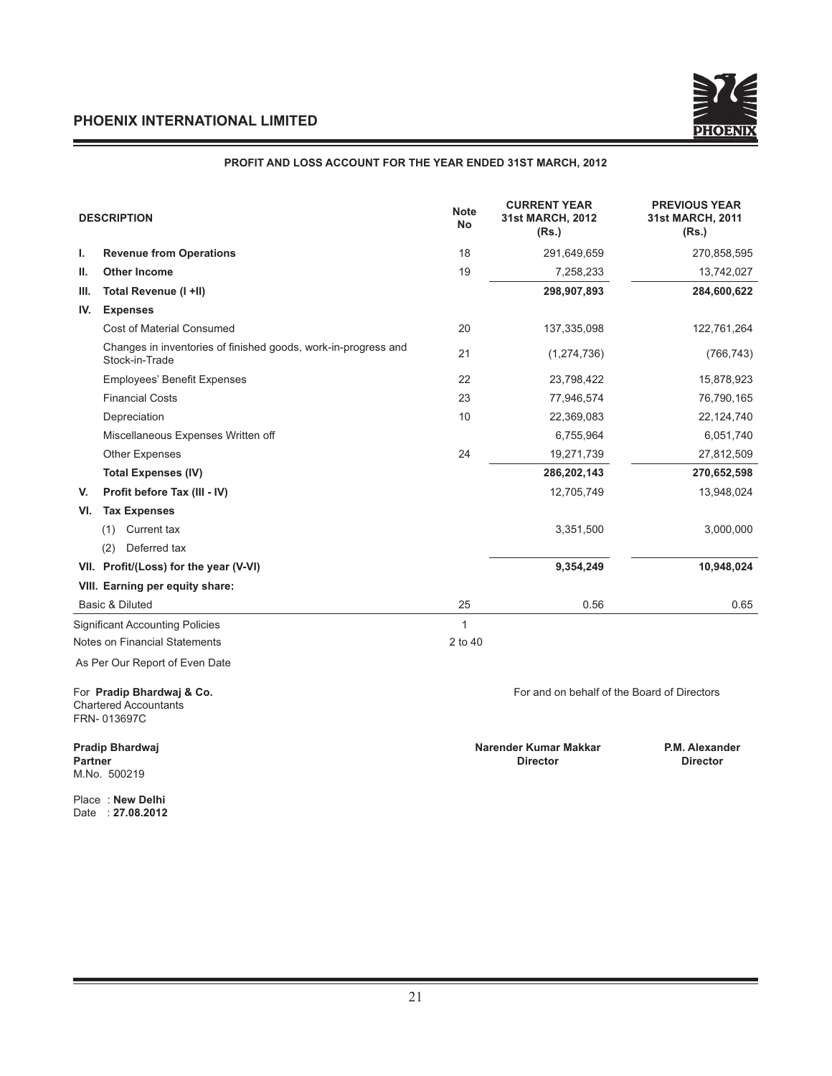#### **PROFIT AND LOSS ACCOUNT FOR THE YEAR ENDED 31ST MARCH, 2012**

|      | <b>DESCRIPTION</b>                                                               | <b>Note</b><br><b>No</b> | <b>CURRENT YEAR</b><br>31st MARCH, 2012<br>(Rs.) | <b>PREVIOUS YEAR</b><br>31st MARCH, 2011<br>(Rs.) |
|------|----------------------------------------------------------------------------------|--------------------------|--------------------------------------------------|---------------------------------------------------|
| ı.   | <b>Revenue from Operations</b>                                                   | 18                       | 291,649,659                                      | 270,858,595                                       |
| Ш.   | <b>Other Income</b>                                                              | 19                       | 7,258,233                                        | 13,742,027                                        |
| III. | Total Revenue (I +II)                                                            |                          | 298,907,893                                      | 284,600,622                                       |
| IV.  | <b>Expenses</b>                                                                  |                          |                                                  |                                                   |
|      | Cost of Material Consumed                                                        | 20                       | 137,335,098                                      | 122,761,264                                       |
|      | Changes in inventories of finished goods, work-in-progress and<br>Stock-in-Trade | 21                       | (1, 274, 736)                                    | (766, 743)                                        |
|      | Employees' Benefit Expenses                                                      | 22                       | 23,798,422                                       | 15,878,923                                        |
|      | <b>Financial Costs</b>                                                           | 23                       | 77,946,574                                       | 76,790,165                                        |
|      | Depreciation                                                                     | 10                       | 22,369,083                                       | 22,124,740                                        |
|      | Miscellaneous Expenses Written off                                               |                          | 6,755,964                                        | 6,051,740                                         |
|      | <b>Other Expenses</b>                                                            | 24                       | 19,271,739                                       | 27,812,509                                        |
|      | <b>Total Expenses (IV)</b>                                                       |                          | 286,202,143                                      | 270,652,598                                       |
| V.   | Profit before Tax (III - IV)                                                     |                          | 12,705,749                                       | 13,948,024                                        |
| VI.  | <b>Tax Expenses</b>                                                              |                          |                                                  |                                                   |
|      | (1) Current tax                                                                  |                          | 3,351,500                                        | 3,000,000                                         |
|      | Deferred tax<br>(2)                                                              |                          |                                                  |                                                   |
|      | VII. Profit/(Loss) for the year (V-VI)                                           |                          | 9,354,249                                        | 10,948,024                                        |
|      | VIII. Earning per equity share:                                                  |                          |                                                  |                                                   |
|      | Basic & Diluted                                                                  | 25                       | 0.56                                             | 0.65                                              |
|      | <b>Significant Accounting Policies</b>                                           | 1                        |                                                  |                                                   |
|      | Notes on Financial Statements                                                    | 2 to 40                  |                                                  |                                                   |
|      | As Per Our Report of Even Date                                                   |                          |                                                  |                                                   |
|      | For Pradip Bhardwaj & Co.<br><b>Chartered Accountants</b><br>FRN-013697C         |                          | For and on behalf of the Board of Directors      |                                                   |

M.No. 500219

Place : **New Delhi** 

Date : **27.08.2012**

**Pradip Bhardwaj Narender Kumar Makkar P.M. Alexander Partner Director Director**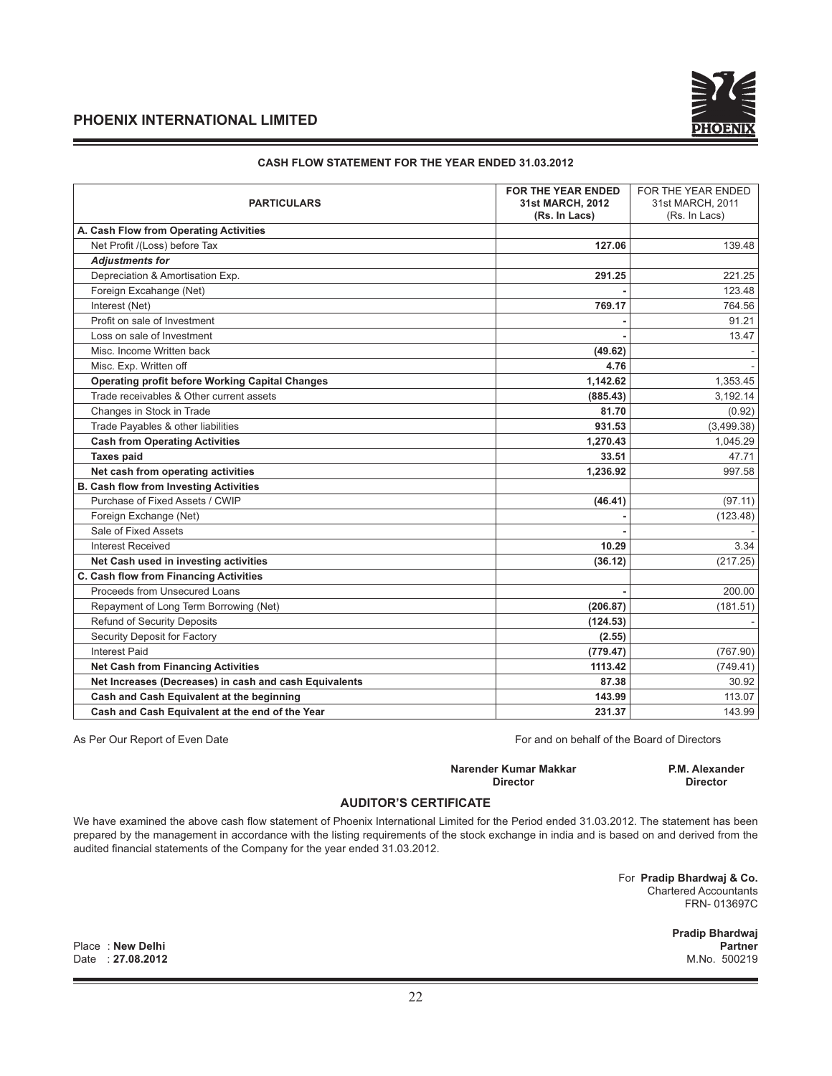#### **CASH FLOW STATEMENT FOR THE YEAR ENDED 31.03.2012**

| <b>PARTICULARS</b>                                     | <b>FOR THE YEAR ENDED</b><br>31st MARCH, 2012<br>(Rs. In Lacs) | FOR THE YEAR ENDED<br>31st MARCH, 2011<br>(Rs. In Lacs) |
|--------------------------------------------------------|----------------------------------------------------------------|---------------------------------------------------------|
| A. Cash Flow from Operating Activities                 |                                                                |                                                         |
| Net Profit /(Loss) before Tax                          | 127.06                                                         | 139.48                                                  |
| <b>Adjustments for</b>                                 |                                                                |                                                         |
| Depreciation & Amortisation Exp.                       | 291.25                                                         | 221.25                                                  |
| Foreign Excahange (Net)                                |                                                                | 123.48                                                  |
| Interest (Net)                                         | 769.17                                                         | 764.56                                                  |
| Profit on sale of Investment                           |                                                                | 91.21                                                   |
| Loss on sale of Investment                             |                                                                | 13.47                                                   |
| Misc. Income Written back                              | (49.62)                                                        |                                                         |
| Misc. Exp. Written off                                 | 4.76                                                           |                                                         |
| <b>Operating profit before Working Capital Changes</b> | 1,142.62                                                       | 1,353.45                                                |
| Trade receivables & Other current assets               | (885.43)                                                       | 3,192.14                                                |
| Changes in Stock in Trade                              | 81.70                                                          | (0.92)                                                  |
| Trade Payables & other liabilities                     | 931.53                                                         | (3,499.38)                                              |
| <b>Cash from Operating Activities</b>                  | 1,270.43                                                       | 1,045.29                                                |
| <b>Taxes paid</b>                                      | 33.51                                                          | 47.71                                                   |
| Net cash from operating activities                     | 1,236.92                                                       | 997.58                                                  |
| <b>B. Cash flow from Investing Activities</b>          |                                                                |                                                         |
| Purchase of Fixed Assets / CWIP                        | (46.41)                                                        | (97.11)                                                 |
| Foreign Exchange (Net)                                 |                                                                | (123.48)                                                |
| Sale of Fixed Assets                                   |                                                                |                                                         |
| <b>Interest Received</b>                               | 10.29                                                          | 3.34                                                    |
| Net Cash used in investing activities                  | (36.12)                                                        | (217.25)                                                |
| C. Cash flow from Financing Activities                 |                                                                |                                                         |
| Proceeds from Unsecured Loans                          |                                                                | 200.00                                                  |
| Repayment of Long Term Borrowing (Net)                 | (206.87)                                                       | (181.51)                                                |
| <b>Refund of Security Deposits</b>                     | (124.53)                                                       |                                                         |
| Security Deposit for Factory                           | (2.55)                                                         |                                                         |
| <b>Interest Paid</b>                                   | (779.47)                                                       | (767.90)                                                |
| <b>Net Cash from Financing Activities</b>              | 1113.42                                                        | (749.41)                                                |
| Net Increases (Decreases) in cash and cash Equivalents | 87.38                                                          | 30.92                                                   |
| Cash and Cash Equivalent at the beginning              | 143.99                                                         | 113.07                                                  |
| Cash and Cash Equivalent at the end of the Year        | 231.37                                                         | 143.99                                                  |

As Per Our Report of Even Date For and on behalf of the Board of Directors

**Narender Kumar Makkar P.M. Alexander Director Director**

#### **AUDITOR'S CERTIFICATE**

We have examined the above cash flow statement of Phoenix International Limited for the Period ended 31.03.2012. The statement has been prepared by the management in accordance with the listing requirements of the stock exchange in india and is based on and derived from the audited financial statements of the Company for the year ended 31.03.2012.

> For **Pradip Bhardwaj & Co.**  Chartered Accountants FRN- 013697C

> > **Pradip Bhardwaj**

Place : **New Delhi Partner** Date : **27.08.2012**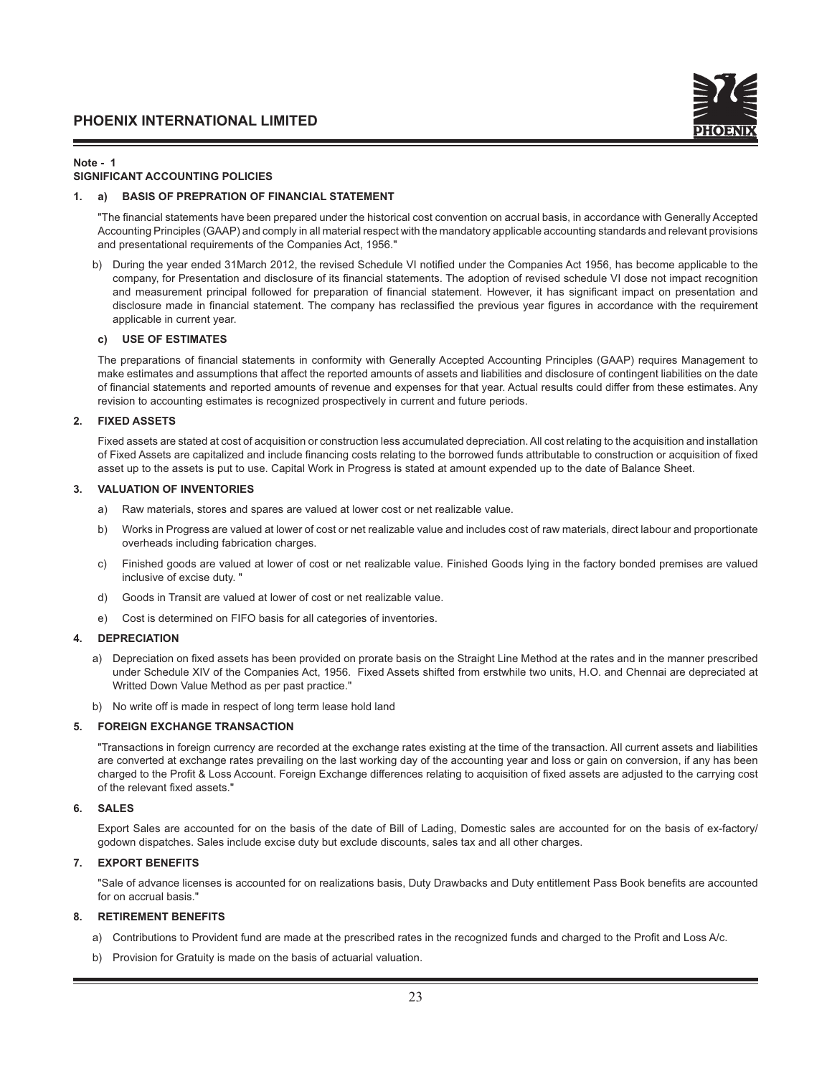#### **Note - 1**

#### **SIGNIFICANT ACCOUNTING POLICIES**

#### **1. a) BASIS OF PREPRATION OF FINANCIAL STATEMENT**

"The financial statements have been prepared under the historical cost convention on accrual basis, in accordance with Generally Accepted Accounting Principles (GAAP) and comply in all material respect with the mandatory applicable accounting standards and relevant provisions and presentational requirements of the Companies Act, 1956."

b) During the year ended 31March 2012, the revised Schedule VI notified under the Companies Act 1956, has become applicable to the company, for Presentation and disclosure of its financial statements. The adoption of revised schedule VI dose not impact recognition and measurement principal followed for preparation of financial statement. However, it has significant impact on presentation and disclosure made in financial statement. The company has reclassified the previous year figures in accordance with the requirement applicable in current year.

#### **c) USE OF ESTIMATES**

The preparations of financial statements in conformity with Generally Accepted Accounting Principles (GAAP) requires Management to make estimates and assumptions that affect the reported amounts of assets and liabilities and disclosure of contingent liabilities on the date of financial statements and reported amounts of revenue and expenses for that year. Actual results could differ from these estimates. Any revision to accounting estimates is recognized prospectively in current and future periods.

#### **2. FIXED ASSETS**

 Fixed assets are stated at cost of acquisition or construction less accumulated depreciation. All cost relating to the acquisition and installation of Fixed Assets are capitalized and include financing costs relating to the borrowed funds attributable to construction or acquisition of fixed asset up to the assets is put to use. Capital Work in Progress is stated at amount expended up to the date of Balance Sheet.

#### **3. VALUATION OF INVENTORIES**

- a) Raw materials, stores and spares are valued at lower cost or net realizable value.
- b) Works in Progress are valued at lower of cost or net realizable value and includes cost of raw materials, direct labour and proportionate overheads including fabrication charges.
- c) Finished goods are valued at lower of cost or net realizable value. Finished Goods lying in the factory bonded premises are valued inclusive of excise duty. "
- d) Goods in Transit are valued at lower of cost or net realizable value.
- e) Cost is determined on FIFO basis for all categories of inventories.

#### **4. DEPRECIATION**

- a) Depreciation on fixed assets has been provided on prorate basis on the Straight Line Method at the rates and in the manner prescribed under Schedule XIV of the Companies Act, 1956. Fixed Assets shifted from erstwhile two units, H.O. and Chennai are depreciated at Writted Down Value Method as per past practice."
- b) No write off is made in respect of long term lease hold land

#### **5. FOREIGN EXCHANGE TRANSACTION**

 "Transactions in foreign currency are recorded at the exchange rates existing at the time of the transaction. All current assets and liabilities are converted at exchange rates prevailing on the last working day of the accounting year and loss or gain on conversion, if any has been charged to the Profit & Loss Account. Foreign Exchange differences relating to acquisition of fixed assets are adjusted to the carrying cost of the relevant fixed assets."

#### **6. SALES**

 Export Sales are accounted for on the basis of the date of Bill of Lading, Domestic sales are accounted for on the basis of ex-factory/ godown dispatches. Sales include excise duty but exclude discounts, sales tax and all other charges.

#### **7. EXPORT BENEFITS**

"Sale of advance licenses is accounted for on realizations basis, Duty Drawbacks and Duty entitlement Pass Book benefits are accounted for on accrual basis."

#### **8. RETIREMENT BENEFITS**

- a) Contributions to Provident fund are made at the prescribed rates in the recognized funds and charged to the Profit and Loss A/c.
- b) Provision for Gratuity is made on the basis of actuarial valuation.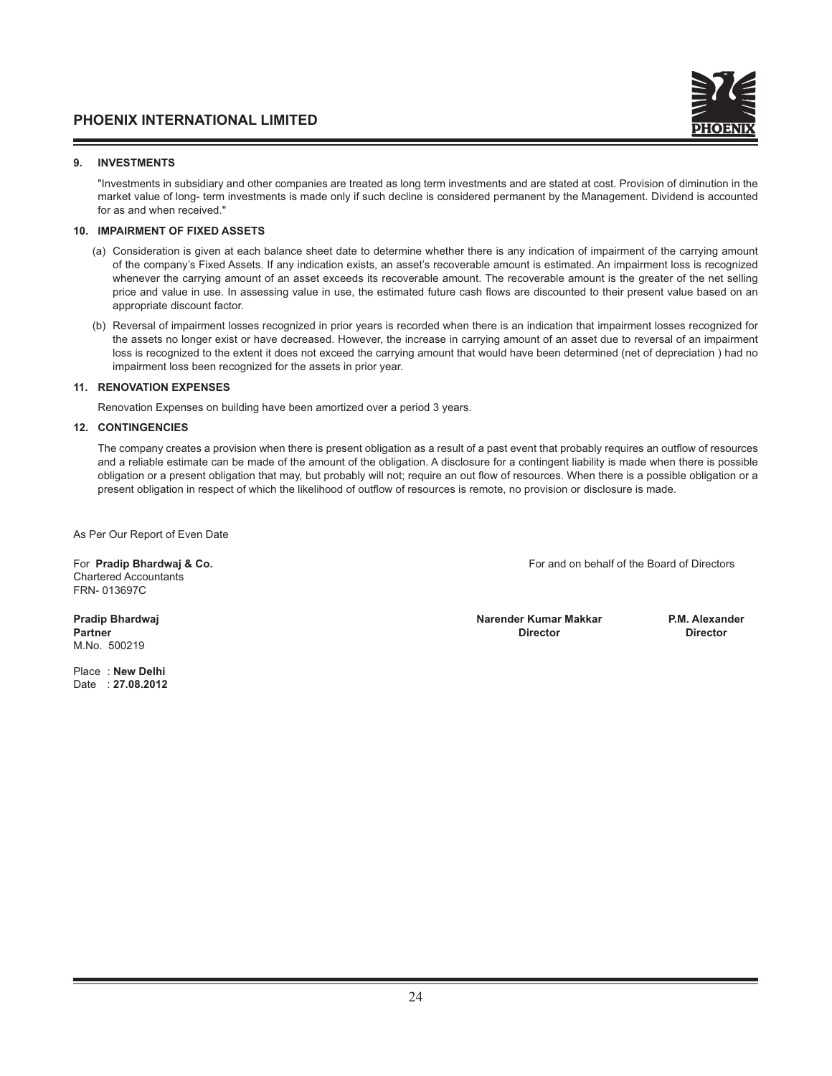

#### **9. INVESTMENTS**

 "Investments in subsidiary and other companies are treated as long term investments and are stated at cost. Provision of diminution in the market value of long- term investments is made only if such decline is considered permanent by the Management. Dividend is accounted for as and when received."

#### **10. IMPAIRMENT OF FIXED ASSETS**

- (a) Consideration is given at each balance sheet date to determine whether there is any indication of impairment of the carrying amount of the company's Fixed Assets. If any indication exists, an asset's recoverable amount is estimated. An impairment loss is recognized whenever the carrying amount of an asset exceeds its recoverable amount. The recoverable amount is the greater of the net selling price and value in use. In assessing value in use, the estimated future cash flows are discounted to their present value based on an appropriate discount factor.
- (b) Reversal of impairment losses recognized in prior years is recorded when there is an indication that impairment losses recognized for the assets no longer exist or have decreased. However, the increase in carrying amount of an asset due to reversal of an impairment loss is recognized to the extent it does not exceed the carrying amount that would have been determined (net of depreciation ) had no impairment loss been recognized for the assets in prior year.

#### **11. RENOVATION EXPENSES**

Renovation Expenses on building have been amortized over a period 3 years.

#### **12. CONTINGENCIES**

The company creates a provision when there is present obligation as a result of a past event that probably requires an outflow of resources and a reliable estimate can be made of the amount of the obligation. A disclosure for a contingent liability is made when there is possible obligation or a present obligation that may, but probably will not; require an out flow of resources. When there is a possible obligation or a present obligation in respect of which the likelihood of outflow of resources is remote, no provision or disclosure is made.

As Per Our Report of Even Date

Chartered Accountants FRN- 013697C

M.No. 500219

Place : **New Delhi**  Date : **27.08.2012**

For **Pradip Bhardwaj & Co.** For and on behalf of the Board of Directors

**Pradip Bhardwaj Narender Kumar Makkar P.M. Alexander Partner Director Director**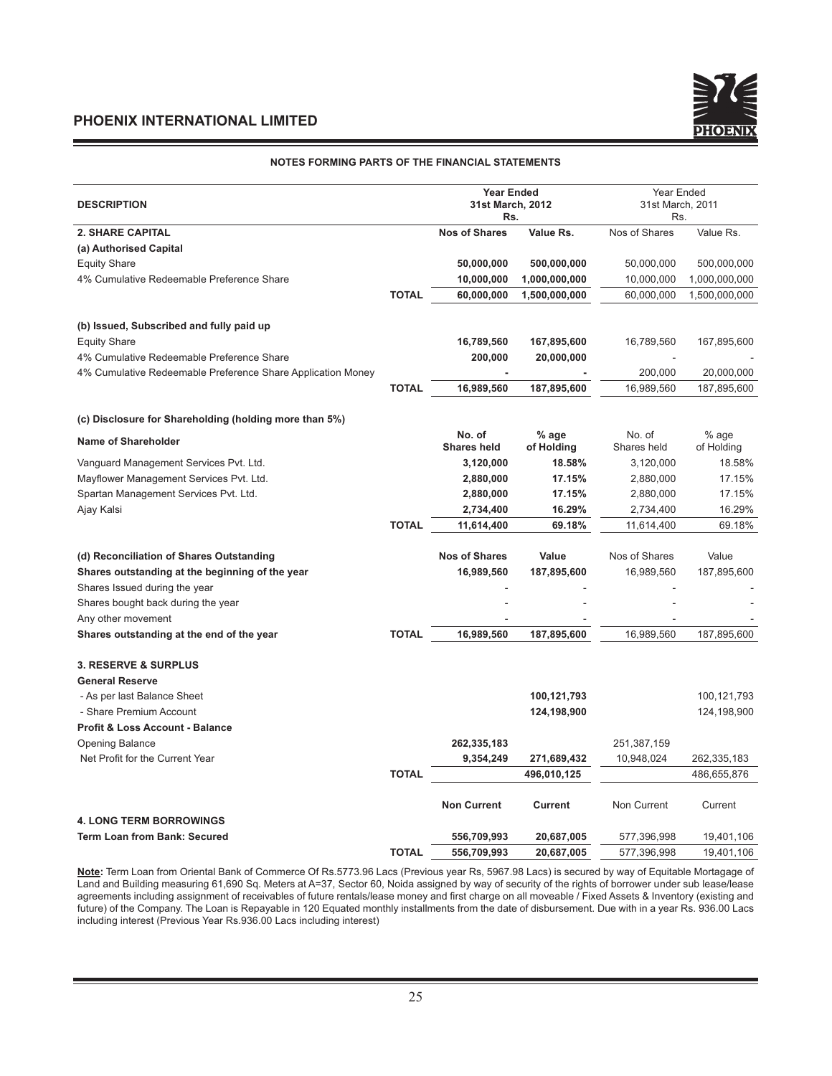#### **NOTES FORMING PARTS OF THE FINANCIAL STATEMENTS**

|                                                             |              | <b>Year Ended</b>       |               | Year Ended              |               |
|-------------------------------------------------------------|--------------|-------------------------|---------------|-------------------------|---------------|
| <b>DESCRIPTION</b>                                          |              | 31st March, 2012<br>Rs. |               | 31st March, 2011<br>Rs. |               |
| <b>2. SHARE CAPITAL</b>                                     |              | <b>Nos of Shares</b>    | Value Rs.     | Nos of Shares           | Value Rs.     |
| (a) Authorised Capital                                      |              |                         |               |                         |               |
| <b>Equity Share</b>                                         |              | 50,000,000              | 500,000,000   | 50,000,000              | 500,000,000   |
| 4% Cumulative Redeemable Preference Share                   |              | 10,000,000              | 1,000,000,000 | 10,000,000              | 1,000,000,000 |
|                                                             | <b>TOTAL</b> | 60,000,000              | 1,500,000,000 | 60,000,000              | 1,500,000,000 |
| (b) Issued, Subscribed and fully paid up                    |              |                         |               |                         |               |
| <b>Equity Share</b>                                         |              | 16,789,560              | 167,895,600   | 16,789,560              | 167,895,600   |
| 4% Cumulative Redeemable Preference Share                   |              | 200,000                 | 20,000,000    |                         |               |
| 4% Cumulative Redeemable Preference Share Application Money |              |                         |               | 200,000                 | 20,000,000    |
|                                                             | <b>TOTAL</b> | 16,989,560              | 187,895,600   | 16,989,560              | 187,895,600   |
|                                                             |              |                         |               |                         |               |
| (c) Disclosure for Shareholding (holding more than 5%)      |              | No. of                  | % age         | No. of                  | % age         |
| <b>Name of Shareholder</b>                                  |              | <b>Shares held</b>      | of Holding    | Shares held             | of Holding    |
| Vanguard Management Services Pvt. Ltd.                      |              | 3,120,000               | 18.58%        | 3,120,000               | 18.58%        |
| Mayflower Management Services Pvt. Ltd.                     |              | 2,880,000               | 17.15%        | 2,880,000               | 17.15%        |
| Spartan Management Services Pvt. Ltd.                       |              | 2,880,000               | 17.15%        | 2,880,000               | 17.15%        |
| Ajay Kalsi                                                  |              | 2,734,400               | 16.29%        | 2,734,400               | 16.29%        |
|                                                             | <b>TOTAL</b> | 11,614,400              | 69.18%        | 11,614,400              | 69.18%        |
| (d) Reconciliation of Shares Outstanding                    |              | <b>Nos of Shares</b>    | Value         | Nos of Shares           | Value         |
| Shares outstanding at the beginning of the year             |              | 16,989,560              | 187,895,600   | 16,989,560              | 187,895,600   |
| Shares Issued during the year                               |              |                         |               |                         |               |
| Shares bought back during the year                          |              |                         |               |                         |               |
| Any other movement                                          |              |                         |               |                         |               |
| Shares outstanding at the end of the year                   | <b>TOTAL</b> | 16,989,560              | 187,895,600   | 16,989,560              | 187,895,600   |
| <b>3. RESERVE &amp; SURPLUS</b>                             |              |                         |               |                         |               |
| <b>General Reserve</b>                                      |              |                         |               |                         |               |
| - As per last Balance Sheet                                 |              |                         | 100,121,793   |                         | 100,121,793   |
| - Share Premium Account                                     |              |                         | 124,198,900   |                         | 124,198,900   |
| <b>Profit &amp; Loss Account - Balance</b>                  |              |                         |               |                         |               |
| <b>Opening Balance</b>                                      |              | 262,335,183             |               | 251,387,159             |               |
| Net Profit for the Current Year                             |              | 9,354,249               | 271,689,432   | 10,948,024              | 262,335,183   |
|                                                             | <b>TOTAL</b> |                         | 496,010,125   |                         | 486,655,876   |
|                                                             |              | <b>Non Current</b>      | Current       | Non Current             | Current       |
| <b>4. LONG TERM BORROWINGS</b>                              |              |                         |               |                         |               |
| <b>Term Loan from Bank: Secured</b>                         |              | 556,709,993             | 20,687,005    | 577,396,998             | 19,401,106    |
|                                                             | <b>TOTAL</b> | 556,709,993             | 20,687,005    | 577,396,998             | 19,401,106    |

**Note:** Term Loan from Oriental Bank of Commerce Of Rs.5773.96 Lacs (Previous year Rs, 5967.98 Lacs) is secured by way of Equitable Mortagage of Land and Building measuring 61,690 Sq. Meters at A=37, Sector 60, Noida assigned by way of security of the rights of borrower under sub lease/lease agreements including assignment of receivables of future rentals/lease money and first charge on all moveable / Fixed Assets & Inventory (existing and future) of the Company. The Loan is Repayable in 120 Equated monthly installments from the date of disbursement. Due with in a year Rs. 936.00 Lacs including interest (Previous Year Rs.936.00 Lacs including interest)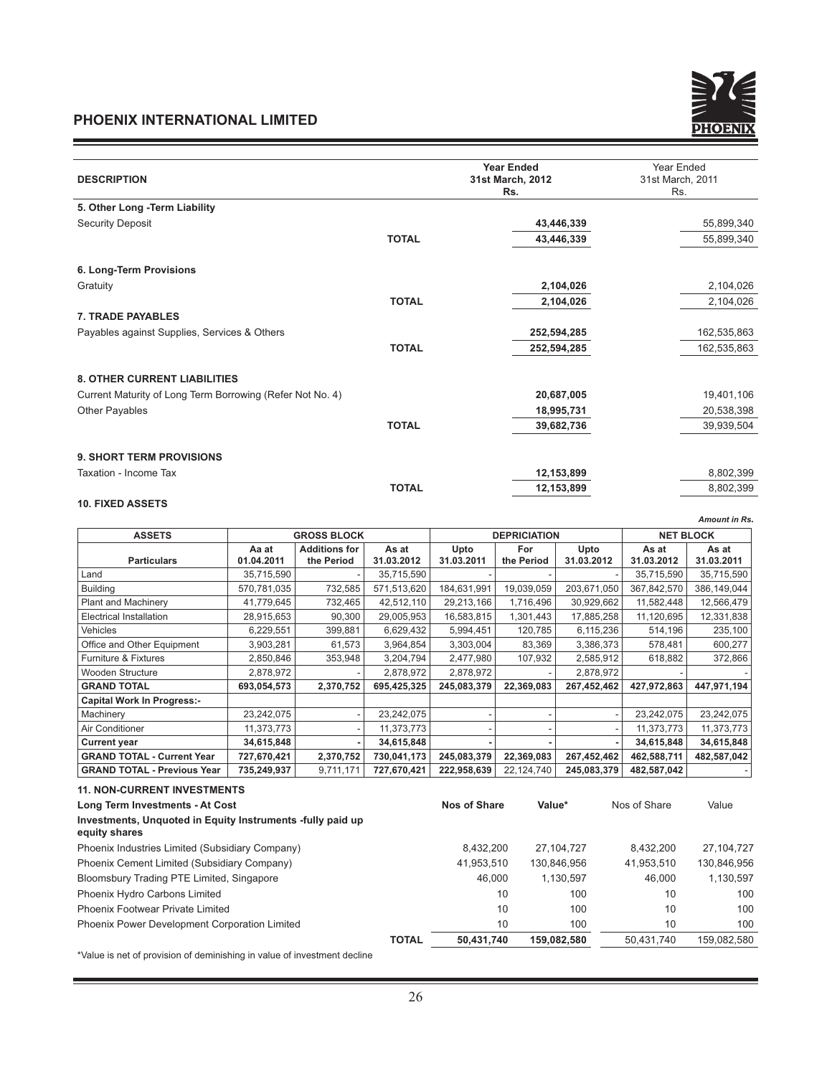

| <b>DESCRIPTION</b>                                        |              | <b>Year Ended</b><br>31st March, 2012<br>Rs. | Year Ended<br>31st March, 2011<br>Rs. |  |
|-----------------------------------------------------------|--------------|----------------------------------------------|---------------------------------------|--|
| 5. Other Long - Term Liability                            |              |                                              |                                       |  |
| <b>Security Deposit</b>                                   |              | 43,446,339                                   | 55,899,340                            |  |
|                                                           | <b>TOTAL</b> | 43,446,339                                   | 55,899,340                            |  |
| 6. Long-Term Provisions                                   |              |                                              |                                       |  |
| Gratuity                                                  |              | 2,104,026                                    | 2,104,026                             |  |
|                                                           | <b>TOTAL</b> | 2,104,026                                    | 2,104,026                             |  |
| <b>7. TRADE PAYABLES</b>                                  |              |                                              |                                       |  |
| Payables against Supplies, Services & Others              |              | 252,594,285                                  | 162,535,863                           |  |
|                                                           | <b>TOTAL</b> | 252,594,285                                  | 162,535,863                           |  |
| <b>8. OTHER CURRENT LIABILITIES</b>                       |              |                                              |                                       |  |
| Current Maturity of Long Term Borrowing (Refer Not No. 4) |              | 20,687,005                                   | 19,401,106                            |  |
| <b>Other Payables</b>                                     |              | 18,995,731                                   | 20,538,398                            |  |
|                                                           | <b>TOTAL</b> | 39,682,736                                   | 39,939,504                            |  |
| 9. SHORT TERM PROVISIONS                                  |              |                                              |                                       |  |
| Taxation - Income Tax                                     |              | 12,153,899                                   | 8,802,399                             |  |
|                                                           | <b>TOTAL</b> | 12,153,899                                   | 8,802,399                             |  |
| <b>10. FIXED ASSETS</b>                                   |              |                                              |                                       |  |

|                                    |                    |                      |             |                     |            |             |                  | <b>Amount in Rs.</b> |
|------------------------------------|--------------------|----------------------|-------------|---------------------|------------|-------------|------------------|----------------------|
| <b>ASSETS</b>                      | <b>GROSS BLOCK</b> |                      |             | <b>DEPRICIATION</b> |            |             | <b>NET BLOCK</b> |                      |
|                                    | Aa at              | <b>Additions for</b> | As at       | Upto                | For        | Upto        | As at            | As at                |
| <b>Particulars</b>                 | 01.04.2011         | the Period           | 31.03.2012  | 31.03.2011          | the Period | 31.03.2012  | 31.03.2012       | 31.03.2011           |
| Land                               | 35,715,590         |                      | 35,715,590  |                     |            |             | 35,715,590       | 35,715,590           |
| <b>Building</b>                    | 570,781,035        | 732,585              | 571,513,620 | 184,631,991         | 19,039,059 | 203,671,050 | 367,842,570      | 386,149,044          |
| <b>Plant and Machinery</b>         | 41,779,645         | 732,465              | 42,512,110  | 29,213,166          | 1,716,496  | 30,929,662  | 11,582,448       | 12,566,479           |
| Electrical Installation            | 28,915,653         | 90,300               | 29,005,953  | 16,583,815          | 1,301,443  | 17,885,258  | 11,120,695       | 12,331,838           |
| Vehicles                           | 6,229,551          | 399,881              | 6,629,432   | 5,994,451           | 120,785    | 6,115,236   | 514,196          | 235,100              |
| Office and Other Equipment         | 3,903,281          | 61,573               | 3,964,854   | 3,303,004           | 83,369     | 3,386,373   | 578,481          | 600,277              |
| <b>Furniture &amp; Fixtures</b>    | 2,850,846          | 353,948              | 3,204,794   | 2,477,980           | 107,932    | 2,585,912   | 618.882          | 372,866              |
| Wooden Structure                   | 2,878,972          |                      | 2,878,972   | 2,878,972           |            | 2,878,972   |                  |                      |
| <b>GRAND TOTAL</b>                 | 693,054,573        | 2,370,752            | 695,425,325 | 245,083,379         | 22,369,083 | 267,452,462 | 427,972,863      | 447,971,194          |
| <b>Capital Work In Progress:-</b>  |                    |                      |             |                     |            |             |                  |                      |
| Machinery                          | 23,242,075         |                      | 23,242,075  |                     |            |             | 23,242,075       | 23,242,075           |
| Air Conditioner                    | 11,373,773         |                      | 11,373,773  |                     |            |             | 11.373.773       | 11,373,773           |
| <b>Current year</b>                | 34,615,848         |                      | 34,615,848  |                     |            |             | 34,615,848       | 34,615,848           |
| <b>GRAND TOTAL - Current Year</b>  | 727,670,421        | 2,370,752            | 730,041,173 | 245,083,379         | 22,369,083 | 267,452,462 | 462,588,711      | 482,587,042          |
| <b>GRAND TOTAL - Previous Year</b> | 735,249,937        | 9,711,171            | 727,670,421 | 222,958,639         | 22,124,740 | 245,083,379 | 482,587,042      |                      |

| <b>11. NON-CURRENT INVESTMENTS</b>                                          |              |              |             |              |              |
|-----------------------------------------------------------------------------|--------------|--------------|-------------|--------------|--------------|
| Long Term Investments - At Cost                                             |              | Nos of Share | Value*      | Nos of Share | Value        |
| Investments, Unquoted in Equity Instruments -fully paid up<br>equity shares |              |              |             |              |              |
| Phoenix Industries Limited (Subsidiary Company)                             |              | 8,432,200    | 27.104.727  | 8.432,200    | 27, 104, 727 |
| Phoenix Cement Limited (Subsidiary Company)                                 |              | 41,953,510   | 130,846,956 | 41,953,510   | 130,846,956  |
| Bloomsbury Trading PTE Limited, Singapore                                   |              | 46.000       | 1.130.597   | 46.000       | 1.130.597    |
| Phoenix Hydro Carbons Limited                                               |              | 10           | 100         | 10           | 100          |
| Phoenix Footwear Private Limited                                            |              | 10           | 100         | 10           | 100          |
| Phoenix Power Development Corporation Limited                               |              | 10           | 100         | 10           | 100          |
|                                                                             | <b>TOTAL</b> | 50,431,740   | 159.082.580 | 50,431,740   | 159,082,580  |

\*Value is net of provision of deminishing in value of investment decline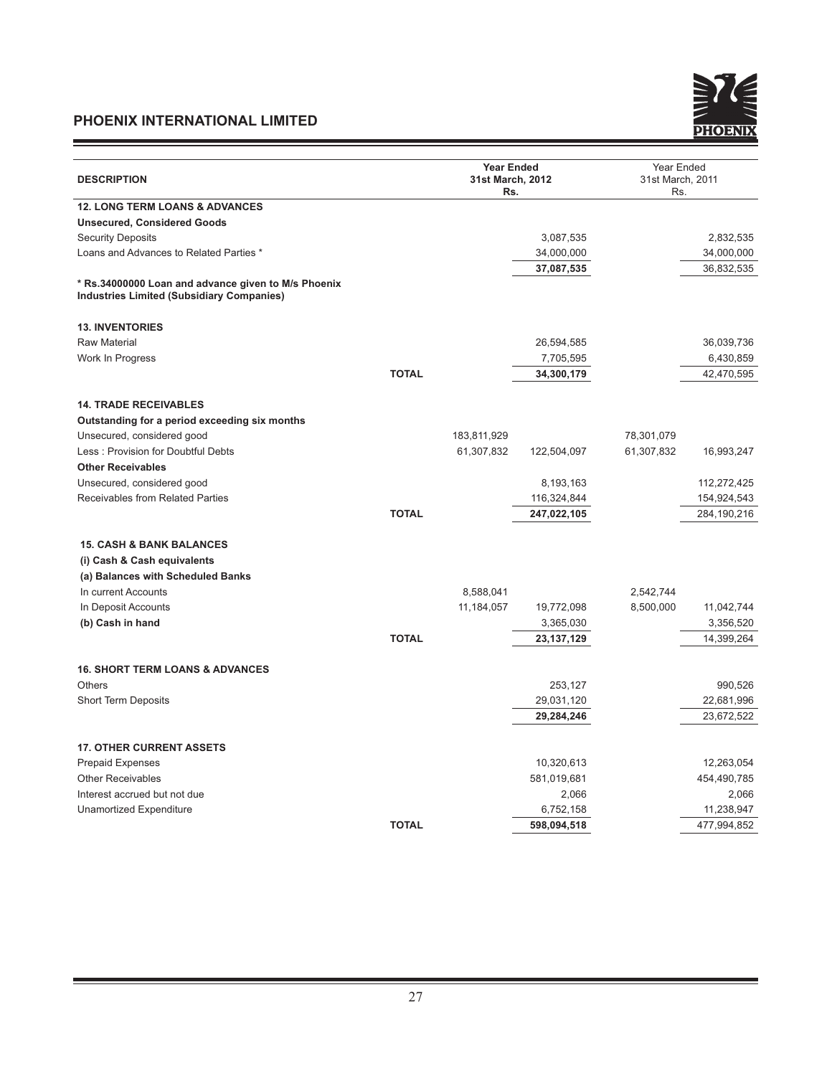<u> 1989 - Johann Barnett, fransk politiker (</u>

Ξ



|                                                                             | <b>Year Ended</b> |              |            |                                |  |
|-----------------------------------------------------------------------------|-------------------|--------------|------------|--------------------------------|--|
| <b>DESCRIPTION</b>                                                          | 31st March, 2012  |              |            | Year Ended<br>31st March, 2011 |  |
|                                                                             | Rs.               |              | Rs.        |                                |  |
| <b>12. LONG TERM LOANS &amp; ADVANCES</b>                                   |                   |              |            |                                |  |
| <b>Unsecured, Considered Goods</b>                                          |                   |              |            |                                |  |
| <b>Security Deposits</b>                                                    |                   | 3,087,535    |            | 2,832,535                      |  |
| Loans and Advances to Related Parties *                                     |                   | 34,000,000   |            | 34,000,000                     |  |
|                                                                             |                   | 37,087,535   |            | 36,832,535                     |  |
| * Rs.34000000 Loan and advance given to M/s Phoenix                         |                   |              |            |                                |  |
| <b>Industries Limited (Subsidiary Companies)</b>                            |                   |              |            |                                |  |
|                                                                             |                   |              |            |                                |  |
| <b>13. INVENTORIES</b>                                                      |                   |              |            |                                |  |
| <b>Raw Material</b>                                                         |                   | 26,594,585   |            | 36,039,736                     |  |
| Work In Progress<br><b>TOTAL</b>                                            |                   | 7,705,595    |            | 6,430,859                      |  |
|                                                                             |                   | 34,300,179   |            | 42,470,595                     |  |
| <b>14. TRADE RECEIVABLES</b>                                                |                   |              |            |                                |  |
|                                                                             |                   |              |            |                                |  |
| Outstanding for a period exceeding six months<br>Unsecured, considered good | 183,811,929       |              | 78,301,079 |                                |  |
| Less: Provision for Doubtful Debts                                          | 61,307,832        | 122,504,097  | 61,307,832 | 16,993,247                     |  |
| <b>Other Receivables</b>                                                    |                   |              |            |                                |  |
| Unsecured, considered good                                                  |                   | 8,193,163    |            | 112,272,425                    |  |
| <b>Receivables from Related Parties</b>                                     |                   | 116,324,844  |            | 154,924,543                    |  |
| <b>TOTAL</b>                                                                |                   | 247,022,105  |            | 284,190,216                    |  |
|                                                                             |                   |              |            |                                |  |
| <b>15. CASH &amp; BANK BALANCES</b>                                         |                   |              |            |                                |  |
| (i) Cash & Cash equivalents                                                 |                   |              |            |                                |  |
| (a) Balances with Scheduled Banks                                           |                   |              |            |                                |  |
| In current Accounts                                                         | 8,588,041         |              | 2,542,744  |                                |  |
| In Deposit Accounts                                                         | 11, 184, 057      | 19,772,098   | 8,500,000  | 11,042,744                     |  |
| (b) Cash in hand                                                            |                   | 3,365,030    |            | 3,356,520                      |  |
| <b>TOTAL</b>                                                                |                   | 23, 137, 129 |            | 14,399,264                     |  |
|                                                                             |                   |              |            |                                |  |
| <b>16. SHORT TERM LOANS &amp; ADVANCES</b>                                  |                   |              |            |                                |  |
| <b>Others</b>                                                               |                   | 253,127      |            | 990,526                        |  |
| <b>Short Term Deposits</b>                                                  |                   | 29,031,120   |            | 22,681,996                     |  |
|                                                                             |                   | 29,284,246   |            | 23,672,522                     |  |
|                                                                             |                   |              |            |                                |  |
| <b>17. OTHER CURRENT ASSETS</b>                                             |                   |              |            |                                |  |
| <b>Prepaid Expenses</b>                                                     |                   | 10,320,613   |            | 12,263,054                     |  |
| <b>Other Receivables</b>                                                    |                   | 581,019,681  |            | 454,490,785                    |  |
| Interest accrued but not due                                                |                   | 2,066        |            | 2,066                          |  |
| Unamortized Expenditure                                                     |                   | 6,752,158    |            | 11,238,947                     |  |
| <b>TOTAL</b>                                                                |                   | 598,094,518  |            | 477,994,852                    |  |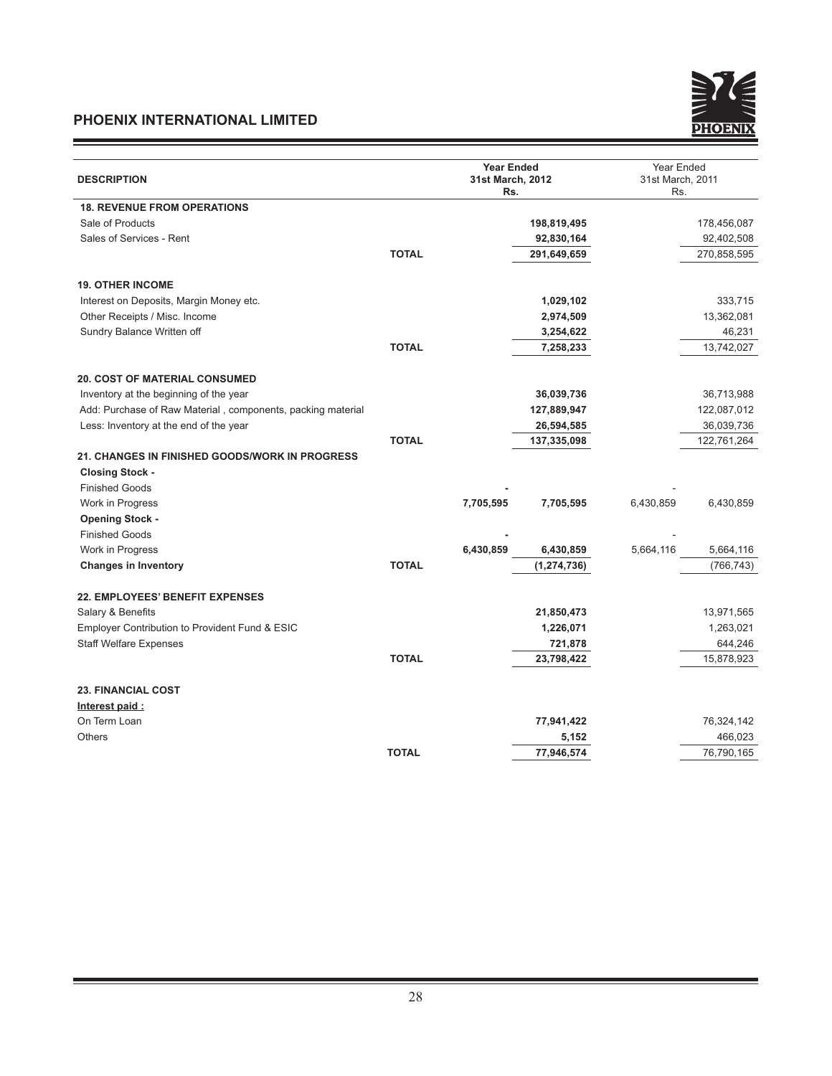and the control of the control of the control of



| <b>DESCRIPTION</b><br>31st March, 2012<br>31st March, 2011<br>Rs.<br>Rs.<br><b>18. REVENUE FROM OPERATIONS</b><br>Sale of Products<br>198,819,495<br>178,456,087<br>Sales of Services - Rent<br>92,830,164<br>92,402,508<br><b>TOTAL</b><br>291,649,659<br>270,858,595<br><b>19. OTHER INCOME</b><br>Interest on Deposits, Margin Money etc.<br>1,029,102<br>333,715<br>Other Receipts / Misc. Income<br>13,362,081<br>2,974,509<br>46,231<br>Sundry Balance Written off<br>3,254,622<br><b>TOTAL</b><br>7,258,233<br>13,742,027<br><b>20. COST OF MATERIAL CONSUMED</b><br>Inventory at the beginning of the year<br>36,039,736<br>36,713,988<br>Add: Purchase of Raw Material, components, packing material<br>127,889,947<br>122,087,012<br>Less: Inventory at the end of the year<br>36,039,736<br>26,594,585<br><b>TOTAL</b><br>137,335,098<br>122,761,264<br>21. CHANGES IN FINISHED GOODS/WORK IN PROGRESS<br><b>Closing Stock -</b><br><b>Finished Goods</b><br>Work in Progress<br>7,705,595<br>6,430,859<br>6,430,859<br>7,705,595<br><b>Opening Stock -</b><br><b>Finished Goods</b><br>6,430,859<br>Work in Progress<br>6,430,859<br>5,664,116<br>5,664,116<br><b>TOTAL</b><br>(1, 274, 736)<br>(766, 743)<br><b>Changes in Inventory</b><br><b>22. EMPLOYEES' BENEFIT EXPENSES</b><br>Salary & Benefits<br>21,850,473<br>13,971,565<br>Employer Contribution to Provident Fund & ESIC<br>1,226,071<br>1,263,021<br><b>Staff Welfare Expenses</b><br>721,878<br>644,246<br><b>TOTAL</b><br>23,798,422<br>15,878,923<br><b>23. FINANCIAL COST</b><br>Interest paid:<br>On Term Loan<br>77,941,422<br>76,324,142<br><b>Others</b><br>466,023<br>5,152<br><b>TOTAL</b><br>77,946,574<br>76,790,165 |  |  | <b>Year Ended</b> |  | Year Ended |  |
|-------------------------------------------------------------------------------------------------------------------------------------------------------------------------------------------------------------------------------------------------------------------------------------------------------------------------------------------------------------------------------------------------------------------------------------------------------------------------------------------------------------------------------------------------------------------------------------------------------------------------------------------------------------------------------------------------------------------------------------------------------------------------------------------------------------------------------------------------------------------------------------------------------------------------------------------------------------------------------------------------------------------------------------------------------------------------------------------------------------------------------------------------------------------------------------------------------------------------------------------------------------------------------------------------------------------------------------------------------------------------------------------------------------------------------------------------------------------------------------------------------------------------------------------------------------------------------------------------------------------------------------------------------------------------------------------------------------|--|--|-------------------|--|------------|--|
|                                                                                                                                                                                                                                                                                                                                                                                                                                                                                                                                                                                                                                                                                                                                                                                                                                                                                                                                                                                                                                                                                                                                                                                                                                                                                                                                                                                                                                                                                                                                                                                                                                                                                                             |  |  |                   |  |            |  |
|                                                                                                                                                                                                                                                                                                                                                                                                                                                                                                                                                                                                                                                                                                                                                                                                                                                                                                                                                                                                                                                                                                                                                                                                                                                                                                                                                                                                                                                                                                                                                                                                                                                                                                             |  |  |                   |  |            |  |
|                                                                                                                                                                                                                                                                                                                                                                                                                                                                                                                                                                                                                                                                                                                                                                                                                                                                                                                                                                                                                                                                                                                                                                                                                                                                                                                                                                                                                                                                                                                                                                                                                                                                                                             |  |  |                   |  |            |  |
|                                                                                                                                                                                                                                                                                                                                                                                                                                                                                                                                                                                                                                                                                                                                                                                                                                                                                                                                                                                                                                                                                                                                                                                                                                                                                                                                                                                                                                                                                                                                                                                                                                                                                                             |  |  |                   |  |            |  |
|                                                                                                                                                                                                                                                                                                                                                                                                                                                                                                                                                                                                                                                                                                                                                                                                                                                                                                                                                                                                                                                                                                                                                                                                                                                                                                                                                                                                                                                                                                                                                                                                                                                                                                             |  |  |                   |  |            |  |
|                                                                                                                                                                                                                                                                                                                                                                                                                                                                                                                                                                                                                                                                                                                                                                                                                                                                                                                                                                                                                                                                                                                                                                                                                                                                                                                                                                                                                                                                                                                                                                                                                                                                                                             |  |  |                   |  |            |  |
|                                                                                                                                                                                                                                                                                                                                                                                                                                                                                                                                                                                                                                                                                                                                                                                                                                                                                                                                                                                                                                                                                                                                                                                                                                                                                                                                                                                                                                                                                                                                                                                                                                                                                                             |  |  |                   |  |            |  |
|                                                                                                                                                                                                                                                                                                                                                                                                                                                                                                                                                                                                                                                                                                                                                                                                                                                                                                                                                                                                                                                                                                                                                                                                                                                                                                                                                                                                                                                                                                                                                                                                                                                                                                             |  |  |                   |  |            |  |
|                                                                                                                                                                                                                                                                                                                                                                                                                                                                                                                                                                                                                                                                                                                                                                                                                                                                                                                                                                                                                                                                                                                                                                                                                                                                                                                                                                                                                                                                                                                                                                                                                                                                                                             |  |  |                   |  |            |  |
|                                                                                                                                                                                                                                                                                                                                                                                                                                                                                                                                                                                                                                                                                                                                                                                                                                                                                                                                                                                                                                                                                                                                                                                                                                                                                                                                                                                                                                                                                                                                                                                                                                                                                                             |  |  |                   |  |            |  |
|                                                                                                                                                                                                                                                                                                                                                                                                                                                                                                                                                                                                                                                                                                                                                                                                                                                                                                                                                                                                                                                                                                                                                                                                                                                                                                                                                                                                                                                                                                                                                                                                                                                                                                             |  |  |                   |  |            |  |
|                                                                                                                                                                                                                                                                                                                                                                                                                                                                                                                                                                                                                                                                                                                                                                                                                                                                                                                                                                                                                                                                                                                                                                                                                                                                                                                                                                                                                                                                                                                                                                                                                                                                                                             |  |  |                   |  |            |  |
|                                                                                                                                                                                                                                                                                                                                                                                                                                                                                                                                                                                                                                                                                                                                                                                                                                                                                                                                                                                                                                                                                                                                                                                                                                                                                                                                                                                                                                                                                                                                                                                                                                                                                                             |  |  |                   |  |            |  |
|                                                                                                                                                                                                                                                                                                                                                                                                                                                                                                                                                                                                                                                                                                                                                                                                                                                                                                                                                                                                                                                                                                                                                                                                                                                                                                                                                                                                                                                                                                                                                                                                                                                                                                             |  |  |                   |  |            |  |
|                                                                                                                                                                                                                                                                                                                                                                                                                                                                                                                                                                                                                                                                                                                                                                                                                                                                                                                                                                                                                                                                                                                                                                                                                                                                                                                                                                                                                                                                                                                                                                                                                                                                                                             |  |  |                   |  |            |  |
|                                                                                                                                                                                                                                                                                                                                                                                                                                                                                                                                                                                                                                                                                                                                                                                                                                                                                                                                                                                                                                                                                                                                                                                                                                                                                                                                                                                                                                                                                                                                                                                                                                                                                                             |  |  |                   |  |            |  |
|                                                                                                                                                                                                                                                                                                                                                                                                                                                                                                                                                                                                                                                                                                                                                                                                                                                                                                                                                                                                                                                                                                                                                                                                                                                                                                                                                                                                                                                                                                                                                                                                                                                                                                             |  |  |                   |  |            |  |
|                                                                                                                                                                                                                                                                                                                                                                                                                                                                                                                                                                                                                                                                                                                                                                                                                                                                                                                                                                                                                                                                                                                                                                                                                                                                                                                                                                                                                                                                                                                                                                                                                                                                                                             |  |  |                   |  |            |  |
|                                                                                                                                                                                                                                                                                                                                                                                                                                                                                                                                                                                                                                                                                                                                                                                                                                                                                                                                                                                                                                                                                                                                                                                                                                                                                                                                                                                                                                                                                                                                                                                                                                                                                                             |  |  |                   |  |            |  |
|                                                                                                                                                                                                                                                                                                                                                                                                                                                                                                                                                                                                                                                                                                                                                                                                                                                                                                                                                                                                                                                                                                                                                                                                                                                                                                                                                                                                                                                                                                                                                                                                                                                                                                             |  |  |                   |  |            |  |
|                                                                                                                                                                                                                                                                                                                                                                                                                                                                                                                                                                                                                                                                                                                                                                                                                                                                                                                                                                                                                                                                                                                                                                                                                                                                                                                                                                                                                                                                                                                                                                                                                                                                                                             |  |  |                   |  |            |  |
|                                                                                                                                                                                                                                                                                                                                                                                                                                                                                                                                                                                                                                                                                                                                                                                                                                                                                                                                                                                                                                                                                                                                                                                                                                                                                                                                                                                                                                                                                                                                                                                                                                                                                                             |  |  |                   |  |            |  |
|                                                                                                                                                                                                                                                                                                                                                                                                                                                                                                                                                                                                                                                                                                                                                                                                                                                                                                                                                                                                                                                                                                                                                                                                                                                                                                                                                                                                                                                                                                                                                                                                                                                                                                             |  |  |                   |  |            |  |
|                                                                                                                                                                                                                                                                                                                                                                                                                                                                                                                                                                                                                                                                                                                                                                                                                                                                                                                                                                                                                                                                                                                                                                                                                                                                                                                                                                                                                                                                                                                                                                                                                                                                                                             |  |  |                   |  |            |  |
|                                                                                                                                                                                                                                                                                                                                                                                                                                                                                                                                                                                                                                                                                                                                                                                                                                                                                                                                                                                                                                                                                                                                                                                                                                                                                                                                                                                                                                                                                                                                                                                                                                                                                                             |  |  |                   |  |            |  |
|                                                                                                                                                                                                                                                                                                                                                                                                                                                                                                                                                                                                                                                                                                                                                                                                                                                                                                                                                                                                                                                                                                                                                                                                                                                                                                                                                                                                                                                                                                                                                                                                                                                                                                             |  |  |                   |  |            |  |
|                                                                                                                                                                                                                                                                                                                                                                                                                                                                                                                                                                                                                                                                                                                                                                                                                                                                                                                                                                                                                                                                                                                                                                                                                                                                                                                                                                                                                                                                                                                                                                                                                                                                                                             |  |  |                   |  |            |  |
|                                                                                                                                                                                                                                                                                                                                                                                                                                                                                                                                                                                                                                                                                                                                                                                                                                                                                                                                                                                                                                                                                                                                                                                                                                                                                                                                                                                                                                                                                                                                                                                                                                                                                                             |  |  |                   |  |            |  |
|                                                                                                                                                                                                                                                                                                                                                                                                                                                                                                                                                                                                                                                                                                                                                                                                                                                                                                                                                                                                                                                                                                                                                                                                                                                                                                                                                                                                                                                                                                                                                                                                                                                                                                             |  |  |                   |  |            |  |
|                                                                                                                                                                                                                                                                                                                                                                                                                                                                                                                                                                                                                                                                                                                                                                                                                                                                                                                                                                                                                                                                                                                                                                                                                                                                                                                                                                                                                                                                                                                                                                                                                                                                                                             |  |  |                   |  |            |  |
|                                                                                                                                                                                                                                                                                                                                                                                                                                                                                                                                                                                                                                                                                                                                                                                                                                                                                                                                                                                                                                                                                                                                                                                                                                                                                                                                                                                                                                                                                                                                                                                                                                                                                                             |  |  |                   |  |            |  |
|                                                                                                                                                                                                                                                                                                                                                                                                                                                                                                                                                                                                                                                                                                                                                                                                                                                                                                                                                                                                                                                                                                                                                                                                                                                                                                                                                                                                                                                                                                                                                                                                                                                                                                             |  |  |                   |  |            |  |
|                                                                                                                                                                                                                                                                                                                                                                                                                                                                                                                                                                                                                                                                                                                                                                                                                                                                                                                                                                                                                                                                                                                                                                                                                                                                                                                                                                                                                                                                                                                                                                                                                                                                                                             |  |  |                   |  |            |  |
|                                                                                                                                                                                                                                                                                                                                                                                                                                                                                                                                                                                                                                                                                                                                                                                                                                                                                                                                                                                                                                                                                                                                                                                                                                                                                                                                                                                                                                                                                                                                                                                                                                                                                                             |  |  |                   |  |            |  |
|                                                                                                                                                                                                                                                                                                                                                                                                                                                                                                                                                                                                                                                                                                                                                                                                                                                                                                                                                                                                                                                                                                                                                                                                                                                                                                                                                                                                                                                                                                                                                                                                                                                                                                             |  |  |                   |  |            |  |
|                                                                                                                                                                                                                                                                                                                                                                                                                                                                                                                                                                                                                                                                                                                                                                                                                                                                                                                                                                                                                                                                                                                                                                                                                                                                                                                                                                                                                                                                                                                                                                                                                                                                                                             |  |  |                   |  |            |  |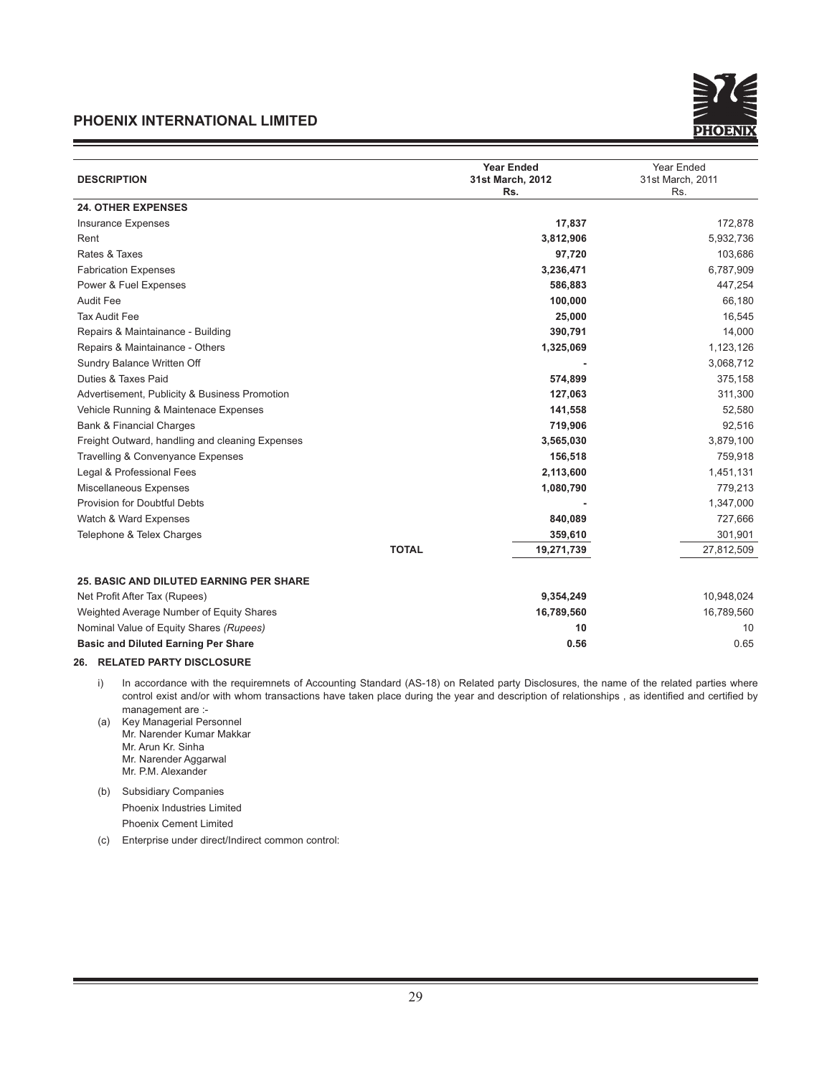

| <b>DESCRIPTION</b>                              | <b>Year Ended</b><br>31st March, 2012<br>Rs. | Year Ended<br>31st March, 2011<br>Rs. |
|-------------------------------------------------|----------------------------------------------|---------------------------------------|
| <b>24. OTHER EXPENSES</b>                       |                                              |                                       |
| <b>Insurance Expenses</b>                       | 17,837                                       | 172,878                               |
| Rent                                            | 3,812,906                                    | 5,932,736                             |
| Rates & Taxes                                   | 97,720                                       | 103,686                               |
| <b>Fabrication Expenses</b>                     | 3,236,471                                    | 6,787,909                             |
| Power & Fuel Expenses                           | 586,883                                      | 447,254                               |
| <b>Audit Fee</b>                                | 100,000                                      | 66,180                                |
| <b>Tax Audit Fee</b>                            | 25,000                                       | 16,545                                |
| Repairs & Maintainance - Building               | 390,791                                      | 14,000                                |
| Repairs & Maintainance - Others                 | 1,325,069                                    | 1,123,126                             |
| Sundry Balance Written Off                      |                                              | 3,068,712                             |
| Duties & Taxes Paid                             | 574,899                                      | 375,158                               |
| Advertisement, Publicity & Business Promotion   | 127,063                                      | 311,300                               |
| Vehicle Running & Maintenace Expenses           | 141,558                                      | 52,580                                |
| <b>Bank &amp; Financial Charges</b>             | 719,906                                      | 92,516                                |
| Freight Outward, handling and cleaning Expenses | 3,565,030                                    | 3,879,100                             |
| Travelling & Convenyance Expenses               | 156,518                                      | 759,918                               |
| Legal & Professional Fees                       | 2,113,600                                    | 1,451,131                             |
| Miscellaneous Expenses                          | 1,080,790                                    | 779,213                               |
| <b>Provision for Doubtful Debts</b>             |                                              | 1,347,000                             |
| Watch & Ward Expenses                           | 840,089                                      | 727,666                               |
| Telephone & Telex Charges                       | 359,610                                      | 301,901                               |
|                                                 | <b>TOTAL</b><br>19,271,739                   | 27,812,509                            |
| <b>25. BASIC AND DILUTED EARNING PER SHARE</b>  |                                              |                                       |
| Net Profit After Tax (Rupees)                   | 9,354,249                                    | 10,948,024                            |
| Weighted Average Number of Equity Shares        | 16,789,560                                   | 16,789,560                            |
| Nominal Value of Equity Shares (Rupees)         | 10                                           | 10                                    |
| <b>Basic and Diluted Earning Per Share</b>      | 0.56                                         | 0.65                                  |

#### **26. RELATED PARTY DISCLOSURE**

- i) In accordance with the requiremnets of Accounting Standard (AS-18) on Related party Disclosures, the name of the related parties where control exist and/or with whom transactions have taken place during the year and description of relationships, as identified and certified by management are :-
- (a) Key Managerial Personnel Mr. Narender Kumar Makkar Mr. Arun Kr. Sinha Mr. Narender Aggarwal Mr. P.M. Alexander
- (b) Subsidiary Companies Phoenix Industries Limited Phoenix Cement Limited
- (c) Enterprise under direct/Indirect common control: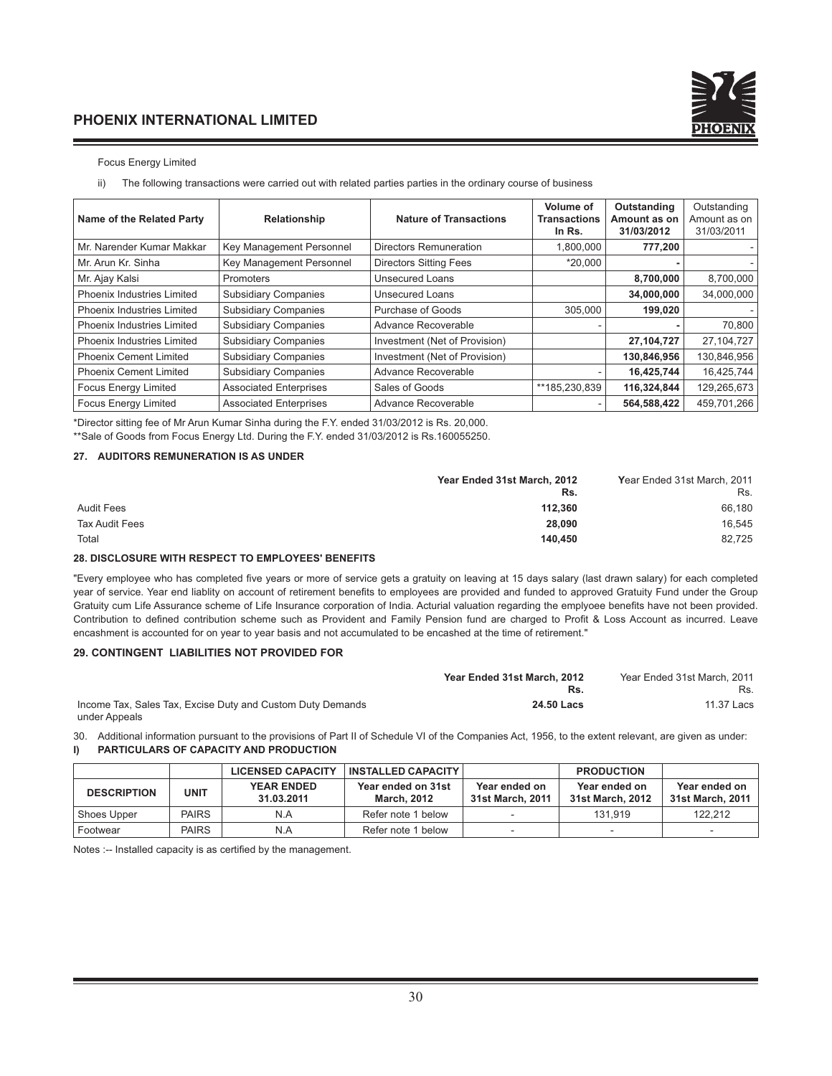

#### Focus Energy Limited

ii) The following transactions were carried out with related parties parties in the ordinary course of business

| Name of the Related Party         | Relationship                  | <b>Nature of Transactions</b> | Volume of<br><b>Transactions</b><br>In Rs. | Outstanding<br>Amount as on<br>31/03/2012 | Outstanding<br>Amount as on<br>31/03/2011 |
|-----------------------------------|-------------------------------|-------------------------------|--------------------------------------------|-------------------------------------------|-------------------------------------------|
| Mr. Narender Kumar Makkar         | Key Management Personnel      | Directors Remuneration        | 1,800,000                                  | 777,200                                   |                                           |
| Mr. Arun Kr. Sinha                | Key Management Personnel      | <b>Directors Sitting Fees</b> | $*20.000$                                  |                                           |                                           |
| Mr. Ajay Kalsi                    | Promoters                     | <b>Unsecured Loans</b>        |                                            | 8,700,000                                 | 8,700,000                                 |
| Phoenix Industries Limited        | <b>Subsidiary Companies</b>   | Unsecured Loans               |                                            | 34,000,000                                | 34,000,000                                |
| Phoenix Industries Limited        | <b>Subsidiary Companies</b>   | Purchase of Goods             | 305.000                                    | 199.020                                   |                                           |
| <b>Phoenix Industries Limited</b> | <b>Subsidiary Companies</b>   | Advance Recoverable           |                                            |                                           | 70,800                                    |
| <b>Phoenix Industries Limited</b> | <b>Subsidiary Companies</b>   | Investment (Net of Provision) |                                            | 27,104,727                                | 27,104,727                                |
| <b>Phoenix Cement Limited</b>     | <b>Subsidiary Companies</b>   | Investment (Net of Provision) |                                            | 130,846,956                               | 130,846,956                               |
| <b>Phoenix Cement Limited</b>     | <b>Subsidiary Companies</b>   | Advance Recoverable           |                                            | 16,425,744                                | 16,425,744                                |
| <b>Focus Energy Limited</b>       | <b>Associated Enterprises</b> | Sales of Goods                | **185,230,839                              | 116,324,844                               | 129,265,673                               |
| <b>Focus Energy Limited</b>       | <b>Associated Enterprises</b> | Advance Recoverable           |                                            | 564,588,422                               | 459,701,266                               |

\*Director sitting fee of Mr Arun Kumar Sinha during the F.Y. ended 31/03/2012 is Rs. 20,000.

\*\*Sale of Goods from Focus Energy Ltd. During the F.Y. ended 31/03/2012 is Rs.160055250.

#### **27. AUDITORS REMUNERATION IS AS UNDER**

|                   | Year Ended 31st March, 2012 | Year Ended 31st March, 2011 |
|-------------------|-----------------------------|-----------------------------|
|                   | Rs.                         | Rs.                         |
| <b>Audit Fees</b> | 112.360                     | 66.180                      |
| Tax Audit Fees    | 28,090                      | 16.545                      |
| Total             | 140.450                     | 82,725                      |

#### **28. DISCLOSURE WITH RESPECT TO EMPLOYEES' BENEFITS**

"Every employee who has completed five years or more of service gets a gratuity on leaving at 15 days salary (last drawn salary) for each completed year of service. Year end liablity on account of retirement benefits to employees are provided and funded to approved Gratuity Fund under the Group Gratuity cum Life Assurance scheme of Life Insurance corporation of India. Acturial valuation regarding the emplyoee benefits have not been provided. Contribution to defined contribution scheme such as Provident and Family Pension fund are charged to Profit & Loss Account as incurred. Leave encashment is accounted for on year to year basis and not accumulated to be encashed at the time of retirement."

#### **29. CONTINGENT LIABILITIES NOT PROVIDED FOR**

|                                                            | Year Ended 31st March, 2012 | Year Ended 31st March, 2011 |
|------------------------------------------------------------|-----------------------------|-----------------------------|
|                                                            |                             | Rs.                         |
| Income Tax, Sales Tax, Excise Duty and Custom Duty Demands | 24.50 Lacs                  | 11.37 Lacs                  |
| under Appeals                                              |                             |                             |

30. Additional information pursuant to the provisions of Part II of Schedule VI of the Companies Act, 1956, to the extent relevant, are given as under: **I) PARTICULARS OF CAPACITY AND PRODUCTION**

|                    |              | <b>LICENSED CAPACITY</b>        | <b>INSTALLED CAPACITY</b>                |                                   | <b>PRODUCTION</b>                 |                                   |
|--------------------|--------------|---------------------------------|------------------------------------------|-----------------------------------|-----------------------------------|-----------------------------------|
| <b>DESCRIPTION</b> | <b>UNIT</b>  | <b>YEAR ENDED</b><br>31.03.2011 | Year ended on 31st<br><b>March, 2012</b> | Year ended on<br>31st March, 2011 | Year ended on<br>31st March, 2012 | Year ended on<br>31st March, 2011 |
| Shoes Upper        | <b>PAIRS</b> | N.A                             | Refer note 1 below                       |                                   | 131.919                           | 122.212                           |
| Footwear           | <b>PAIRS</b> | N.A                             | Refer note 1 below                       |                                   |                                   | $\overline{\phantom{a}}$          |

Notes :-- Installed capacity is as certified by the management.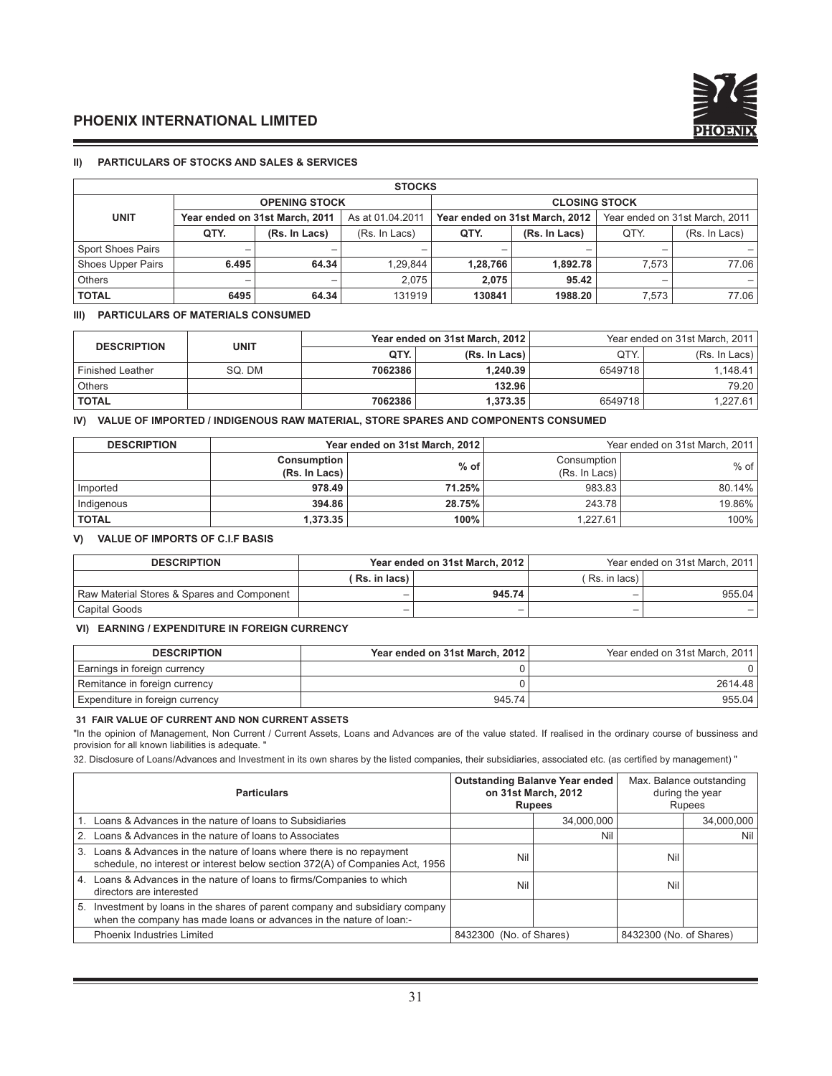

#### **II) PARTICULARS OF STOCKS AND SALES & SERVICES**

| <b>STOCKS</b>            |                      |                                |                  |                                |               |                                |               |  |
|--------------------------|----------------------|--------------------------------|------------------|--------------------------------|---------------|--------------------------------|---------------|--|
|                          | <b>OPENING STOCK</b> |                                |                  | <b>CLOSING STOCK</b>           |               |                                |               |  |
| <b>UNIT</b>              |                      | Year ended on 31st March, 2011 | As at 01.04.2011 | Year ended on 31st March, 2012 |               | Year ended on 31st March, 2011 |               |  |
|                          | QTY.                 | (Rs. In Lacs)                  | (Rs. In Lacs)    | QTY.                           | (Rs. In Lacs) | QTY.                           | (Rs. In Lacs) |  |
| <b>Sport Shoes Pairs</b> |                      | -                              |                  |                                |               |                                |               |  |
| <b>Shoes Upper Pairs</b> | 6.495                | 64.34                          | 1.29.844         | 1,28,766                       | 1.892.78      | 7.573                          | 77.06         |  |
| <b>Others</b>            | -                    | -                              | 2.075            | 2.075                          | 95.42         | -                              |               |  |
| <b>TOTAL</b>             | 6495                 | 64.34                          | 131919           | 130841                         | 1988.20       | 7,573                          | 77.06 l       |  |

#### **III) PARTICULARS OF MATERIALS CONSUMED**

| <b>DESCRIPTION</b>      | <b>UNIT</b> |         | Year ended on 31st March, 2012 | Year ended on 31st March, 2011 |               |  |
|-------------------------|-------------|---------|--------------------------------|--------------------------------|---------------|--|
|                         |             | QTY.    | (Rs. In Lacs)                  | QTY.                           | (Rs. In Lacs) |  |
| <b>Finished Leather</b> | SO. DM      | 7062386 | 1.240.39                       | 6549718                        | 1.148.41      |  |
| <b>Others</b>           |             |         | 132.96                         |                                | 79.20         |  |
| <b>TOTAL</b>            |             | 7062386 | 1.373.35                       | 6549718                        | 1.227.61      |  |

#### **IV) VALUE OF IMPORTED / INDIGENOUS RAW MATERIAL, STORE SPARES AND COMPONENTS CONSUMED**

| <b>DESCRIPTION</b> | Year ended on 31st March, 2012      |        | Year ended on 31st March, 2011 |        |  |
|--------------------|-------------------------------------|--------|--------------------------------|--------|--|
|                    | <b>Consumption</b><br>(Rs. In Lacs) | $%$ of | Consumption<br>(Rs. In Lacs)   | $%$ of |  |
| Imported           | 978.49                              | 71.25% | 983.83                         | 80.14% |  |
| Indigenous         | 394.86                              | 28.75% | 243.78                         | 19.86% |  |
| <b>TOTAL</b>       | 1.373.35                            | 100%   | 1.227.61                       | 100%   |  |

#### **V) VALUE OF IMPORTS OF C.I.F BASIS**

| <b>DESCRIPTION</b>                         |               | Year ended on 31st March, 2012 | Year ended on 31st March, 2011 |        |  |
|--------------------------------------------|---------------|--------------------------------|--------------------------------|--------|--|
|                                            | (Rs. in lacs) |                                | (Rs. in lacs)                  |        |  |
| Raw Material Stores & Spares and Component | -             | 945.74                         | -                              | 955.04 |  |
| Capital Goods                              | -             |                                | -                              |        |  |

#### **VI) EARNING / EXPENDITURE IN FOREIGN CURRENCY**

| <b>DESCRIPTION</b>              | Year ended on 31st March, 2012 | Year ended on 31st March, 2011 |
|---------------------------------|--------------------------------|--------------------------------|
| Earnings in foreign currency    |                                |                                |
| Remitance in foreign currency   |                                | 2614.48                        |
| Expenditure in foreign currency | 945.74                         | 955.04                         |

#### **31 FAIR VALUE OF CURRENT AND NON CURRENT ASSETS**

"In the opinion of Management, Non Current / Current Assets, Loans and Advances are of the value stated. If realised in the ordinary course of bussiness and provision for all known liabilities is adequate. "

32. Disclosure of Loans/Advances and Investment in its own shares by the listed companies, their subsidiaries, associated etc. (as certified by management) "

| <b>Particulars</b>                                                                                                                                      |                         | <b>Outstanding Balanve Year ended</b><br>on 31st March, 2012<br><b>Rupees</b> |                         | Max. Balance outstanding<br>during the year<br><b>Rupees</b> |
|---------------------------------------------------------------------------------------------------------------------------------------------------------|-------------------------|-------------------------------------------------------------------------------|-------------------------|--------------------------------------------------------------|
| 1. Loans & Advances in the nature of loans to Subsidiaries                                                                                              |                         | 34,000,000                                                                    |                         | 34,000,000                                                   |
| 2. Loans & Advances in the nature of loans to Associates                                                                                                |                         | Nil                                                                           |                         | Nil                                                          |
| 3. Loans & Advances in the nature of loans where there is no repayment<br>schedule, no interest or interest below section 372(A) of Companies Act, 1956 | Nil                     |                                                                               | Nil                     |                                                              |
| 4. Loans & Advances in the nature of loans to firms/Companies to which<br>directors are interested                                                      | Nil                     |                                                                               | Nil                     |                                                              |
| 5. Investment by loans in the shares of parent company and subsidiary company<br>when the company has made loans or advances in the nature of loan:-    |                         |                                                                               |                         |                                                              |
| <b>Phoenix Industries Limited</b>                                                                                                                       | 8432300 (No. of Shares) |                                                                               | 8432300 (No. of Shares) |                                                              |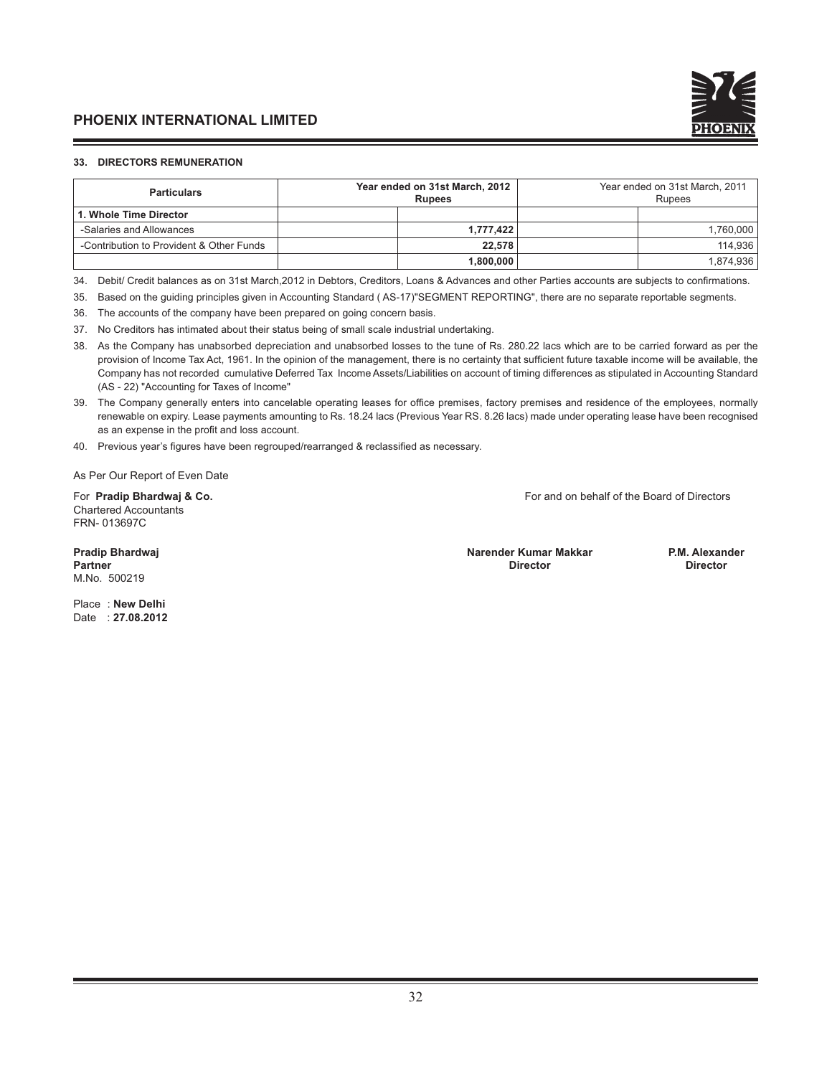

#### **33. DIRECTORS REMUNERATION**

| <b>Particulars</b>                       | Year ended on 31st March, 2012<br><b>Rupees</b> |           | Year ended on 31st March, 2011<br><b>Rupees</b> |           |  |
|------------------------------------------|-------------------------------------------------|-----------|-------------------------------------------------|-----------|--|
| 1. Whole Time Director                   |                                                 |           |                                                 |           |  |
| -Salaries and Allowances                 |                                                 | 1.777.422 |                                                 | 1.760.000 |  |
| -Contribution to Provident & Other Funds |                                                 | 22.578    |                                                 | 114.936   |  |
|                                          |                                                 | 1.800.000 |                                                 | 1,874,936 |  |

34. Debit/ Credit balances as on 31st March,2012 in Debtors, Creditors, Loans & Advances and other Parties accounts are subjects to confirmations.

35. Based on the guiding principles given in Accounting Standard ( AS-17)"SEGMENT REPORTING", there are no separate reportable segments.

36. The accounts of the company have been prepared on going concern basis.

37. No Creditors has intimated about their status being of small scale industrial undertaking.

38. As the Company has unabsorbed depreciation and unabsorbed losses to the tune of Rs. 280.22 lacs which are to be carried forward as per the provision of Income Tax Act, 1961. In the opinion of the management, there is no certainty that sufficient future taxable income will be available, the Company has not recorded cumulative Deferred Tax Income Assets/Liabilities on account of timing differences as stipulated in Accounting Standard (AS - 22) "Accounting for Taxes of Income"

39. The Company generally enters into cancelable operating leases for office premises, factory premises and residence of the employees, normally renewable on expiry. Lease payments amounting to Rs. 18.24 lacs (Previous Year RS. 8.26 lacs) made under operating lease have been recognised as an expense in the profit and loss account.

40. Previous year's figures have been regrouped/rearranged & reclassified as necessary.

As Per Our Report of Even Date

Chartered Accountants FRN- 013697C

For **Pradip Bhardwaj & Co.** For and on behalf of the Board of Directors

M.No. 500219

**Pradip Bhardwaj Narender Kumar Makkar P.M. Alexander Partner Director Director**

Place : **New Delhi**  Date : **27.08.2012**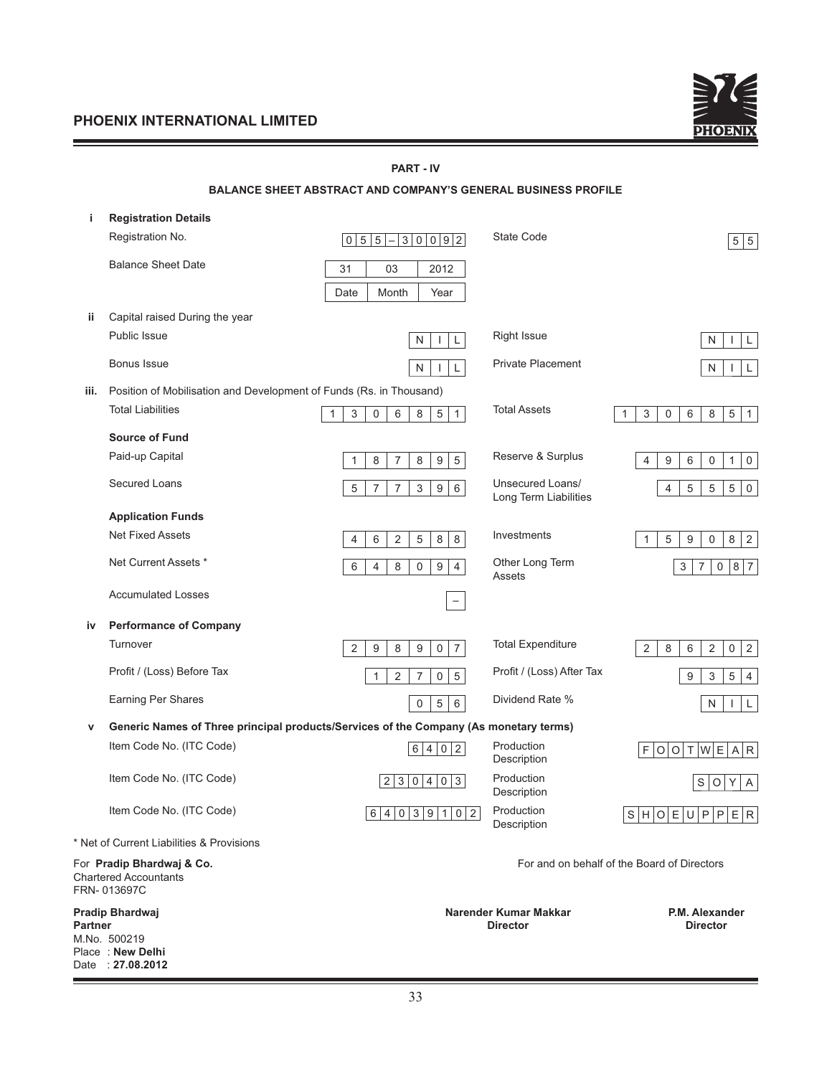Date : **27.08.2012**



|         | <b>PART - IV</b>                                                                      |                                                                                |                                           |                                                                       |  |  |  |
|---------|---------------------------------------------------------------------------------------|--------------------------------------------------------------------------------|-------------------------------------------|-----------------------------------------------------------------------|--|--|--|
|         |                                                                                       | <b>BALANCE SHEET ABSTRACT AND COMPANY'S GENERAL BUSINESS PROFILE</b>           |                                           |                                                                       |  |  |  |
| j.      | <b>Registration Details</b>                                                           |                                                                                |                                           |                                                                       |  |  |  |
|         | Registration No.                                                                      | $0 5 5 -3 0 0 9 2 $                                                            | State Code                                | 5 5                                                                   |  |  |  |
|         | <b>Balance Sheet Date</b>                                                             | 31<br>03<br>2012                                                               |                                           |                                                                       |  |  |  |
|         |                                                                                       | Month<br>Date<br>Year                                                          |                                           |                                                                       |  |  |  |
| ij.     | Capital raised During the year                                                        |                                                                                |                                           |                                                                       |  |  |  |
|         | Public Issue                                                                          | L<br>N                                                                         | <b>Right Issue</b>                        | ${\sf N}$<br>L<br>$\mathbf{I}$                                        |  |  |  |
|         |                                                                                       |                                                                                | <b>Private Placement</b>                  |                                                                       |  |  |  |
|         | Bonus Issue                                                                           | $\mathsf{N}$<br>L                                                              |                                           | $\mathsf{N}$<br>L<br>J.                                               |  |  |  |
| iii.    | Position of Mobilisation and Development of Funds (Rs. in Thousand)                   |                                                                                |                                           |                                                                       |  |  |  |
|         | <b>Total Liabilities</b>                                                              | 5<br>$\mathbf{1}$<br>3<br>6<br>8<br>1<br>$\mathbf 0$                           | <b>Total Assets</b>                       | $\,6\,$<br>5<br>$\mathbf{3}$<br>$\mathbf 0$<br>8<br>$\mathbf{1}$<br>1 |  |  |  |
|         | <b>Source of Fund</b>                                                                 |                                                                                |                                           |                                                                       |  |  |  |
|         | Paid-up Capital                                                                       | $\overline{5}$<br>8<br>$\overline{7}$<br>8<br>$\boldsymbol{9}$<br>$\mathbf{1}$ | Reserve & Surplus                         | $\,6\,$<br>4<br>9<br>$\boldsymbol{0}$<br>$\mathbf{1}$<br>$\mathsf 0$  |  |  |  |
|         | <b>Secured Loans</b>                                                                  | 5<br>$\overline{7}$<br>3<br>9<br>$\overline{7}$<br>6                           | Unsecured Loans/<br>Long Term Liabilities | 5<br>5<br>$\,$ 5 $\,$<br>$\mathsf 0$<br>4                             |  |  |  |
|         | <b>Application Funds</b>                                                              |                                                                                |                                           |                                                                       |  |  |  |
|         | <b>Net Fixed Assets</b>                                                               | $\,8\,$<br>6<br>$\sqrt{2}$<br>5<br>8<br>$\overline{4}$                         | Investments                               | $\mathbf{1}$<br>5<br>9<br>$\mathbf 0$<br>8<br>$\sqrt{2}$              |  |  |  |
|         | Net Current Assets *                                                                  | 6<br>8<br>9<br>4<br>0<br>$\overline{4}$                                        | Other Long Term<br>Assets                 | $\overline{7}$<br>8 7<br>3<br>$\mathbf 0$                             |  |  |  |
|         | <b>Accumulated Losses</b>                                                             | $\qquad \qquad -$                                                              |                                           |                                                                       |  |  |  |
| iv      | <b>Performance of Company</b>                                                         |                                                                                |                                           |                                                                       |  |  |  |
|         | Turnover                                                                              | $\overline{7}$<br>$\overline{2}$<br>9<br>$\mathsf 0$<br>9<br>8                 | <b>Total Expenditure</b>                  | $\,8\,$<br>6<br>$\overline{2}$<br>0<br>$\overline{2}$<br>2            |  |  |  |
|         | Profit / (Loss) Before Tax                                                            | 2<br>$\overline{7}$<br>$\sqrt{5}$<br>$\mathbf 0$<br>1                          | Profit / (Loss) After Tax                 | 9<br>3<br>5<br>$\overline{4}$                                         |  |  |  |
|         | <b>Earning Per Shares</b>                                                             | $\sqrt{6}$<br>$\mathbf 5$<br>$\pmb{0}$                                         | Dividend Rate %                           | N<br>$\mathsf{L}$<br>$\mathbf{I}$                                     |  |  |  |
| v       | Generic Names of Three principal products/Services of the Company (As monetary terms) |                                                                                |                                           |                                                                       |  |  |  |
|         | Item Code No. (ITC Code)                                                              | 6 4 0 2                                                                        | Production<br>Description                 | F O O T W E A R                                                       |  |  |  |
|         | Item Code No. (ITC Code)                                                              | 2 3 0 4 0 3                                                                    | Production<br>Description                 | S O Y <br>A                                                           |  |  |  |
|         | Item Code No. (ITC Code)                                                              | 6 4 0 3 9 1 0 2                                                                | Production<br>Description                 | S H O E U P P E R                                                     |  |  |  |
|         | * Net of Current Liabilities & Provisions                                             |                                                                                |                                           |                                                                       |  |  |  |
|         | For Pradip Bhardwaj & Co.<br><b>Chartered Accountants</b><br>FRN-013697C              |                                                                                |                                           | For and on behalf of the Board of Directors                           |  |  |  |
|         | Pradip Bhardwaj                                                                       |                                                                                | Narender Kumar Makkar                     | P.M. Alexander                                                        |  |  |  |
| Partner | M.No. 500219                                                                          |                                                                                | <b>Director</b>                           | <b>Director</b>                                                       |  |  |  |
|         | Place: New Delhi                                                                      |                                                                                |                                           |                                                                       |  |  |  |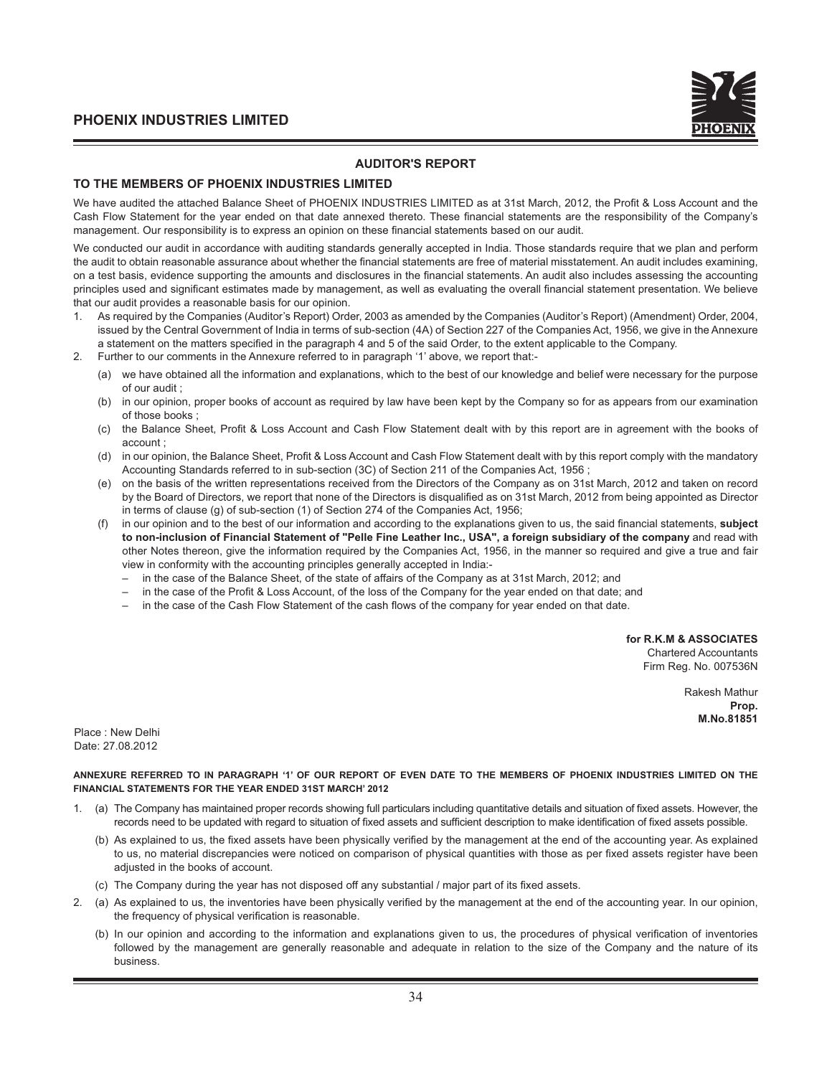

#### **AUDITOR'S REPORT**

#### **TO THE MEMBERS OF PHOENIX INDUSTRIES LIMITED**

We have audited the attached Balance Sheet of PHOENIX INDUSTRIES LIMITED as at 31st March, 2012, the Profit & Loss Account and the Cash Flow Statement for the year ended on that date annexed thereto. These financial statements are the responsibility of the Company's management. Our responsibility is to express an opinion on these financial statements based on our audit.

We conducted our audit in accordance with auditing standards generally accepted in India. Those standards require that we plan and perform the audit to obtain reasonable assurance about whether the financial statements are free of material misstatement. An audit includes examining, on a test basis, evidence supporting the amounts and disclosures in the financial statements. An audit also includes assessing the accounting principles used and significant estimates made by management, as well as evaluating the overall financial statement presentation. We believe that our audit provides a reasonable basis for our opinion.

- 1. As required by the Companies (Auditor's Report) Order, 2003 as amended by the Companies (Auditor's Report) (Amendment) Order, 2004, issued by the Central Government of India in terms of sub-section (4A) of Section 227 of the Companies Act, 1956, we give in the Annexure a statement on the matters specified in the paragraph 4 and 5 of the said Order, to the extent applicable to the Company.
- 2. Further to our comments in the Annexure referred to in paragraph '1' above, we report that:-
	- (a) we have obtained all the information and explanations, which to the best of our knowledge and belief were necessary for the purpose of our audit ;
	- (b) in our opinion, proper books of account as required by law have been kept by the Company so for as appears from our examination of those books ;
	- (c) the Balance Sheet, Profi t & Loss Account and Cash Flow Statement dealt with by this report are in agreement with the books of account ;
	- (d) in our opinion, the Balance Sheet, Profit & Loss Account and Cash Flow Statement dealt with by this report comply with the mandatory Accounting Standards referred to in sub-section (3C) of Section 211 of the Companies Act, 1956 ;
	- (e) on the basis of the written representations received from the Directors of the Company as on 31st March, 2012 and taken on record by the Board of Directors, we report that none of the Directors is disqualified as on 31st March, 2012 from being appointed as Director in terms of clause (g) of sub-section (1) of Section 274 of the Companies Act, 1956;
	- (f) in our opinion and to the best of our information and according to the explanations given to us, the said fi nancial statements, **subject to non-inclusion of Financial Statement of "Pelle Fine Leather Inc., USA", a foreign subsidiary of the company** and read with other Notes thereon, give the information required by the Companies Act, 1956, in the manner so required and give a true and fair view in conformity with the accounting principles generally accepted in India:-
		- in the case of the Balance Sheet, of the state of affairs of the Company as at 31st March, 2012; and
		- in the case of the Profit & Loss Account, of the loss of the Company for the year ended on that date; and
		- in the case of the Cash Flow Statement of the cash flows of the company for year ended on that date.

**for R.K.M & ASSOCIATES**

Chartered Accountants Firm Reg. No. 007536N

> Rakesh Mathur **Prop. M.No.81851**

Place : New Delhi Date: 27.08.2012

**ANNEXURE REFERRED TO IN PARAGRAPH '1' OF OUR REPORT OF EVEN DATE TO THE MEMBERS OF PHOENIX INDUSTRIES LIMITED ON THE FINANCIAL STATEMENTS FOR THE YEAR ENDED 31ST MARCH' 2012**

- 1. (a) The Company has maintained proper records showing full particulars including quantitative details and situation of fixed assets. However, the records need to be updated with regard to situation of fixed assets and sufficient description to make identification of fixed assets possible.
	- (b) As explained to us, the fixed assets have been physically verified by the management at the end of the accounting year. As explained to us, no material discrepancies were noticed on comparison of physical quantities with those as per fixed assets register have been adjusted in the books of account.
	- (c) The Company during the year has not disposed off any substantial / major part of its fixed assets.
- 2. (a) As explained to us, the inventories have been physically verified by the management at the end of the accounting year. In our opinion, the frequency of physical verification is reasonable.
	- (b) In our opinion and according to the information and explanations given to us, the procedures of physical verification of inventories followed by the management are generally reasonable and adequate in relation to the size of the Company and the nature of its business.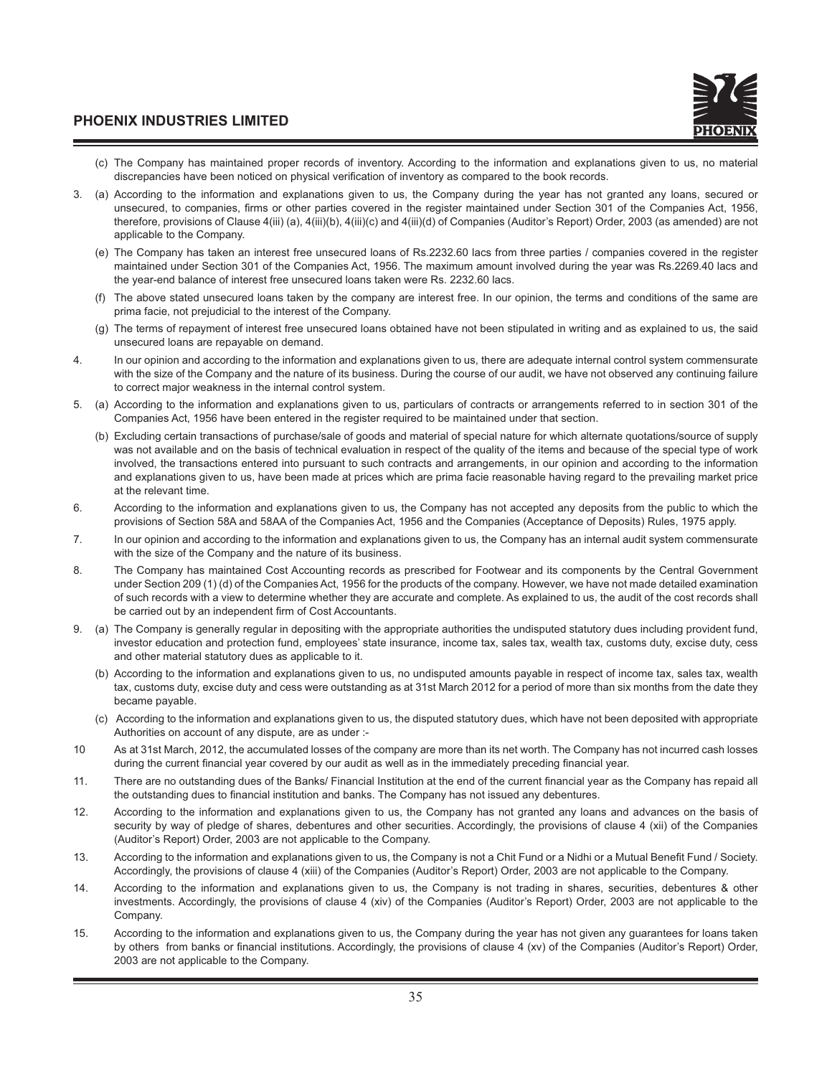- (c) The Company has maintained proper records of inventory. According to the information and explanations given to us, no material discrepancies have been noticed on physical verification of inventory as compared to the book records.
- 3. (a) According to the information and explanations given to us, the Company during the year has not granted any loans, secured or unsecured, to companies, firms or other parties covered in the register maintained under Section 301 of the Companies Act, 1956, therefore, provisions of Clause 4(iii) (a), 4(iii)(b), 4(iii)(c) and 4(iii)(d) of Companies (Auditor's Report) Order, 2003 (as amended) are not applicable to the Company.
	- (e) The Company has taken an interest free unsecured loans of Rs.2232.60 lacs from three parties / companies covered in the register maintained under Section 301 of the Companies Act, 1956. The maximum amount involved during the year was Rs.2269.40 lacs and the year-end balance of interest free unsecured loans taken were Rs. 2232.60 lacs.
	- (f) The above stated unsecured loans taken by the company are interest free. In our opinion, the terms and conditions of the same are prima facie, not prejudicial to the interest of the Company.
	- (g) The terms of repayment of interest free unsecured loans obtained have not been stipulated in writing and as explained to us, the said unsecured loans are repayable on demand.
- 4. In our opinion and according to the information and explanations given to us, there are adequate internal control system commensurate with the size of the Company and the nature of its business. During the course of our audit, we have not observed any continuing failure to correct major weakness in the internal control system.
- 5. (a) According to the information and explanations given to us, particulars of contracts or arrangements referred to in section 301 of the Companies Act, 1956 have been entered in the register required to be maintained under that section.
	- (b) Excluding certain transactions of purchase/sale of goods and material of special nature for which alternate quotations/source of supply was not available and on the basis of technical evaluation in respect of the quality of the items and because of the special type of work involved, the transactions entered into pursuant to such contracts and arrangements, in our opinion and according to the information and explanations given to us, have been made at prices which are prima facie reasonable having regard to the prevailing market price at the relevant time.
- 6. According to the information and explanations given to us, the Company has not accepted any deposits from the public to which the provisions of Section 58A and 58AA of the Companies Act, 1956 and the Companies (Acceptance of Deposits) Rules, 1975 apply.
- 7. In our opinion and according to the information and explanations given to us, the Company has an internal audit system commensurate with the size of the Company and the nature of its business.
- 8. The Company has maintained Cost Accounting records as prescribed for Footwear and its components by the Central Government under Section 209 (1) (d) of the Companies Act, 1956 for the products of the company. However, we have not made detailed examination of such records with a view to determine whether they are accurate and complete. As explained to us, the audit of the cost records shall be carried out by an independent firm of Cost Accountants.
- 9. (a) The Company is generally regular in depositing with the appropriate authorities the undisputed statutory dues including provident fund, investor education and protection fund, employees' state insurance, income tax, sales tax, wealth tax, customs duty, excise duty, cess and other material statutory dues as applicable to it.
	- (b) According to the information and explanations given to us, no undisputed amounts payable in respect of income tax, sales tax, wealth tax, customs duty, excise duty and cess were outstanding as at 31st March 2012 for a period of more than six months from the date they became payable.
	- (c) According to the information and explanations given to us, the disputed statutory dues, which have not been deposited with appropriate Authorities on account of any dispute, are as under :-
- 10 As at 31st March, 2012, the accumulated losses of the company are more than its net worth. The Company has not incurred cash losses during the current financial year covered by our audit as well as in the immediately preceding financial year.
- 11. There are no outstanding dues of the Banks/ Financial Institution at the end of the current financial year as the Company has repaid all the outstanding dues to financial institution and banks. The Company has not issued any debentures.
- 12. According to the information and explanations given to us, the Company has not granted any loans and advances on the basis of security by way of pledge of shares, debentures and other securities. Accordingly, the provisions of clause 4 (xii) of the Companies (Auditor's Report) Order, 2003 are not applicable to the Company.
- 13. According to the information and explanations given to us, the Company is not a Chit Fund or a Nidhi or a Mutual Benefit Fund / Society. Accordingly, the provisions of clause 4 (xiii) of the Companies (Auditor's Report) Order, 2003 are not applicable to the Company.
- 14. According to the information and explanations given to us, the Company is not trading in shares, securities, debentures & other investments. Accordingly, the provisions of clause 4 (xiv) of the Companies (Auditor's Report) Order, 2003 are not applicable to the Company.
- 15. According to the information and explanations given to us, the Company during the year has not given any guarantees for loans taken by others from banks or financial institutions. Accordingly, the provisions of clause 4 (xv) of the Companies (Auditor's Report) Order, 2003 are not applicable to the Company.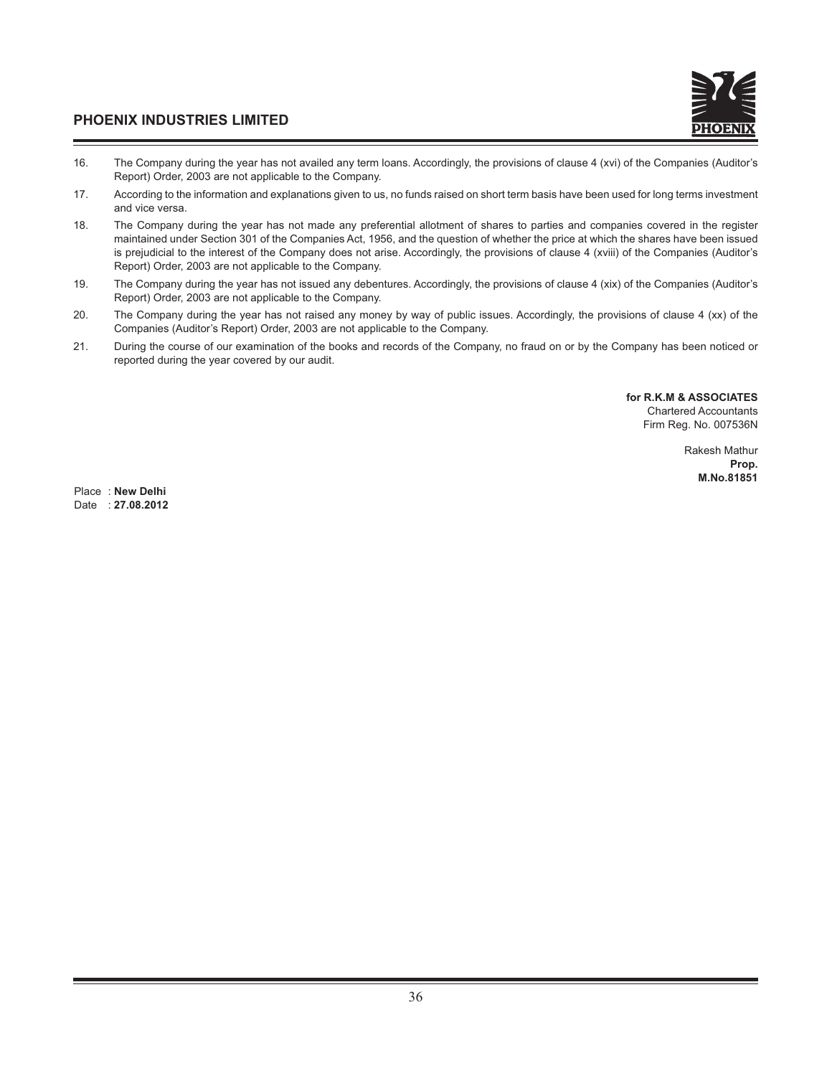

- 16. The Company during the year has not availed any term loans. Accordingly, the provisions of clause 4 (xvi) of the Companies (Auditor's Report) Order, 2003 are not applicable to the Company.
- 17. According to the information and explanations given to us, no funds raised on short term basis have been used for long terms investment and vice versa.
- 18. The Company during the year has not made any preferential allotment of shares to parties and companies covered in the register maintained under Section 301 of the Companies Act, 1956, and the question of whether the price at which the shares have been issued is prejudicial to the interest of the Company does not arise. Accordingly, the provisions of clause 4 (xviii) of the Companies (Auditor's Report) Order, 2003 are not applicable to the Company.
- 19. The Company during the year has not issued any debentures. Accordingly, the provisions of clause 4 (xix) of the Companies (Auditor's Report) Order, 2003 are not applicable to the Company.
- 20. The Company during the year has not raised any money by way of public issues. Accordingly, the provisions of clause 4 (xx) of the Companies (Auditor's Report) Order, 2003 are not applicable to the Company.
- 21. During the course of our examination of the books and records of the Company, no fraud on or by the Company has been noticed or reported during the year covered by our audit.

**for R.K.M & ASSOCIATES** Chartered Accountants Firm Reg. No. 007536N

> Rakesh Mathur **Prop. M.No.81851**

Place : **New Delhi** Date : **27.08.2012**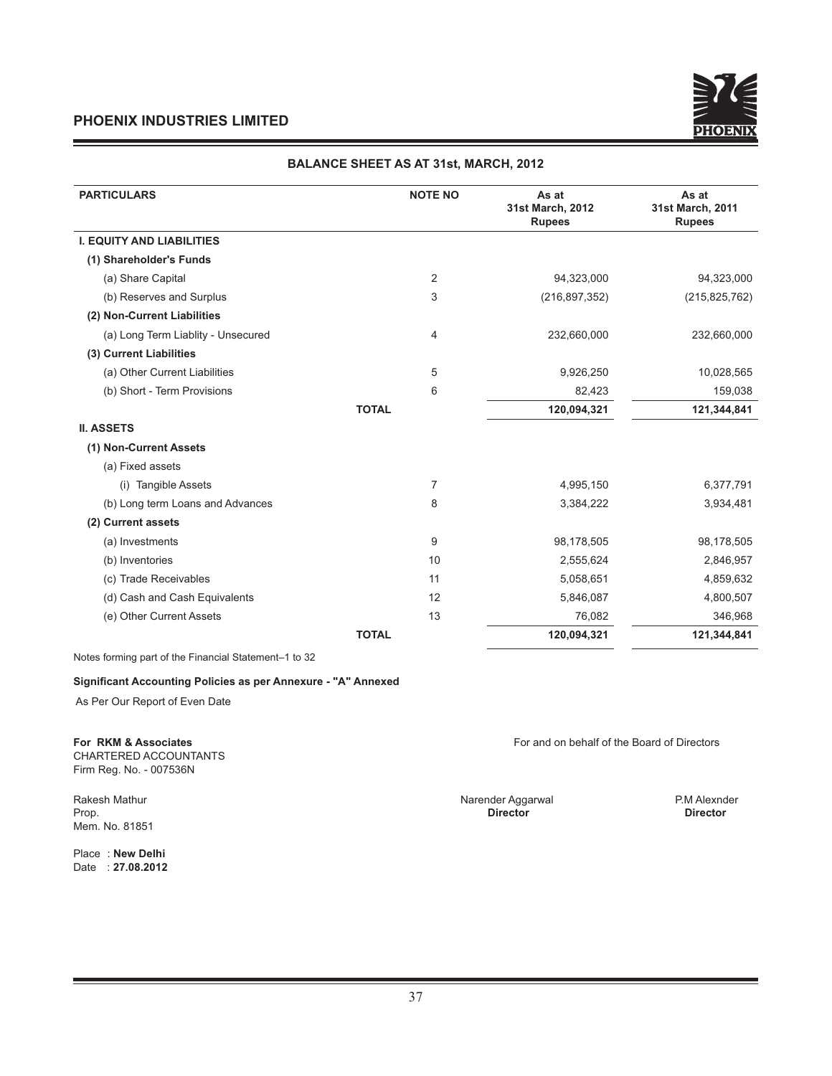

#### **BALANCE SHEET AS AT 31st, MARCH, 2012**

| <b>PARTICULARS</b>                 | <b>NOTE NO</b> | As at<br>31st March, 2012<br><b>Rupees</b> | As at<br>31st March, 2011<br><b>Rupees</b> |
|------------------------------------|----------------|--------------------------------------------|--------------------------------------------|
| <b>I. EQUITY AND LIABILITIES</b>   |                |                                            |                                            |
| (1) Shareholder's Funds            |                |                                            |                                            |
| (a) Share Capital                  | $\overline{2}$ | 94,323,000                                 | 94,323,000                                 |
| (b) Reserves and Surplus           | 3              | (216, 897, 352)                            | (215, 825, 762)                            |
| (2) Non-Current Liabilities        |                |                                            |                                            |
| (a) Long Term Liablity - Unsecured | 4              | 232,660,000                                | 232,660,000                                |
| (3) Current Liabilities            |                |                                            |                                            |
| (a) Other Current Liabilities      | 5              | 9,926,250                                  | 10,028,565                                 |
| (b) Short - Term Provisions        | 6              | 82,423                                     | 159,038                                    |
|                                    | <b>TOTAL</b>   | 120,094,321                                | 121,344,841                                |
| <b>II. ASSETS</b>                  |                |                                            |                                            |
| (1) Non-Current Assets             |                |                                            |                                            |
| (a) Fixed assets                   |                |                                            |                                            |
| (i) Tangible Assets                | $\overline{7}$ | 4,995,150                                  | 6,377,791                                  |
| (b) Long term Loans and Advances   | 8              | 3,384,222                                  | 3,934,481                                  |
| (2) Current assets                 |                |                                            |                                            |
| (a) Investments                    | 9              | 98,178,505                                 | 98,178,505                                 |
| (b) Inventories                    | 10             | 2,555,624                                  | 2,846,957                                  |
| (c) Trade Receivables              | 11             | 5,058,651                                  | 4,859,632                                  |
| (d) Cash and Cash Equivalents      | 12             | 5,846,087                                  | 4,800,507                                  |
| (e) Other Current Assets           | 13             | 76,082                                     | 346,968                                    |
|                                    | <b>TOTAL</b>   | 120,094,321                                | 121,344,841                                |

Notes forming part of the Financial Statement–1 to 32

#### **Significant Accounting Policies as per Annexure - "A" Annexed**

As Per Our Report of Even Date

CHARTERED ACCOUNTANTS Firm Reg. No. - 007536N

Rakesh Mathur Narender Aggarwal P.M Alexnder Aggarwal P.M Alexnder Aggarwal P.M Alexnder Mem. No. 81851

Place : **New Delhi** Date : **27.08.2012**

**For RKM & Associates** For and on behalf of the Board of Directors

Prop. **Director Director**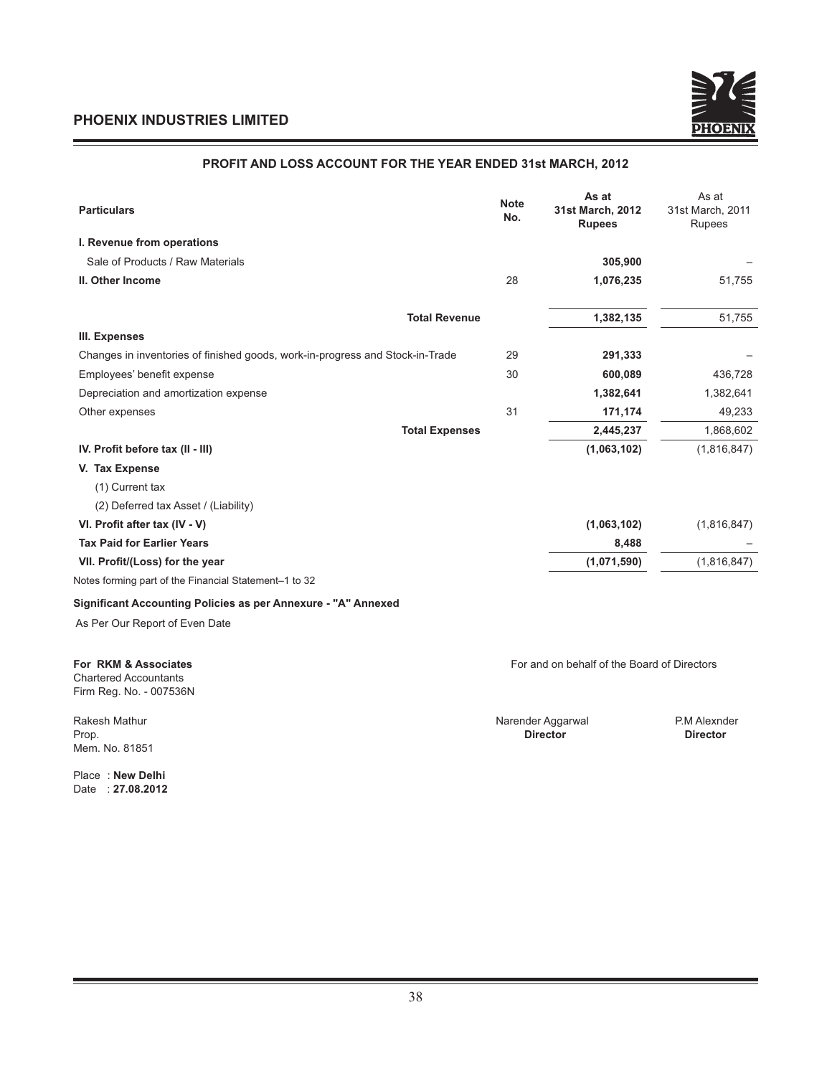<u> 1989 - Johann Barnett, mars et al. 1989 - Anna ann an t-Anna ann an t-Anna ann an t-Anna ann an t-Anna ann an</u>



### **PROFIT AND LOSS ACCOUNT FOR THE YEAR ENDED 31st MARCH, 2012**

| <b>Particulars</b>                                                            | <b>Note</b><br>No. | As at<br>31st March, 2012<br><b>Rupees</b> | As at<br>31st March, 2011<br>Rupees |
|-------------------------------------------------------------------------------|--------------------|--------------------------------------------|-------------------------------------|
| I. Revenue from operations                                                    |                    |                                            |                                     |
| Sale of Products / Raw Materials                                              |                    | 305,900                                    |                                     |
| II. Other Income                                                              | 28                 | 1,076,235                                  | 51,755                              |
| <b>Total Revenue</b>                                                          |                    | 1,382,135                                  | 51,755                              |
| III. Expenses                                                                 |                    |                                            |                                     |
| Changes in inventories of finished goods, work-in-progress and Stock-in-Trade | 29                 | 291,333                                    |                                     |
| Employees' benefit expense                                                    | 30                 | 600,089                                    | 436,728                             |
| Depreciation and amortization expense                                         |                    | 1,382,641                                  | 1,382,641                           |
| Other expenses                                                                | 31                 | 171,174                                    | 49,233                              |
| <b>Total Expenses</b>                                                         |                    | 2,445,237                                  | 1,868,602                           |
| IV. Profit before tax (II - III)                                              |                    | (1,063,102)                                | (1,816,847)                         |
| V. Tax Expense                                                                |                    |                                            |                                     |
| (1) Current tax                                                               |                    |                                            |                                     |
| (2) Deferred tax Asset / (Liability)                                          |                    |                                            |                                     |
| VI. Profit after tax (IV - V)                                                 |                    | (1,063,102)                                | (1,816,847)                         |
| <b>Tax Paid for Earlier Years</b>                                             |                    | 8,488                                      |                                     |
| VII. Profit/(Loss) for the year                                               |                    | (1,071,590)                                | (1,816,847)                         |
| Notes forming part of the Financial Statement-1 to 32                         |                    |                                            |                                     |
| Significant Accounting Policies as per Annexure - "A" Annexed                 |                    |                                            |                                     |
| As Per Our Report of Even Date                                                |                    |                                            |                                     |

Chartered Accountants Firm Reg. No. - 007536N

Mem. No. 81851

Place : **New Delhi** Date : **27.08.2012**

**For RKM & Associates** For and on behalf of the Board of Directors

Rakesh Mathur Narender Aggarwal P.M Alexnder Aggarwal P.M Alexnder Aggarwal P.M Alexnder Prop. **Director Director**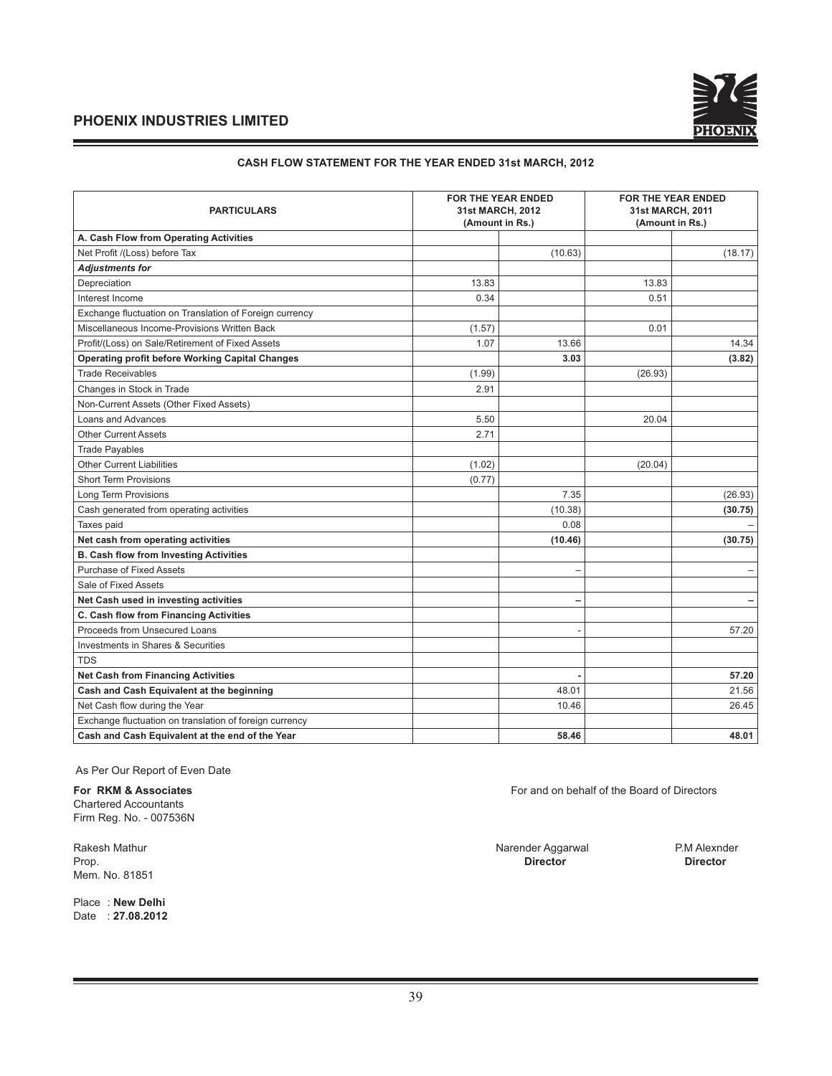

#### **CASH FLOW STATEMENT FOR THE YEAR ENDED 31st MARCH, 2012**

| <b>PARTICULARS</b>                                      | 31st MARCH, 2012<br>(Amount in Rs.) | <b>FOR THE YEAR ENDED</b> | 31st MARCH, 2011 | <b>FOR THE YEAR ENDED</b><br>(Amount in Rs.) |
|---------------------------------------------------------|-------------------------------------|---------------------------|------------------|----------------------------------------------|
| A. Cash Flow from Operating Activities                  |                                     |                           |                  |                                              |
| Net Profit /(Loss) before Tax                           |                                     | (10.63)                   |                  | (18.17)                                      |
| <b>Adjustments for</b>                                  |                                     |                           |                  |                                              |
| Depreciation                                            | 13.83                               |                           | 13.83            |                                              |
| Interest Income                                         | 0.34                                |                           | 0.51             |                                              |
| Exchange fluctuation on Translation of Foreign currency |                                     |                           |                  |                                              |
| Miscellaneous Income-Provisions Written Back            | (1.57)                              |                           | 0.01             |                                              |
| Profit/(Loss) on Sale/Retirement of Fixed Assets        | 1.07                                | 13.66                     |                  | 14.34                                        |
| <b>Operating profit before Working Capital Changes</b>  |                                     | 3.03                      |                  | (3.82)                                       |
| <b>Trade Receivables</b>                                | (1.99)                              |                           | (26.93)          |                                              |
| Changes in Stock in Trade                               | 2.91                                |                           |                  |                                              |
| Non-Current Assets (Other Fixed Assets)                 |                                     |                           |                  |                                              |
| Loans and Advances                                      | 5.50                                |                           | 20.04            |                                              |
| <b>Other Current Assets</b>                             | 2.71                                |                           |                  |                                              |
| <b>Trade Payables</b>                                   |                                     |                           |                  |                                              |
| <b>Other Current Liabilities</b>                        | (1.02)                              |                           | (20.04)          |                                              |
| <b>Short Term Provisions</b>                            | (0.77)                              |                           |                  |                                              |
| Long Term Provisions                                    |                                     | 7.35                      |                  | (26.93)                                      |
| Cash generated from operating activities                |                                     | (10.38)                   |                  | (30.75)                                      |
| Taxes paid                                              |                                     | 0.08                      |                  |                                              |
| Net cash from operating activities                      |                                     | (10.46)                   |                  | (30.75)                                      |
| <b>B. Cash flow from Investing Activities</b>           |                                     |                           |                  |                                              |
| <b>Purchase of Fixed Assets</b>                         |                                     | $\overline{\phantom{0}}$  |                  | $\qquad \qquad -$                            |
| Sale of Fixed Assets                                    |                                     |                           |                  |                                              |
| Net Cash used in investing activities                   |                                     |                           |                  | $\overline{\phantom{m}}$                     |
| C. Cash flow from Financing Activities                  |                                     |                           |                  |                                              |
| Proceeds from Unsecured Loans                           |                                     |                           |                  | 57.20                                        |
| Investments in Shares & Securities                      |                                     |                           |                  |                                              |
| <b>TDS</b>                                              |                                     |                           |                  |                                              |
| <b>Net Cash from Financing Activities</b>               |                                     |                           |                  | 57.20                                        |
| Cash and Cash Equivalent at the beginning               |                                     | 48.01                     |                  | 21.56                                        |
| Net Cash flow during the Year                           |                                     | 10.46                     |                  | 26.45                                        |
| Exchange fluctuation on translation of foreign currency |                                     |                           |                  |                                              |
| Cash and Cash Equivalent at the end of the Year         |                                     | 58.46                     |                  | 48.01                                        |

As Per Our Report of Even Date

Chartered Accountants

Firm Reg. No. - 007536N

Mem. No. 81851

Place : **New Delhi** Date : **27.08.2012**

**For RKM & Associates** For and on behalf of the Board of Directors

Rakesh Mathur **Narender Aggarwal** P.M Alexnder Prop.<br>Prop. **Director Director Director Director** Prop. **Director Director**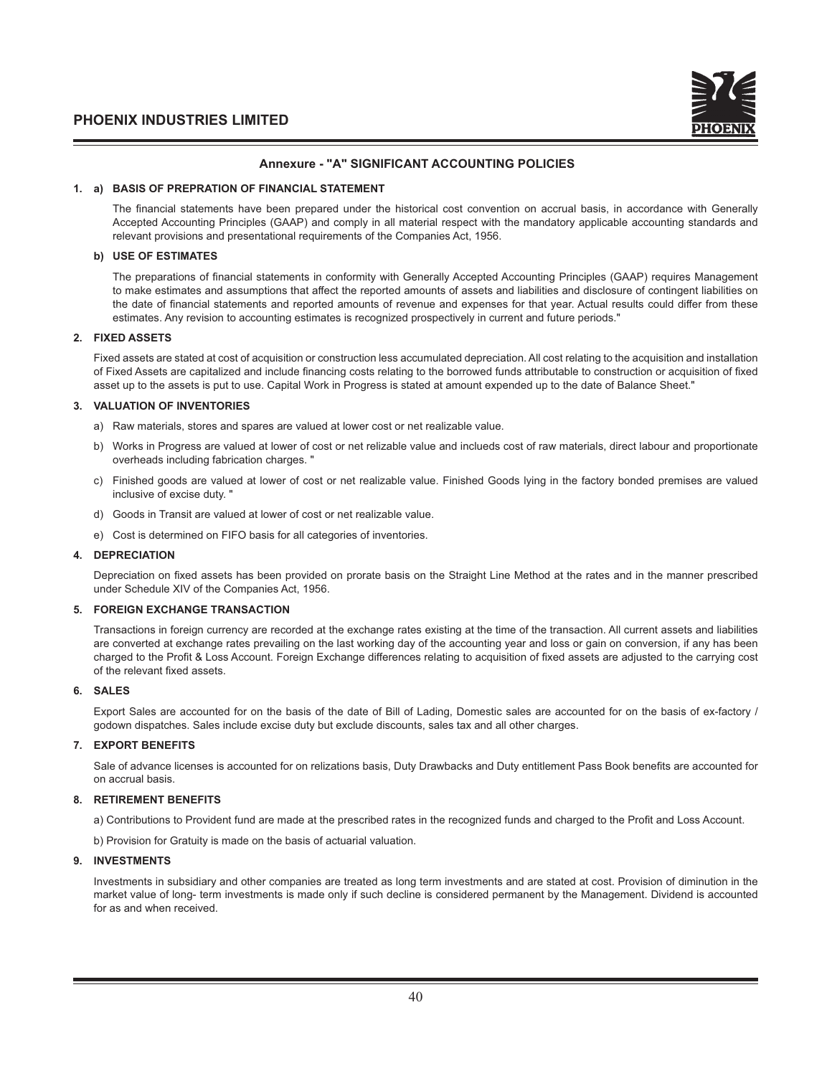

#### **Annexure - "A" SIGNIFICANT ACCOUNTING POLICIES**

#### **1. a) BASIS OF PREPRATION OF FINANCIAL STATEMENT**

The financial statements have been prepared under the historical cost convention on accrual basis, in accordance with Generally Accepted Accounting Principles (GAAP) and comply in all material respect with the mandatory applicable accounting standards and relevant provisions and presentational requirements of the Companies Act, 1956.

#### **b) USE OF ESTIMATES**

The preparations of financial statements in conformity with Generally Accepted Accounting Principles (GAAP) requires Management to make estimates and assumptions that affect the reported amounts of assets and liabilities and disclosure of contingent liabilities on the date of financial statements and reported amounts of revenue and expenses for that year. Actual results could differ from these estimates. Any revision to accounting estimates is recognized prospectively in current and future periods."

#### **2. FIXED ASSETS**

 Fixed assets are stated at cost of acquisition or construction less accumulated depreciation. All cost relating to the acquisition and installation of Fixed Assets are capitalized and include financing costs relating to the borrowed funds attributable to construction or acquisition of fixed asset up to the assets is put to use. Capital Work in Progress is stated at amount expended up to the date of Balance Sheet."

#### **3. VALUATION OF INVENTORIES**

- a) Raw materials, stores and spares are valued at lower cost or net realizable value.
- b) Works in Progress are valued at lower of cost or net relizable value and inclueds cost of raw materials, direct labour and proportionate overheads including fabrication charges. "
- c) Finished goods are valued at lower of cost or net realizable value. Finished Goods lying in the factory bonded premises are valued inclusive of excise duty. "
- d) Goods in Transit are valued at lower of cost or net realizable value.
- e) Cost is determined on FIFO basis for all categories of inventories.

#### **4. DEPRECIATION**

Depreciation on fixed assets has been provided on prorate basis on the Straight Line Method at the rates and in the manner prescribed under Schedule XIV of the Companies Act, 1956.

#### **5. FOREIGN EXCHANGE TRANSACTION**

 Transactions in foreign currency are recorded at the exchange rates existing at the time of the transaction. All current assets and liabilities are converted at exchange rates prevailing on the last working day of the accounting year and loss or gain on conversion, if any has been charged to the Profit & Loss Account. Foreign Exchange differences relating to acquisition of fixed assets are adjusted to the carrying cost of the relevant fixed assets.

#### **6. SALES**

 Export Sales are accounted for on the basis of the date of Bill of Lading, Domestic sales are accounted for on the basis of ex-factory / godown dispatches. Sales include excise duty but exclude discounts, sales tax and all other charges.

#### **7. EXPORT BENEFITS**

Sale of advance licenses is accounted for on relizations basis, Duty Drawbacks and Duty entitlement Pass Book benefits are accounted for on accrual basis.

#### **8. RETIREMENT BENEFITS**

a) Contributions to Provident fund are made at the prescribed rates in the recognized funds and charged to the Profit and Loss Account.

b) Provision for Gratuity is made on the basis of actuarial valuation.

#### **9. INVESTMENTS**

 Investments in subsidiary and other companies are treated as long term investments and are stated at cost. Provision of diminution in the market value of long- term investments is made only if such decline is considered permanent by the Management. Dividend is accounted for as and when received.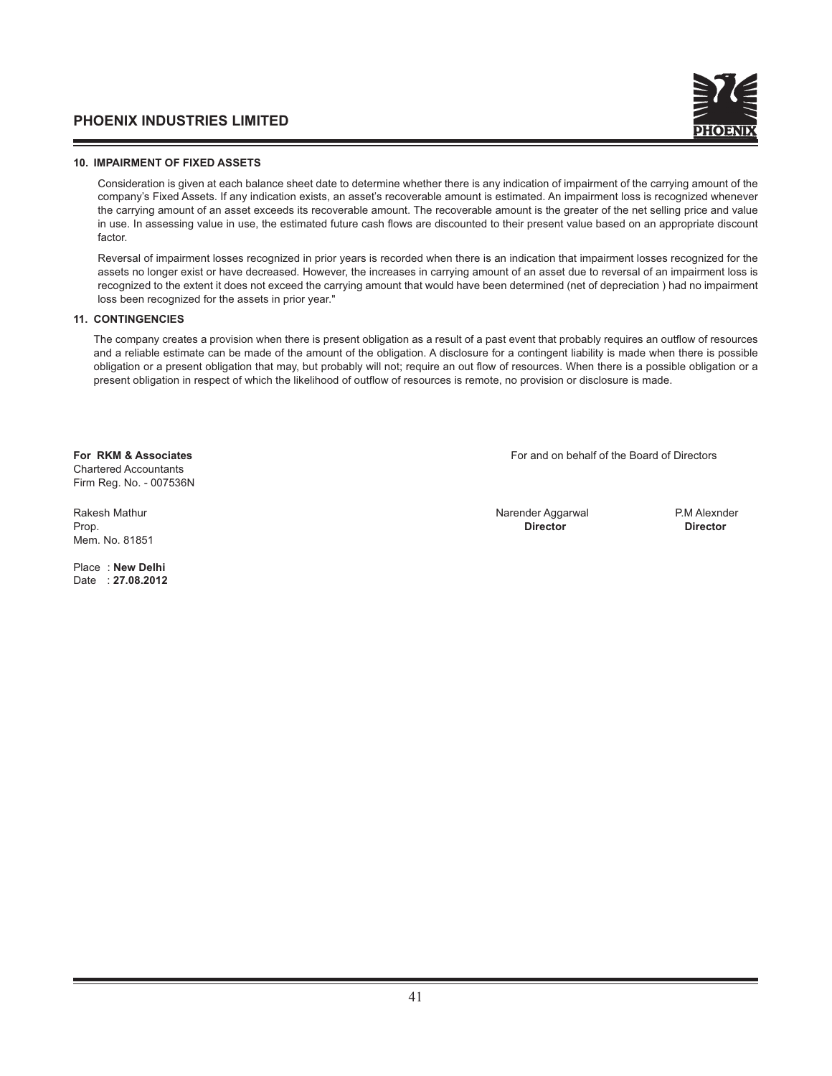

#### **10. IMPAIRMENT OF FIXED ASSETS**

 Consideration is given at each balance sheet date to determine whether there is any indication of impairment of the carrying amount of the company's Fixed Assets. If any indication exists, an asset's recoverable amount is estimated. An impairment loss is recognized whenever the carrying amount of an asset exceeds its recoverable amount. The recoverable amount is the greater of the net selling price and value in use. In assessing value in use, the estimated future cash flows are discounted to their present value based on an appropriate discount factor.

 Reversal of impairment losses recognized in prior years is recorded when there is an indication that impairment losses recognized for the assets no longer exist or have decreased. However, the increases in carrying amount of an asset due to reversal of an impairment loss is recognized to the extent it does not exceed the carrying amount that would have been determined (net of depreciation ) had no impairment loss been recognized for the assets in prior year."

#### **11. CONTINGENCIES**

The company creates a provision when there is present obligation as a result of a past event that probably requires an outflow of resources and a reliable estimate can be made of the amount of the obligation. A disclosure for a contingent liability is made when there is possible obligation or a present obligation that may, but probably will not; require an out flow of resources. When there is a possible obligation or a present obligation in respect of which the likelihood of outflow of resources is remote, no provision or disclosure is made.

Chartered Accountants Firm Reg. No. - 007536N

Mem. No. 81851

Place : **New Delhi** Date : **27.08.2012**

**For RKM & Associates** For and on behalf of the Board of Directors

Rakesh Mathur Narender Aggarwal P.M Alexnder Aggarwal P.M Alexnder Aggarwal P.M Alexnder Prop. **Director Director**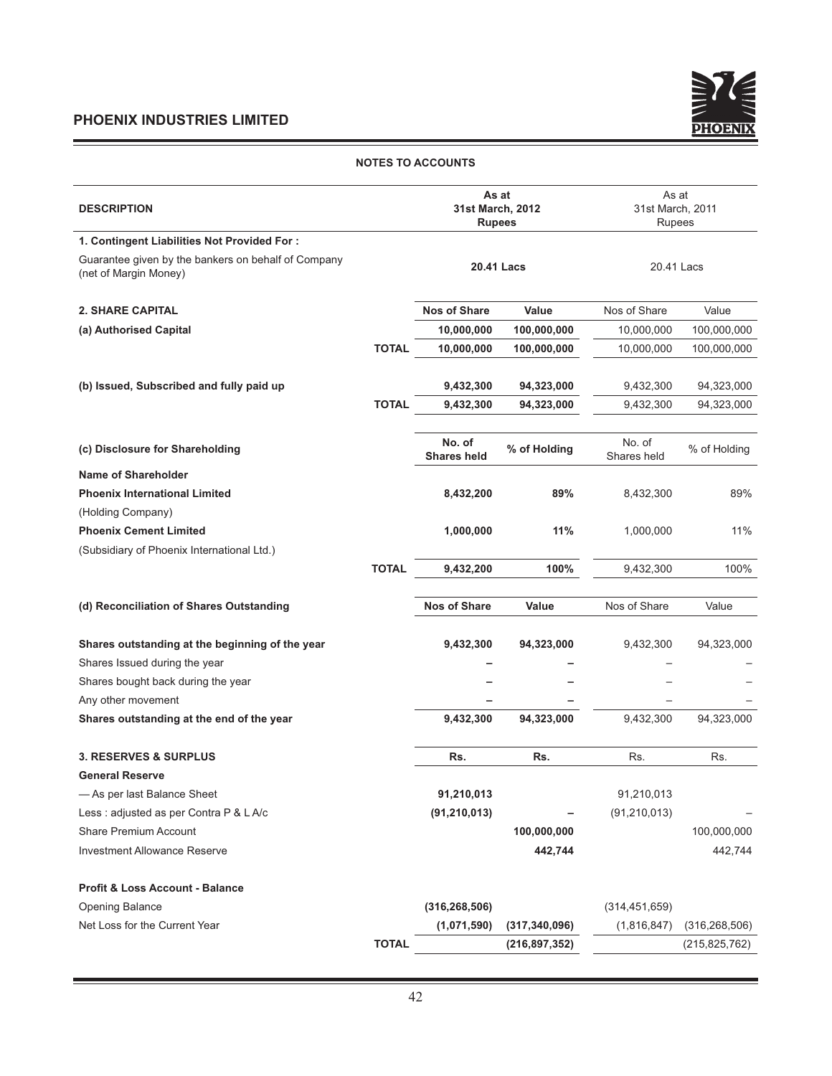<u> 1989 - Johann Barnett, fransk politiker (d. 1989)</u>



#### **NOTES TO ACCOUNTS**

| <b>DESCRIPTION</b>                                                           |              | As at<br>31st March, 2012<br><b>Rupees</b> |                   | As at<br>31st March, 2011<br>Rupees |                 |
|------------------------------------------------------------------------------|--------------|--------------------------------------------|-------------------|-------------------------------------|-----------------|
| 1. Contingent Liabilities Not Provided For:                                  |              |                                            |                   |                                     |                 |
| Guarantee given by the bankers on behalf of Company<br>(net of Margin Money) |              |                                            | <b>20.41 Lacs</b> | 20.41 Lacs                          |                 |
| <b>2. SHARE CAPITAL</b>                                                      |              | <b>Nos of Share</b>                        | Value             | Nos of Share                        | Value           |
| (a) Authorised Capital                                                       |              | 10,000,000                                 | 100,000,000       | 10,000,000                          | 100,000,000     |
|                                                                              | <b>TOTAL</b> | 10,000,000                                 | 100,000,000       | 10,000,000                          | 100,000,000     |
| (b) Issued, Subscribed and fully paid up                                     |              | 9,432,300                                  | 94,323,000        | 9,432,300                           | 94,323,000      |
|                                                                              | <b>TOTAL</b> | 9,432,300                                  | 94,323,000        | 9,432,300                           | 94,323,000      |
| (c) Disclosure for Shareholding                                              |              | No. of<br><b>Shares held</b>               | % of Holding      | No. of<br>Shares held               | % of Holding    |
| Name of Shareholder                                                          |              |                                            |                   |                                     |                 |
| <b>Phoenix International Limited</b>                                         |              | 8,432,200                                  | 89%               | 8,432,300                           | 89%             |
| (Holding Company)                                                            |              |                                            |                   |                                     |                 |
| <b>Phoenix Cement Limited</b>                                                |              | 1,000,000                                  | 11%               | 1,000,000                           | 11%             |
| (Subsidiary of Phoenix International Ltd.)                                   |              |                                            |                   |                                     |                 |
|                                                                              | <b>TOTAL</b> | 9,432,200                                  | 100%              | 9,432,300                           | 100%            |
| (d) Reconciliation of Shares Outstanding                                     |              | <b>Nos of Share</b>                        | Value             | Nos of Share                        | Value           |
| Shares outstanding at the beginning of the year                              |              | 9,432,300                                  | 94,323,000        | 9,432,300                           | 94,323,000      |
| Shares Issued during the year                                                |              |                                            |                   |                                     |                 |
| Shares bought back during the year                                           |              |                                            |                   |                                     |                 |
| Any other movement                                                           |              |                                            |                   |                                     |                 |
| Shares outstanding at the end of the year                                    |              | 9,432,300                                  | 94,323,000        | 9,432,300                           | 94,323,000      |
| <b>3. RESERVES &amp; SURPLUS</b>                                             |              | Rs.                                        | Rs.               | Rs.                                 | Rs.             |
| <b>General Reserve</b>                                                       |              |                                            |                   |                                     |                 |
| - As per last Balance Sheet                                                  |              | 91,210,013                                 |                   | 91,210,013                          |                 |
| Less : adjusted as per Contra P & L A/c                                      |              | (91, 210, 013)                             |                   | (91, 210, 013)                      |                 |
| Share Premium Account                                                        |              |                                            | 100,000,000       |                                     | 100,000,000     |
| <b>Investment Allowance Reserve</b>                                          |              |                                            | 442,744           |                                     | 442,744         |
| <b>Profit &amp; Loss Account - Balance</b>                                   |              |                                            |                   |                                     |                 |
| <b>Opening Balance</b>                                                       |              | (316, 268, 506)                            |                   | (314, 451, 659)                     |                 |
| Net Loss for the Current Year                                                |              | (1,071,590)                                | (317, 340, 096)   | (1,816,847)                         | (316, 268, 506) |
|                                                                              | <b>TOTAL</b> |                                            | (216, 897, 352)   |                                     | (215, 825, 762) |
|                                                                              |              |                                            |                   |                                     |                 |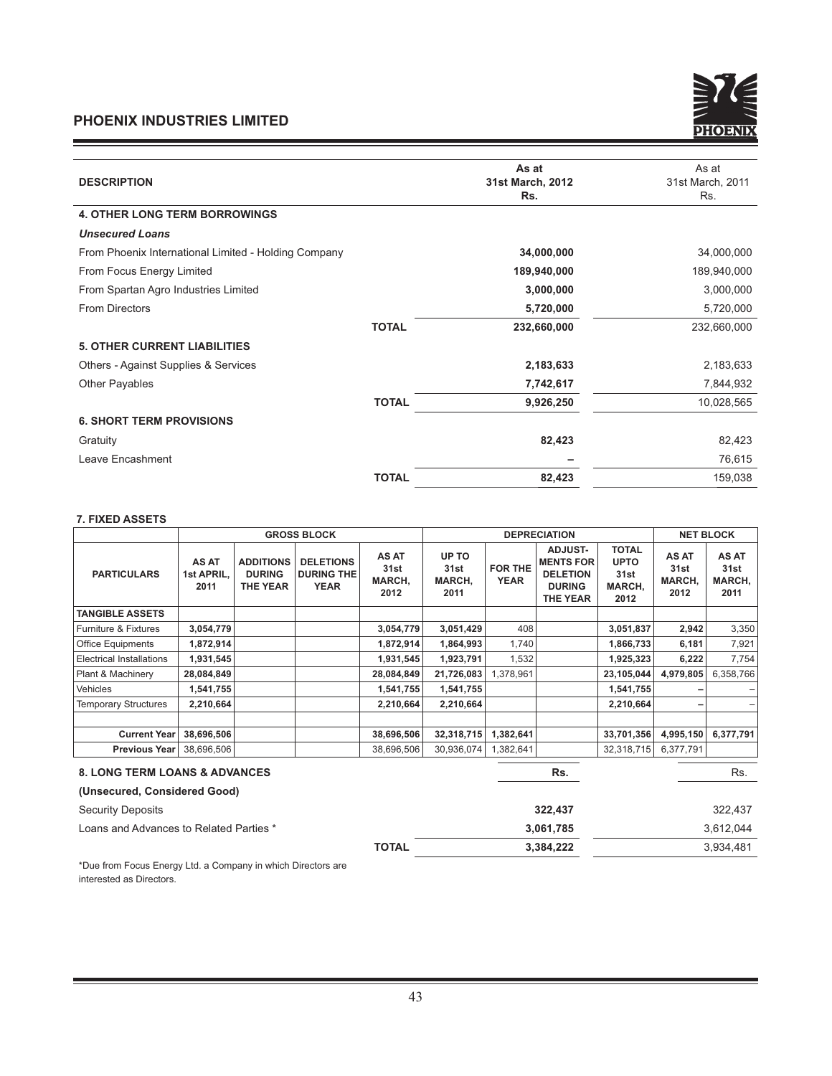

| <b>DESCRIPTION</b>                                   | As at<br>31st March, 2012<br>Rs. | As at<br>31st March, 2011<br>Rs. |
|------------------------------------------------------|----------------------------------|----------------------------------|
| <b>4. OTHER LONG TERM BORROWINGS</b>                 |                                  |                                  |
| <b>Unsecured Loans</b>                               |                                  |                                  |
| From Phoenix International Limited - Holding Company | 34,000,000                       | 34,000,000                       |
| From Focus Energy Limited                            | 189,940,000                      | 189,940,000                      |
| From Spartan Agro Industries Limited                 | 3,000,000                        | 3,000,000                        |
| <b>From Directors</b>                                | 5,720,000                        | 5,720,000                        |
|                                                      | <b>TOTAL</b><br>232,660,000      | 232,660,000                      |
| <b>5. OTHER CURRENT LIABILITIES</b>                  |                                  |                                  |
| Others - Against Supplies & Services                 | 2,183,633                        | 2,183,633                        |
| <b>Other Payables</b>                                | 7,742,617                        | 7,844,932                        |
|                                                      | <b>TOTAL</b><br>9,926,250        | 10,028,565                       |
| <b>6. SHORT TERM PROVISIONS</b>                      |                                  |                                  |
| Gratuity                                             | 82,423                           | 82,423                           |
| Leave Encashment                                     |                                  | 76,615                           |
|                                                      | <b>TOTAL</b><br>82,423           | 159,038                          |

#### **7. FIXED ASSETS**

|                                          | <b>GROSS BLOCK</b>          |                                                      |                                               | <b>DEPRECIATION</b>             |                                 |                               |                                                                                           | <b>NET BLOCK</b>                                      |                                 |                                 |
|------------------------------------------|-----------------------------|------------------------------------------------------|-----------------------------------------------|---------------------------------|---------------------------------|-------------------------------|-------------------------------------------------------------------------------------------|-------------------------------------------------------|---------------------------------|---------------------------------|
| <b>PARTICULARS</b>                       | AS AT<br>1st APRIL,<br>2011 | <b>ADDITIONS</b><br><b>DURING</b><br><b>THE YEAR</b> | <b>DELETIONS</b><br><b>DURING THE</b><br>YEAR | AS AT<br>31st<br>MARCH,<br>2012 | UP TO<br>31st<br>MARCH,<br>2011 | <b>FOR THE</b><br><b>YEAR</b> | <b>ADJUST-</b><br><b>MENTS FOR</b><br><b>DELETION</b><br><b>DURING</b><br><b>THE YEAR</b> | <b>TOTAL</b><br><b>UPTO</b><br>31st<br>MARCH,<br>2012 | AS AT<br>31st<br>MARCH,<br>2012 | AS AT<br>31st<br>MARCH,<br>2011 |
| <b>TANGIBLE ASSETS</b>                   |                             |                                                      |                                               |                                 |                                 |                               |                                                                                           |                                                       |                                 |                                 |
| Furniture & Fixtures                     | 3,054,779                   |                                                      |                                               | 3,054,779                       | 3,051,429                       | 408                           |                                                                                           | 3,051,837                                             | 2,942                           | 3,350                           |
| <b>Office Equipments</b>                 | 1,872,914                   |                                                      |                                               | 1,872,914                       | 1,864,993                       | 1,740                         |                                                                                           | 1,866,733                                             | 6,181                           | 7,921                           |
| <b>Electrical Installations</b>          | 1,931,545                   |                                                      |                                               | 1,931,545                       | 1,923,791                       | 1,532                         |                                                                                           | 1,925,323                                             | 6,222                           | 7,754                           |
| Plant & Machinery                        | 28,084,849                  |                                                      |                                               | 28,084,849                      | 21,726,083                      | 1,378,961                     |                                                                                           | 23,105,044                                            | 4,979,805                       | 6,358,766                       |
| Vehicles                                 | 1,541,755                   |                                                      |                                               | 1,541,755                       | 1,541,755                       |                               |                                                                                           | 1,541,755                                             |                                 |                                 |
| <b>Temporary Structures</b>              | 2,210,664                   |                                                      |                                               | 2,210,664                       | 2,210,664                       |                               |                                                                                           | 2,210,664                                             |                                 |                                 |
| <b>Current Year</b>                      | 38,696,506                  |                                                      |                                               | 38,696,506                      | 32,318,715                      | 1,382,641                     |                                                                                           | 33,701,356                                            | 4,995,150                       | 6,377,791                       |
| <b>Previous Year</b>                     | 38,696,506                  |                                                      |                                               | 38,696,506                      | 30,936,074                      | 1,382,641                     |                                                                                           | 32,318,715                                            | 6,377,791                       |                                 |
| <b>8. LONG TERM LOANS &amp; ADVANCES</b> |                             |                                                      |                                               |                                 |                                 |                               | Rs.                                                                                       |                                                       |                                 | Rs.                             |
| (Unsecured, Considered Good)             |                             |                                                      |                                               |                                 |                                 |                               |                                                                                           |                                                       |                                 |                                 |
| <b>Security Deposits</b>                 |                             |                                                      |                                               |                                 |                                 |                               | 322,437                                                                                   |                                                       |                                 | 322,437                         |
| Loans and Advances to Related Parties *  |                             |                                                      |                                               |                                 |                                 |                               | 3,061,785                                                                                 |                                                       |                                 | 3,612,044                       |

\*Due from Focus Energy Ltd. a Company in which Directors are interested as Directors.

**TOTAL** 3,384,222 3,934,481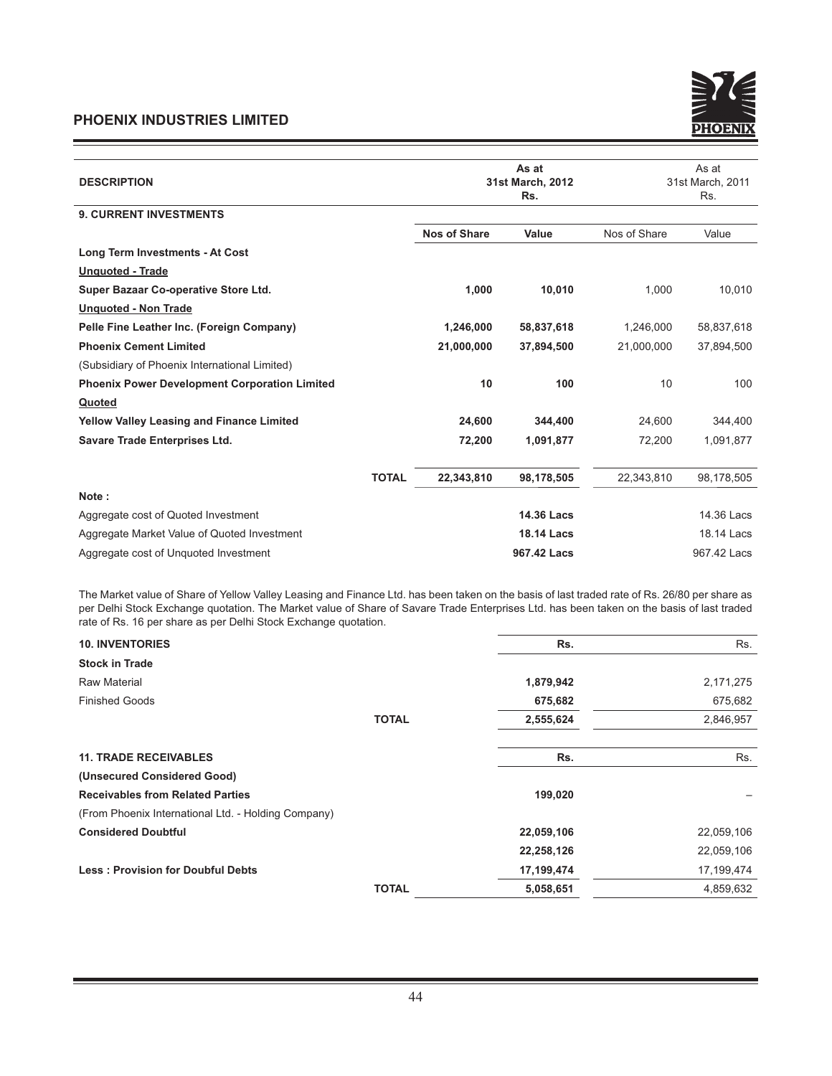

| <b>DESCRIPTION</b>                                   |              | 31st March, 2012    |                   | As at<br>31st March, 2011<br>Rs. |             |
|------------------------------------------------------|--------------|---------------------|-------------------|----------------------------------|-------------|
| <b>9. CURRENT INVESTMENTS</b>                        |              |                     |                   |                                  |             |
|                                                      |              | <b>Nos of Share</b> | Value             | Nos of Share                     | Value       |
| Long Term Investments - At Cost                      |              |                     |                   |                                  |             |
| <b>Unquoted - Trade</b>                              |              |                     |                   |                                  |             |
| Super Bazaar Co-operative Store Ltd.                 |              | 1,000               | 10,010            | 1,000                            | 10,010      |
| <b>Unquoted - Non Trade</b>                          |              |                     |                   |                                  |             |
| Pelle Fine Leather Inc. (Foreign Company)            |              | 1,246,000           | 58,837,618        | 1,246,000                        | 58,837,618  |
| <b>Phoenix Cement Limited</b>                        |              | 21,000,000          | 37,894,500        | 21,000,000                       | 37,894,500  |
| (Subsidiary of Phoenix International Limited)        |              |                     |                   |                                  |             |
| <b>Phoenix Power Development Corporation Limited</b> |              | 10                  | 100               | 10                               | 100         |
| Quoted                                               |              |                     |                   |                                  |             |
| <b>Yellow Valley Leasing and Finance Limited</b>     |              | 24,600              | 344,400           | 24,600                           | 344,400     |
| Savare Trade Enterprises Ltd.                        |              | 72,200              | 1,091,877         | 72,200                           | 1,091,877   |
|                                                      | <b>TOTAL</b> | 22,343,810          | 98,178,505        | 22,343,810                       | 98,178,505  |
| Note:                                                |              |                     |                   |                                  |             |
| Aggregate cost of Quoted Investment                  |              |                     | <b>14.36 Lacs</b> |                                  | 14.36 Lacs  |
| Aggregate Market Value of Quoted Investment          |              |                     | <b>18.14 Lacs</b> |                                  | 18.14 Lacs  |
| Aggregate cost of Unguoted Investment                |              |                     | 967.42 Lacs       |                                  | 967.42 Lacs |

The Market value of Share of Yellow Valley Leasing and Finance Ltd. has been taken on the basis of last traded rate of Rs. 26/80 per share as per Delhi Stock Exchange quotation. The Market value of Share of Savare Trade Enterprises Ltd. has been taken on the basis of last traded rate of Rs. 16 per share as per Delhi Stock Exchange quotation.

| <b>10. INVENTORIES</b>                              |              | Rs.        | Rs.        |
|-----------------------------------------------------|--------------|------------|------------|
| <b>Stock in Trade</b>                               |              |            |            |
| <b>Raw Material</b>                                 |              | 1,879,942  | 2,171,275  |
| <b>Finished Goods</b>                               |              | 675,682    | 675,682    |
|                                                     | <b>TOTAL</b> | 2,555,624  | 2,846,957  |
|                                                     |              |            |            |
| <b>11. TRADE RECEIVABLES</b>                        |              | Rs.        | Rs.        |
| (Unsecured Considered Good)                         |              |            |            |
| <b>Receivables from Related Parties</b>             |              | 199,020    |            |
| (From Phoenix International Ltd. - Holding Company) |              |            |            |
| <b>Considered Doubtful</b>                          |              | 22,059,106 | 22,059,106 |
|                                                     |              | 22,258,126 | 22,059,106 |
| <b>Less: Provision for Doubful Debts</b>            |              | 17,199,474 | 17,199,474 |
|                                                     | <b>TOTAL</b> | 5,058,651  | 4,859,632  |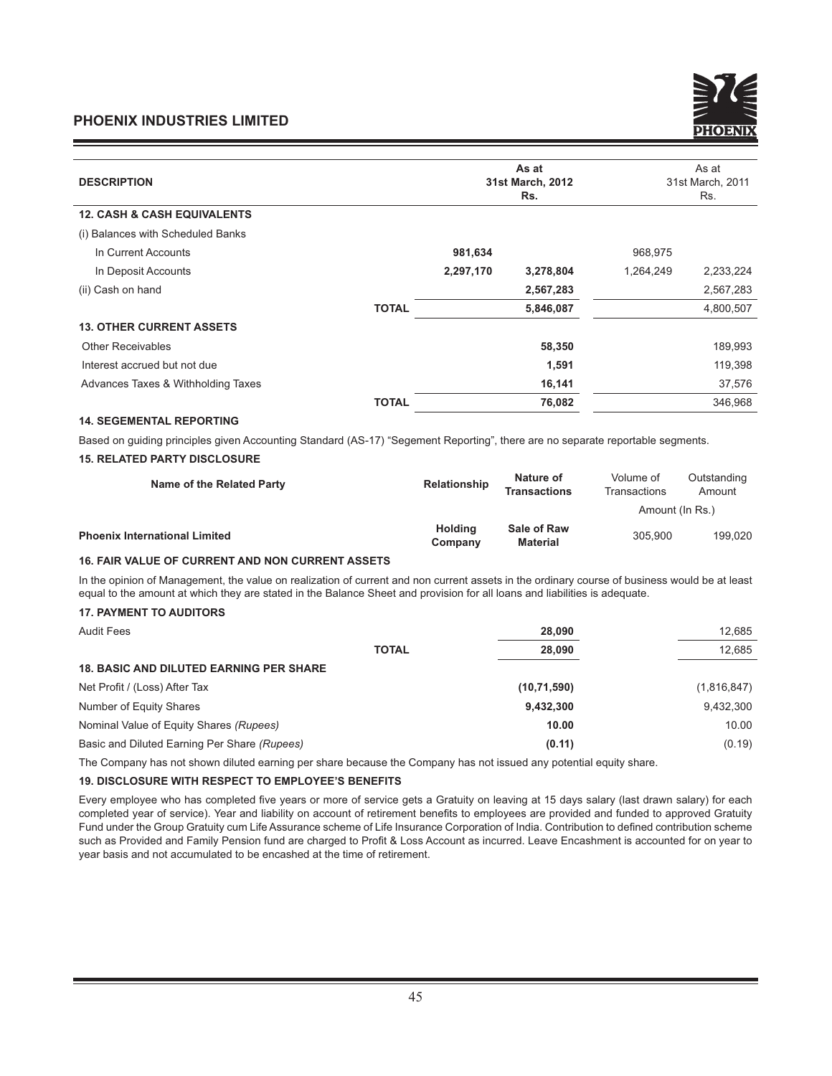|           | As at<br>Rs.                 | As at<br>31st March, 2011<br>Rs. |           |
|-----------|------------------------------|----------------------------------|-----------|
|           |                              |                                  |           |
|           |                              |                                  |           |
| 981,634   |                              | 968,975                          |           |
| 2,297,170 | 3,278,804                    | 1,264,249                        | 2,233,224 |
|           | 2,567,283                    |                                  | 2,567,283 |
|           | 5,846,087                    |                                  | 4,800,507 |
|           |                              |                                  |           |
|           | 58,350                       |                                  | 189,993   |
|           | 1,591                        |                                  | 119,398   |
|           | 16,141                       |                                  | 37,576    |
|           | 76,082                       |                                  | 346,968   |
|           | <b>TOTAL</b><br><b>TOTAL</b> | 31st March, 2012                 |           |

## **14. SEGEMENTAL REPORTING**

Based on guiding principles given Accounting Standard (AS-17) "Segement Reporting", there are no separate reportable segments.

### **15. RELATED PARTY DISCLOSURE**

| Name of the Related Party            | Relationship       | Nature of<br><b>Transactions</b> | Volume of<br>Transactions | Outstanding<br>Amount |
|--------------------------------------|--------------------|----------------------------------|---------------------------|-----------------------|
|                                      |                    |                                  | Amount (In Rs.)           |                       |
| <b>Phoenix International Limited</b> | Holding<br>Company | <b>Sale of Raw</b><br>Material   | 305.900                   | 199.020               |

### **16. FAIR VALUE OF CURRENT AND NON CURRENT ASSETS**

In the opinion of Management, the value on realization of current and non current assets in the ordinary course of business would be at least equal to the amount at which they are stated in the Balance Sheet and provision for all loans and liabilities is adequate.

### **17. PAYMENT TO AUDITORS**

| <b>Audit Fees</b>                              | 28,090        | 12.685      |
|------------------------------------------------|---------------|-------------|
| <b>TOTAL</b>                                   | 28,090        | 12.685      |
| <b>18. BASIC AND DILUTED EARNING PER SHARE</b> |               |             |
| Net Profit / (Loss) After Tax                  | (10, 71, 590) | (1,816,847) |
| Number of Equity Shares                        | 9,432,300     | 9,432,300   |
| Nominal Value of Equity Shares (Rupees)        | 10.00         | 10.00       |
| Basic and Diluted Earning Per Share (Rupees)   | (0.11)        | (0.19)      |

The Company has not shown diluted earning per share because the Company has not issued any potential equity share.

#### **19. DISCLOSURE WITH RESPECT TO EMPLOYEE'S BENEFITS**

Every employee who has completed five years or more of service gets a Gratuity on leaving at 15 days salary (last drawn salary) for each completed year of service). Year and liability on account of retirement benefits to employees are provided and funded to approved Gratuity Fund under the Group Gratuity cum Life Assurance scheme of Life Insurance Corporation of India. Contribution to defined contribution scheme such as Provided and Family Pension fund are charged to Profit & Loss Account as incurred. Leave Encashment is accounted for on year to year basis and not accumulated to be encashed at the time of retirement.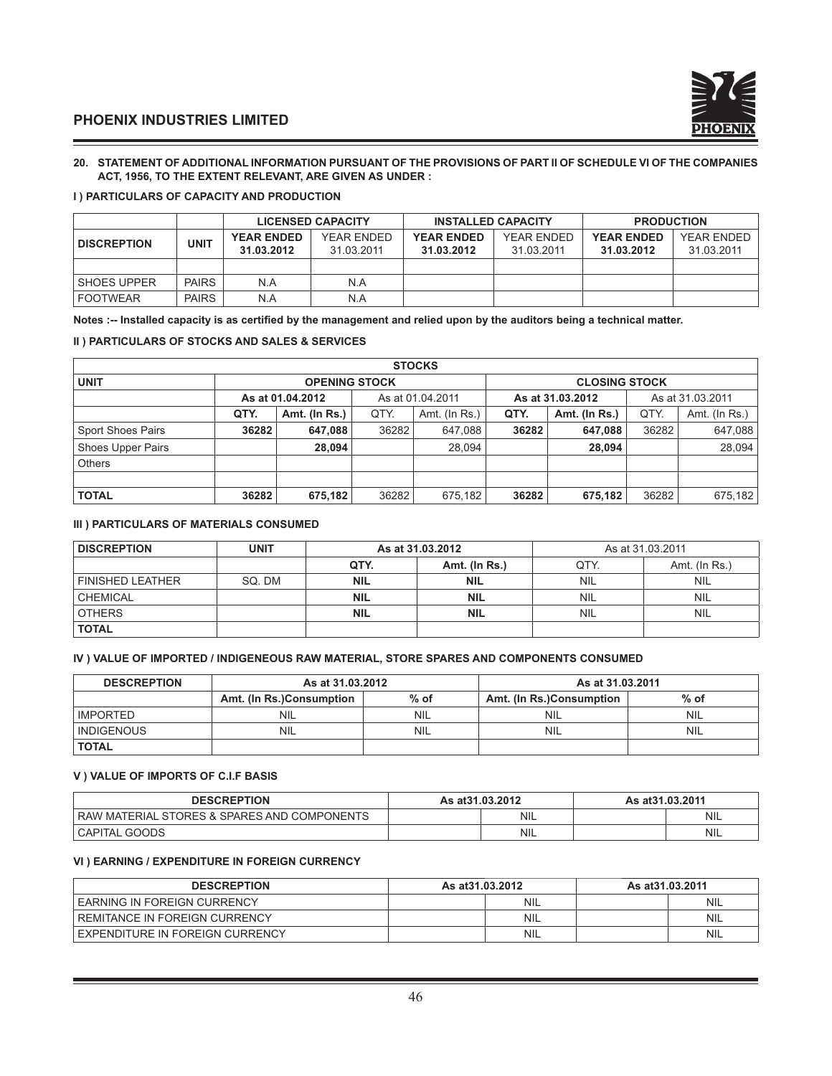

#### **20. STATEMENT OF ADDITIONAL INFORMATION PURSUANT OF THE PROVISIONS OF PART II OF SCHEDULE VI OF THE COMPANIES ACT, 1956, TO THE EXTENT RELEVANT, ARE GIVEN AS UNDER :**

#### **I ) PARTICULARS OF CAPACITY AND PRODUCTION**

|                    |              | <b>LICENSED CAPACITY</b> |            | <b>INSTALLED CAPACITY</b> |            | <b>PRODUCTION</b> |            |
|--------------------|--------------|--------------------------|------------|---------------------------|------------|-------------------|------------|
| <b>DISCREPTION</b> | UNIT         | <b>YEAR ENDED</b>        | YEAR ENDED | <b>YEAR ENDED</b>         | YEAR ENDED | <b>YEAR ENDED</b> | YEAR ENDED |
|                    |              | 31.03.2012               | 31.03.2011 | 31.03.2012                | 31.03.2011 | 31.03.2012        | 31.03.2011 |
|                    |              |                          |            |                           |            |                   |            |
| <b>SHOES UPPER</b> | <b>PAIRS</b> | N.A                      | N.A        |                           |            |                   |            |
| <b>FOOTWEAR</b>    | <b>PAIRS</b> | N.A                      | N.A        |                           |            |                   |            |

Notes :-- Installed capacity is as certified by the management and relied upon by the auditors being a technical matter.

#### **II ) PARTICULARS OF STOCKS AND SALES & SERVICES**

| <b>STOCKS</b>            |       |                                      |       |               |                  |                      |                  |               |  |
|--------------------------|-------|--------------------------------------|-------|---------------|------------------|----------------------|------------------|---------------|--|
| <b>UNIT</b>              |       | <b>OPENING STOCK</b>                 |       |               |                  | <b>CLOSING STOCK</b> |                  |               |  |
|                          |       | As at 01.04.2012<br>As at 01.04.2011 |       |               | As at 31.03.2012 |                      | As at 31.03.2011 |               |  |
|                          | QTY.  | Amt. (In Rs.)                        | QTY.  | Amt. (In Rs.) | QTY.             | Amt. (In Rs.)        | QTY.             | Amt. (In Rs.) |  |
| <b>Sport Shoes Pairs</b> | 36282 | 647.088                              | 36282 | 647.088       | 36282            | 647,088              | 36282            | 647,088       |  |
| <b>Shoes Upper Pairs</b> |       | 28.094                               |       | 28.094        |                  | 28.094               |                  | 28.094        |  |
| <b>Others</b>            |       |                                      |       |               |                  |                      |                  |               |  |
|                          |       |                                      |       |               |                  |                      |                  |               |  |
| <b>TOTAL</b>             | 36282 | 675,182                              | 36282 | 675,182       | 36282            | 675,182              | 36282            | 675,182       |  |

#### **III ) PARTICULARS OF MATERIALS CONSUMED**

| <b>DISCREPTION</b>      | <b>UNIT</b> | As at 31.03.2012 |               | As at 31.03.2011 |               |  |
|-------------------------|-------------|------------------|---------------|------------------|---------------|--|
|                         |             | QTY.             | Amt. (In Rs.) | QTY.             | Amt. (In Rs.) |  |
| <b>FINISHED LEATHER</b> | SQ. DM      | NIL              | <b>NIL</b>    | <b>NIL</b>       | <b>NIL</b>    |  |
| <b>CHEMICAL</b>         |             | <b>NIL</b>       | <b>NIL</b>    | <b>NIL</b>       | <b>NIL</b>    |  |
| <b>OTHERS</b>           |             | <b>NIL</b>       | <b>NIL</b>    | <b>NIL</b>       | <b>NIL</b>    |  |
| <b>TOTAL</b>            |             |                  |               |                  |               |  |

#### **IV ) VALUE OF IMPORTED / INDIGENEOUS RAW MATERIAL, STORE SPARES AND COMPONENTS CONSUMED**

| <b>DESCREPTION</b> | As at 31.03.2012         |                                    | As at 31.03.2011 |            |  |
|--------------------|--------------------------|------------------------------------|------------------|------------|--|
|                    | Amt. (In Rs.)Consumption | $%$ of<br>Amt. (In Rs.)Consumption |                  | $%$ of     |  |
| <b>IMPORTED</b>    | <b>NIL</b>               | NIL                                | <b>NIL</b>       | <b>NIL</b> |  |
| <b>INDIGENOUS</b>  | <b>NIL</b>               | <b>NIL</b>                         | <b>NIL</b>       | <b>NIL</b> |  |
| <b>TOTAL</b>       |                          |                                    |                  |            |  |

#### **V ) VALUE OF IMPORTS OF C.I.F BASIS**

| <b>DESCREPTION</b>                            | As at 31.03.2012 |            | As at 31.03.2011 |            |
|-----------------------------------------------|------------------|------------|------------------|------------|
| RAW MATERIAL STORES & SPARES AND COMPONENTS [ |                  | <b>NIL</b> |                  | <b>NIL</b> |
| CAPITAL GOODS                                 |                  | <b>NIL</b> |                  | <b>NIL</b> |

#### **VI ) EARNING / EXPENDITURE IN FOREIGN CURRENCY**

| <b>DESCREPTION</b>                     | As at 31.03.2012 |            | As at 31.03.2011 |            |
|----------------------------------------|------------------|------------|------------------|------------|
| <b>EARNING IN FOREIGN CURRENCY</b>     |                  | <b>NIL</b> |                  | <b>NIL</b> |
| <b>REMITANCE IN FOREIGN CURRENCY</b>   |                  | <b>NIL</b> |                  | <b>NIL</b> |
| <b>EXPENDITURE IN FOREIGN CURRENCY</b> |                  | <b>NIL</b> |                  | <b>NIL</b> |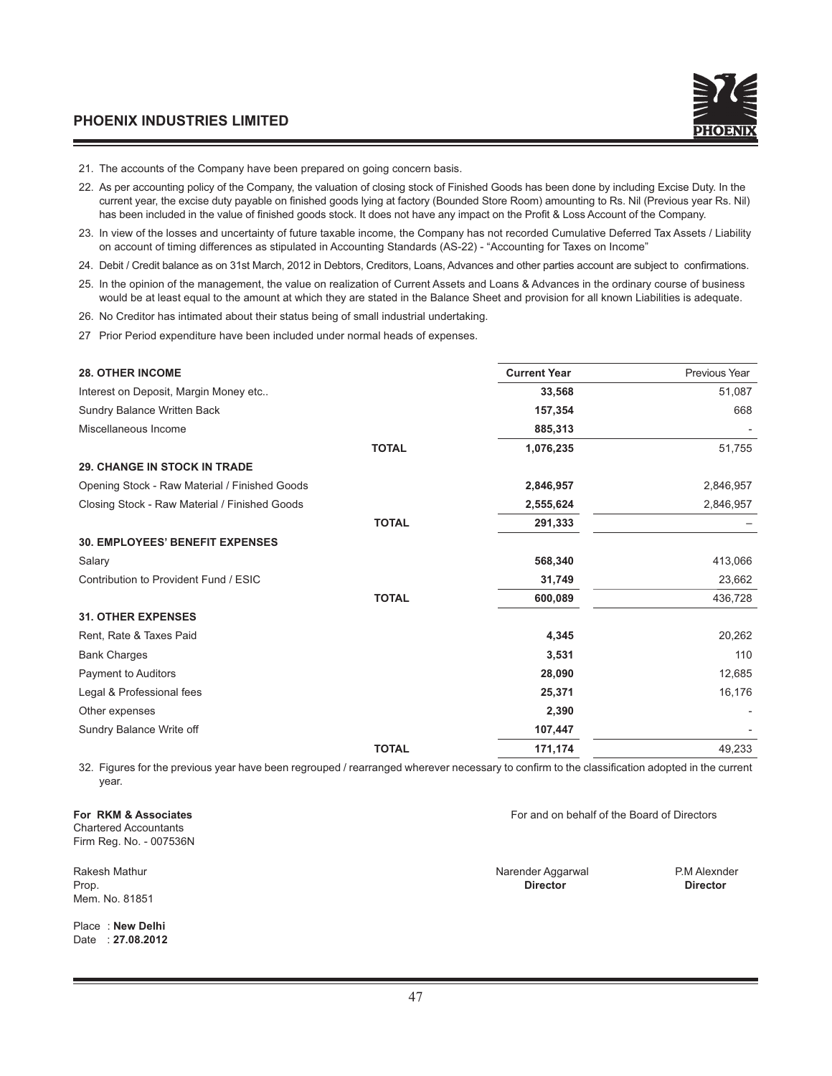- 21. The accounts of the Company have been prepared on going concern basis.
- 22. As per accounting policy of the Company, the valuation of closing stock of Finished Goods has been done by including Excise Duty. In the current year, the excise duty payable on finished goods lying at factory (Bounded Store Room) amounting to Rs. Nil (Previous year Rs. Nil) has been included in the value of finished goods stock. It does not have any impact on the Profit & Loss Account of the Company.
- 23. In view of the losses and uncertainty of future taxable income, the Company has not recorded Cumulative Deferred Tax Assets / Liability on account of timing differences as stipulated in Accounting Standards (AS-22) - "Accounting for Taxes on Income"
- 24. Debit / Credit balance as on 31st March, 2012 in Debtors, Creditors, Loans, Advances and other parties account are subject to confirmations.
- 25. In the opinion of the management, the value on realization of Current Assets and Loans & Advances in the ordinary course of business would be at least equal to the amount at which they are stated in the Balance Sheet and provision for all known Liabilities is adequate.
- 26. No Creditor has intimated about their status being of small industrial undertaking.
- 27 Prior Period expenditure have been included under normal heads of expenses.

| <b>28. OTHER INCOME</b>                       |              | <b>Current Year</b> | Previous Year |
|-----------------------------------------------|--------------|---------------------|---------------|
| Interest on Deposit, Margin Money etc         |              | 33,568              | 51,087        |
| Sundry Balance Written Back                   |              | 157,354             | 668           |
| Miscellaneous Income                          |              | 885,313             |               |
|                                               | <b>TOTAL</b> | 1,076,235           | 51,755        |
| <b>29. CHANGE IN STOCK IN TRADE</b>           |              |                     |               |
| Opening Stock - Raw Material / Finished Goods |              | 2,846,957           | 2,846,957     |
| Closing Stock - Raw Material / Finished Goods |              | 2,555,624           | 2,846,957     |
|                                               | <b>TOTAL</b> | 291,333             |               |
| <b>30. EMPLOYEES' BENEFIT EXPENSES</b>        |              |                     |               |
| Salary                                        |              | 568,340             | 413,066       |
| Contribution to Provident Fund / ESIC         |              | 31,749              | 23,662        |
|                                               | <b>TOTAL</b> | 600,089             | 436,728       |
| <b>31. OTHER EXPENSES</b>                     |              |                     |               |
| Rent, Rate & Taxes Paid                       |              | 4,345               | 20,262        |
| <b>Bank Charges</b>                           |              | 3,531               | 110           |
| <b>Payment to Auditors</b>                    |              | 28,090              | 12,685        |
| Legal & Professional fees                     |              | 25,371              | 16,176        |
| Other expenses                                |              | 2,390               |               |
| Sundry Balance Write off                      |              | 107,447             |               |
|                                               | <b>TOTAL</b> | 171,174             | 49,233        |
|                                               |              |                     |               |

32. Figures for the previous year have been regrouped / rearranged wherever necessary to confirm to the classification adopted in the current year.

Chartered Accountants Firm Reg. No. - 007536N

Mem. No. 81851

Place : **New Delhi** Date : **27.08.2012**

**For RKM & Associates** For and on behalf of the Board of Directors

Rakesh Mathur Narender Aggarwal P.M Alexnder Aggarwal P.M Alexnder Aggarwal P.M Alexnder Prop. **Director Director**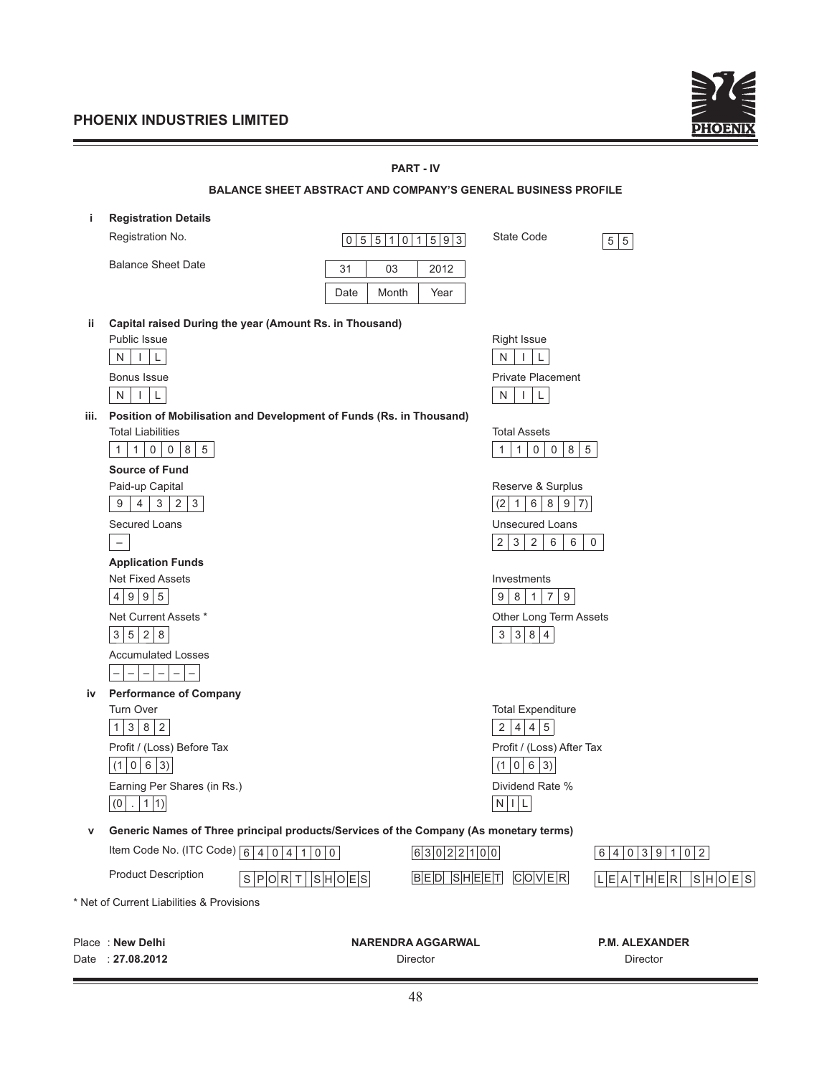<u> 1989 - Johann Barn, mars eta bainar eta baina eta baina eta baina eta baina eta baina eta baina eta baina eta</u>



|      |                                                                                                                                   |                   | <b>PART - IV</b>                     |                                                                           |                                   |
|------|-----------------------------------------------------------------------------------------------------------------------------------|-------------------|--------------------------------------|---------------------------------------------------------------------------|-----------------------------------|
|      | <b>BALANCE SHEET ABSTRACT AND COMPANY'S GENERAL BUSINESS PROFILE</b>                                                              |                   |                                      |                                                                           |                                   |
| j.   | <b>Registration Details</b>                                                                                                       |                   |                                      |                                                                           |                                   |
|      | Registration No.                                                                                                                  | 0 5 5 1 0 1 5 9 3 |                                      | <b>State Code</b>                                                         | 5 5                               |
|      | <b>Balance Sheet Date</b>                                                                                                         | 03<br>31          | 2012                                 |                                                                           |                                   |
|      |                                                                                                                                   | Month<br>Date     | Year                                 |                                                                           |                                   |
|      |                                                                                                                                   |                   |                                      |                                                                           |                                   |
| ij.  | Capital raised During the year (Amount Rs. in Thousand)                                                                           |                   |                                      |                                                                           |                                   |
|      | <b>Public Issue</b>                                                                                                               |                   |                                      | <b>Right Issue</b>                                                        |                                   |
|      | ${\sf N}$<br>L<br>$\mathbf{I}$                                                                                                    |                   | ${\sf N}$                            | L                                                                         |                                   |
|      | <b>Bonus Issue</b>                                                                                                                |                   |                                      | <b>Private Placement</b>                                                  |                                   |
|      | N<br>T<br>L                                                                                                                       |                   | N                                    | $\mathbf{I}$<br>L                                                         |                                   |
| iii. | Position of Mobilisation and Development of Funds (Rs. in Thousand)<br><b>Total Liabilities</b>                                   |                   |                                      | <b>Total Assets</b>                                                       |                                   |
|      | 8 <br>$5\phantom{.0}$<br>$\overline{0}$<br>$\overline{0}$<br>1<br>$\mathbf{1}$                                                    |                   | 1                                    | 8 <br>$\overline{0}$<br>$\overline{0}$<br>$5\phantom{.0}$<br>$\mathbf{1}$ |                                   |
|      | <b>Source of Fund</b>                                                                                                             |                   |                                      |                                                                           |                                   |
|      | Paid-up Capital                                                                                                                   |                   |                                      | Reserve & Surplus                                                         |                                   |
|      | $4 \mid 3 \mid$<br>$2 \mid 3$<br>9                                                                                                |                   |                                      | $(2 \mid 1 \mid$<br>6 8 9 7                                               |                                   |
|      | Secured Loans                                                                                                                     |                   |                                      | <b>Unsecured Loans</b>                                                    |                                   |
|      | $\overline{\phantom{a}}$                                                                                                          |                   |                                      | 2 3 2 <br>6<br>6                                                          | 0                                 |
|      | <b>Application Funds</b>                                                                                                          |                   |                                      |                                                                           |                                   |
|      | <b>Net Fixed Assets</b>                                                                                                           |                   |                                      | Investments                                                               |                                   |
|      | 4 9 9 5                                                                                                                           |                   | 9                                    | $1 \mid 7$<br>8 <br>9                                                     |                                   |
|      | Net Current Assets *                                                                                                              |                   |                                      | Other Long Term Assets                                                    |                                   |
|      | 3 5 2 8                                                                                                                           |                   |                                      | 3 3 8 4                                                                   |                                   |
|      | <b>Accumulated Losses</b>                                                                                                         |                   |                                      |                                                                           |                                   |
|      | $\overline{\phantom{m}}$<br>$\qquad \qquad -$<br>$\overline{\phantom{m}}$<br>$\overline{\phantom{m}}$<br>$\overline{\phantom{0}}$ |                   |                                      |                                                                           |                                   |
| iv   | <b>Performance of Company</b>                                                                                                     |                   |                                      |                                                                           |                                   |
|      | <b>Turn Over</b><br>$1 \mid 3 \mid$<br>$8 \mid 2$                                                                                 |                   |                                      | <b>Total Expenditure</b><br>2 4 4 5                                       |                                   |
|      | Profit / (Loss) Before Tax                                                                                                        |                   |                                      | Profit / (Loss) After Tax                                                 |                                   |
|      | (1   0   6   3)                                                                                                                   |                   |                                      | (1   0   6   3)                                                           |                                   |
|      | Earning Per Shares (in Rs.)                                                                                                       |                   |                                      | Dividend Rate %                                                           |                                   |
|      | $(0$   .   1  1)                                                                                                                  |                   |                                      | $N$   L                                                                   |                                   |
|      |                                                                                                                                   |                   |                                      |                                                                           |                                   |
| ۷    | Generic Names of Three principal products/Services of the Company (As monetary terms)                                             |                   |                                      |                                                                           |                                   |
|      | Item Code No. (ITC Code) $\boxed{6}$ 4 0 4 1 0 0                                                                                  |                   | 6 3 0 2 2 1 0 0                      |                                                                           | 6 4 0 3 9 1 0 2                   |
|      | <b>Product Description</b><br>S P O R T   S H O E S                                                                               |                   | $B$ E $D$ SHEET                      | $C$ $O V E R$                                                             | L E A T H E R <br>S H O E S       |
|      | * Net of Current Liabilities & Provisions                                                                                         |                   |                                      |                                                                           |                                   |
|      |                                                                                                                                   |                   |                                      |                                                                           |                                   |
|      | Place: New Delhi<br>Date: 27.08.2012                                                                                              |                   | <b>NARENDRA AGGARWAL</b><br>Director |                                                                           | <b>P.M. ALEXANDER</b><br>Director |
|      |                                                                                                                                   |                   |                                      |                                                                           |                                   |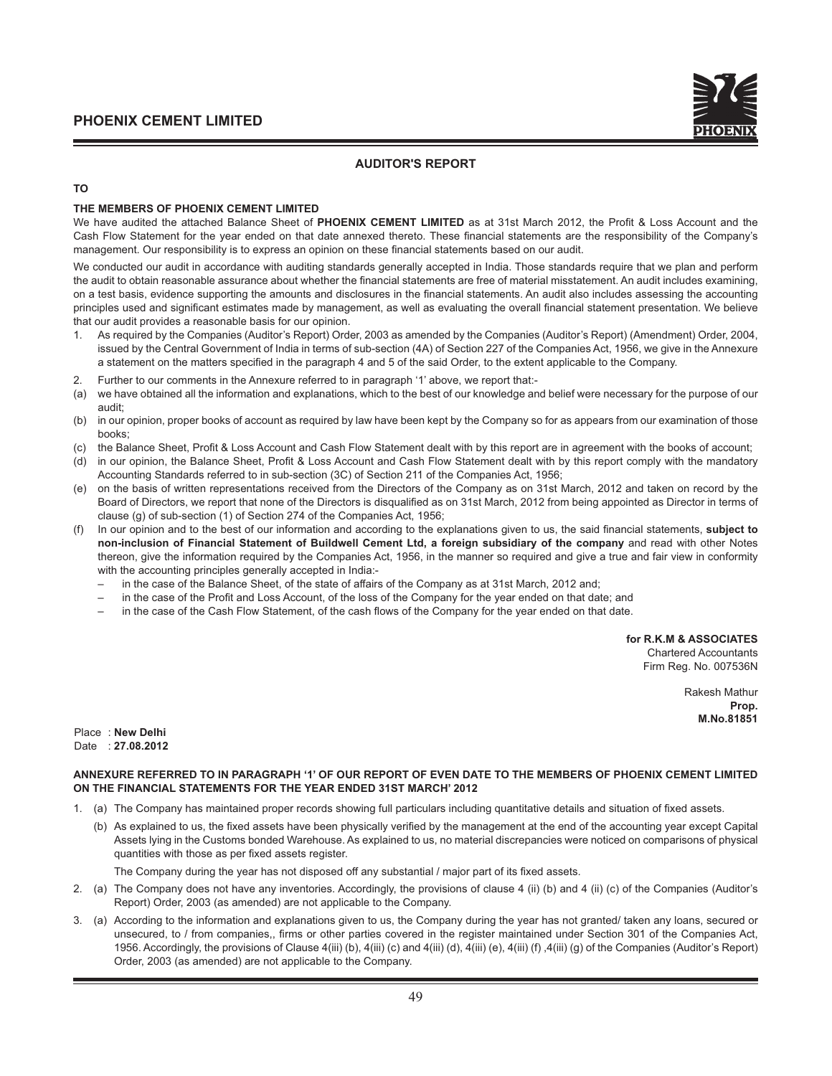#### **AUDITOR'S REPORT**

#### **TO**

#### **THE MEMBERS OF PHOENIX CEMENT LIMITED**

We have audited the attached Balance Sheet of PHOENIX CEMENT LIMITED as at 31st March 2012, the Profit & Loss Account and the Cash Flow Statement for the year ended on that date annexed thereto. These financial statements are the responsibility of the Company's management. Our responsibility is to express an opinion on these financial statements based on our audit.

We conducted our audit in accordance with auditing standards generally accepted in India. Those standards require that we plan and perform the audit to obtain reasonable assurance about whether the financial statements are free of material misstatement. An audit includes examining, on a test basis, evidence supporting the amounts and disclosures in the financial statements. An audit also includes assessing the accounting principles used and significant estimates made by management, as well as evaluating the overall financial statement presentation. We believe that our audit provides a reasonable basis for our opinion.

- 1. As required by the Companies (Auditor's Report) Order, 2003 as amended by the Companies (Auditor's Report) (Amendment) Order, 2004, issued by the Central Government of India in terms of sub-section (4A) of Section 227 of the Companies Act, 1956, we give in the Annexure a statement on the matters specified in the paragraph 4 and 5 of the said Order, to the extent applicable to the Company.
- 2. Further to our comments in the Annexure referred to in paragraph '1' above, we report that:-
- we have obtained all the information and explanations, which to the best of our knowledge and belief were necessary for the purpose of our audit;
- (b) in our opinion, proper books of account as required by law have been kept by the Company so for as appears from our examination of those books;
- (c) the Balance Sheet, Profit & Loss Account and Cash Flow Statement dealt with by this report are in agreement with the books of account;
- (d) in our opinion, the Balance Sheet, Profit & Loss Account and Cash Flow Statement dealt with by this report comply with the mandatory Accounting Standards referred to in sub-section (3C) of Section 211 of the Companies Act, 1956;
- (e) on the basis of written representations received from the Directors of the Company as on 31st March, 2012 and taken on record by the Board of Directors, we report that none of the Directors is disqualified as on 31st March, 2012 from being appointed as Director in terms of clause (g) of sub-section (1) of Section 274 of the Companies Act, 1956;
- (f) In our opinion and to the best of our information and according to the explanations given to us, the said fi nancial statements, **subject to non-inclusion of Financial Statement of Buildwell Cement Ltd, a foreign subsidiary of the company** and read with other Notes thereon, give the information required by the Companies Act, 1956, in the manner so required and give a true and fair view in conformity with the accounting principles generally accepted in India:
	- in the case of the Balance Sheet, of the state of affairs of the Company as at 31st March, 2012 and;
	- in the case of the Profit and Loss Account, of the loss of the Company for the year ended on that date; and
	- in the case of the Cash Flow Statement, of the cash flows of the Company for the year ended on that date.

**for R.K.M & ASSOCIATES**

Chartered Accountants Firm Reg. No. 007536N

> Rakesh Mathur **Prop. M.No.81851**

Place : **New Delhi** Date : **27.08.2012**

#### **ANNEXURE REFERRED TO IN PARAGRAPH '1' OF OUR REPORT OF EVEN DATE TO THE MEMBERS OF PHOENIX CEMENT LIMITED ON THE FINANCIAL STATEMENTS FOR THE YEAR ENDED 31ST MARCH' 2012**

- 1. (a) The Company has maintained proper records showing full particulars including quantitative details and situation of fixed assets.
	- (b) As explained to us, the fixed assets have been physically verified by the management at the end of the accounting year except Capital Assets lying in the Customs bonded Warehouse. As explained to us, no material discrepancies were noticed on comparisons of physical quantities with those as per fixed assets register.

The Company during the year has not disposed off any substantial / major part of its fixed assets.

- 2. (a) The Company does not have any inventories. Accordingly, the provisions of clause 4 (ii) (b) and 4 (ii) (c) of the Companies (Auditor's Report) Order, 2003 (as amended) are not applicable to the Company.
- 3. (a) According to the information and explanations given to us, the Company during the year has not granted/ taken any loans, secured or unsecured, to / from companies,, firms or other parties covered in the register maintained under Section 301 of the Companies Act, 1956. Accordingly, the provisions of Clause 4(iii) (b), 4(iii) (c) and 4(iii) (d), 4(iii) (e), 4(iii) (f) ,4(iii) (g) of the Companies (Auditor's Report) Order, 2003 (as amended) are not applicable to the Company.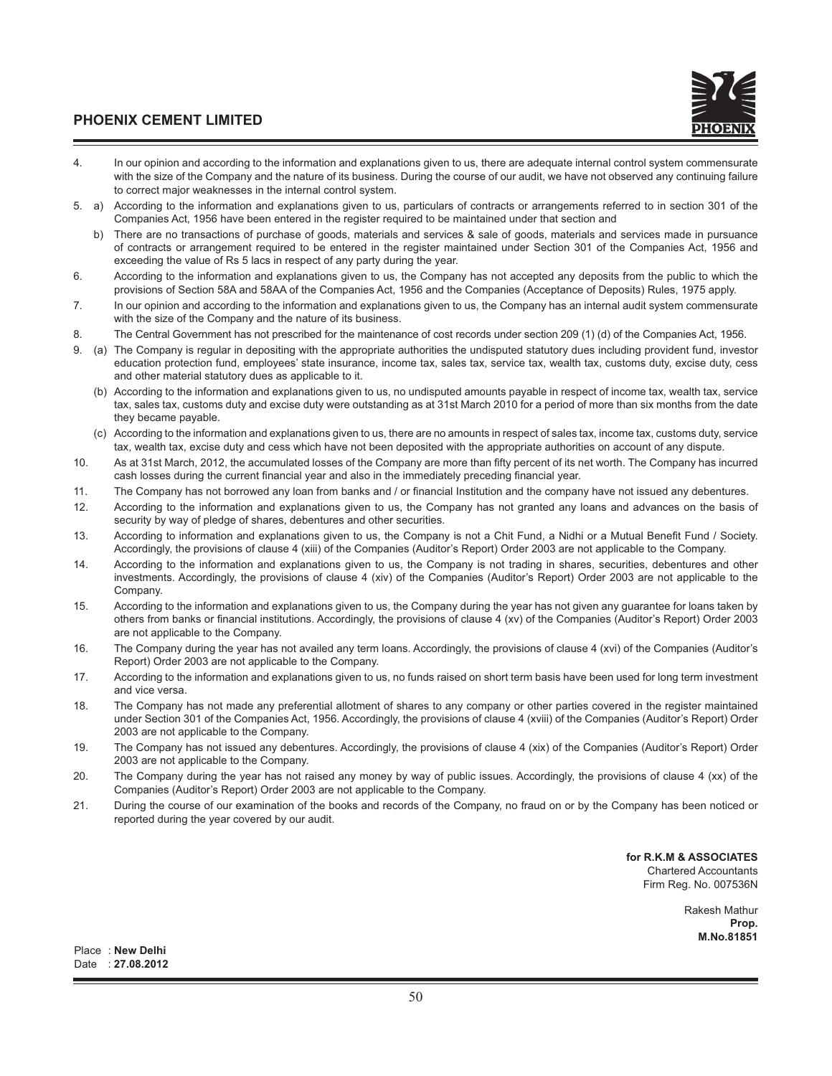- 4. In our opinion and according to the information and explanations given to us, there are adequate internal control system commensurate with the size of the Company and the nature of its business. During the course of our audit, we have not observed any continuing failure to correct major weaknesses in the internal control system.
- 5. a) According to the information and explanations given to us, particulars of contracts or arrangements referred to in section 301 of the Companies Act, 1956 have been entered in the register required to be maintained under that section and
	- b) There are no transactions of purchase of goods, materials and services & sale of goods, materials and services made in pursuance of contracts or arrangement required to be entered in the register maintained under Section 301 of the Companies Act, 1956 and exceeding the value of Rs 5 lacs in respect of any party during the year.
- 6. According to the information and explanations given to us, the Company has not accepted any deposits from the public to which the provisions of Section 58A and 58AA of the Companies Act, 1956 and the Companies (Acceptance of Deposits) Rules, 1975 apply.
- 7. In our opinion and according to the information and explanations given to us, the Company has an internal audit system commensurate with the size of the Company and the nature of its business.
- 8. The Central Government has not prescribed for the maintenance of cost records under section 209 (1) (d) of the Companies Act, 1956.
- 9. (a) The Company is regular in depositing with the appropriate authorities the undisputed statutory dues including provident fund, investor education protection fund, employees' state insurance, income tax, sales tax, service tax, wealth tax, customs duty, excise duty, cess and other material statutory dues as applicable to it.
	- (b) According to the information and explanations given to us, no undisputed amounts payable in respect of income tax, wealth tax, service tax, sales tax, customs duty and excise duty were outstanding as at 31st March 2010 for a period of more than six months from the date they became payable.
	- (c) According to the information and explanations given to us, there are no amounts in respect of sales tax, income tax, customs duty, service tax, wealth tax, excise duty and cess which have not been deposited with the appropriate authorities on account of any dispute.
- 10. As at 31st March, 2012, the accumulated losses of the Company are more than fifty percent of its net worth. The Company has incurred cash losses during the current financial year and also in the immediately preceding financial year.
- 11. The Company has not borrowed any loan from banks and / or financial Institution and the company have not issued any debentures.
- 12. According to the information and explanations given to us, the Company has not granted any loans and advances on the basis of security by way of pledge of shares, debentures and other securities.
- 13. According to information and explanations given to us, the Company is not a Chit Fund, a Nidhi or a Mutual Benefit Fund / Society. Accordingly, the provisions of clause 4 (xiii) of the Companies (Auditor's Report) Order 2003 are not applicable to the Company.
- 14. According to the information and explanations given to us, the Company is not trading in shares, securities, debentures and other investments. Accordingly, the provisions of clause 4 (xiv) of the Companies (Auditor's Report) Order 2003 are not applicable to the Company.
- 15. According to the information and explanations given to us, the Company during the year has not given any guarantee for loans taken by others from banks or financial institutions. Accordingly, the provisions of clause 4 (xv) of the Companies (Auditor's Report) Order 2003 are not applicable to the Company.
- 16. The Company during the year has not availed any term loans. Accordingly, the provisions of clause 4 (xvi) of the Companies (Auditor's Report) Order 2003 are not applicable to the Company.
- 17. According to the information and explanations given to us, no funds raised on short term basis have been used for long term investment and vice versa.
- 18. The Company has not made any preferential allotment of shares to any company or other parties covered in the register maintained under Section 301 of the Companies Act, 1956. Accordingly, the provisions of clause 4 (xviii) of the Companies (Auditor's Report) Order 2003 are not applicable to the Company.
- 19. The Company has not issued any debentures. Accordingly, the provisions of clause 4 (xix) of the Companies (Auditor's Report) Order 2003 are not applicable to the Company.
- 20. The Company during the year has not raised any money by way of public issues. Accordingly, the provisions of clause 4 (xx) of the Companies (Auditor's Report) Order 2003 are not applicable to the Company.
- 21. During the course of our examination of the books and records of the Company, no fraud on or by the Company has been noticed or reported during the year covered by our audit.

**for R.K.M & ASSOCIATES** Chartered Accountants Firm Reg. No. 007536N

> Rakesh Mathur **Prop. M.No.81851**

Place : **New Delhi** Date : **27.08.2012**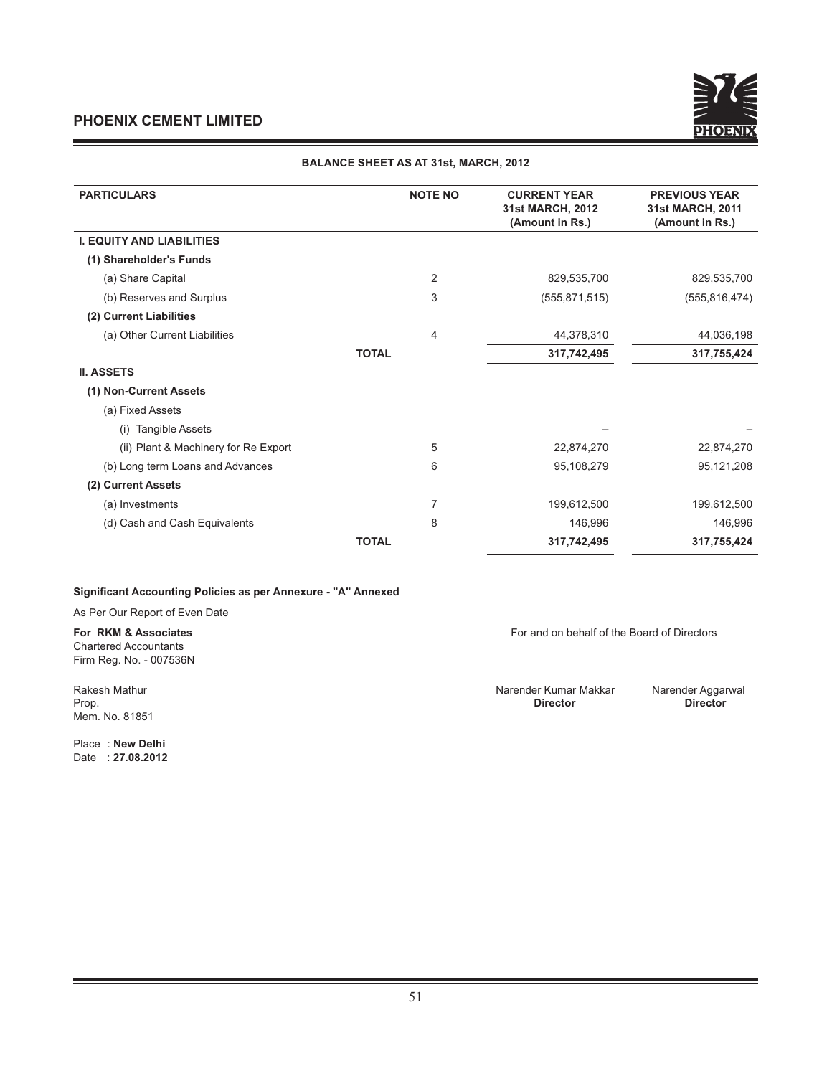

#### **BALANCE SHEET AS AT 31st, MARCH, 2012**

| <b>PARTICULARS</b>                   | <b>NOTE NO</b> | <b>CURRENT YEAR</b><br>31st MARCH, 2012<br>(Amount in Rs.) | <b>PREVIOUS YEAR</b><br>31st MARCH, 2011<br>(Amount in Rs.) |
|--------------------------------------|----------------|------------------------------------------------------------|-------------------------------------------------------------|
| <b>I. EQUITY AND LIABILITIES</b>     |                |                                                            |                                                             |
| (1) Shareholder's Funds              |                |                                                            |                                                             |
| (a) Share Capital                    | $\overline{2}$ | 829,535,700                                                | 829,535,700                                                 |
| (b) Reserves and Surplus             | 3              | (555, 871, 515)                                            | (555, 816, 474)                                             |
| (2) Current Liabilities              |                |                                                            |                                                             |
| (a) Other Current Liabilities        | $\overline{4}$ | 44,378,310                                                 | 44,036,198                                                  |
|                                      | <b>TOTAL</b>   | 317,742,495                                                | 317,755,424                                                 |
| <b>II. ASSETS</b>                    |                |                                                            |                                                             |
| (1) Non-Current Assets               |                |                                                            |                                                             |
| (a) Fixed Assets                     |                |                                                            |                                                             |
| <b>Tangible Assets</b><br>(i)        |                |                                                            |                                                             |
| (ii) Plant & Machinery for Re Export | 5              | 22,874,270                                                 | 22,874,270                                                  |
| (b) Long term Loans and Advances     | 6              | 95,108,279                                                 | 95,121,208                                                  |
| (2) Current Assets                   |                |                                                            |                                                             |
| (a) Investments                      | 7              | 199,612,500                                                | 199,612,500                                                 |
| (d) Cash and Cash Equivalents        | 8              | 146,996                                                    | 146,996                                                     |
|                                      | <b>TOTAL</b>   | 317,742,495                                                | 317,755,424                                                 |

#### **Significant Accounting Policies as per Annexure - "A" Annexed**

As Per Our Report of Even Date

Chartered Accountants Firm Reg. No. - 007536N

Mem. No. 81851

Place : **New Delhi** Date : **27.08.2012**

**For RKM & Associates** For and on behalf of the Board of Directors

Rakesh Mathur **Narender Kumar Makkar** Narender Aggarwal<br>Prop. **Director Director Director Director** Prop. **Director Director**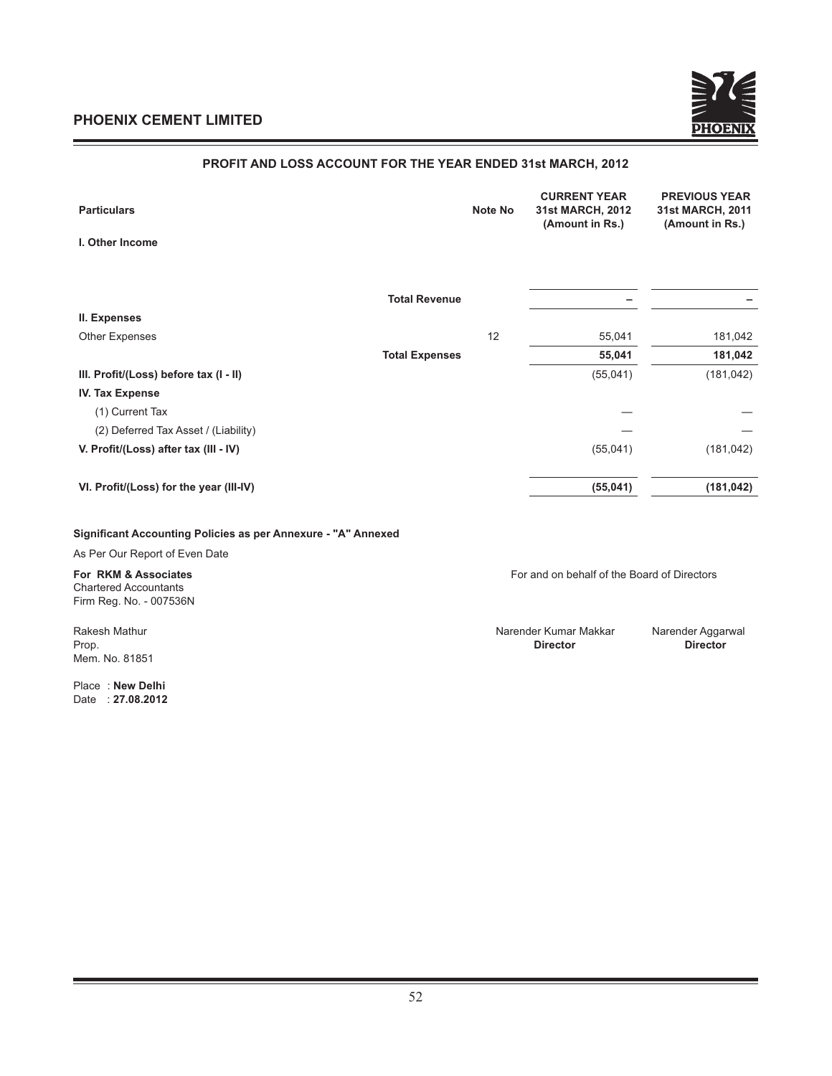

#### **PROFIT AND LOSS ACCOUNT FOR THE YEAR ENDED 31st MARCH, 2012**

| <b>Particulars</b>                      | Note No | <b>CURRENT YEAR</b><br>31st MARCH, 2012<br>(Amount in Rs.) | <b>PREVIOUS YEAR</b><br>31st MARCH, 2011<br>(Amount in Rs.) |
|-----------------------------------------|---------|------------------------------------------------------------|-------------------------------------------------------------|
| I. Other Income                         |         |                                                            |                                                             |
|                                         |         |                                                            |                                                             |
| <b>Total Revenue</b>                    |         |                                                            |                                                             |
| II. Expenses                            |         |                                                            |                                                             |
| Other Expenses                          | 12      | 55,041                                                     | 181,042                                                     |
| <b>Total Expenses</b>                   |         | 55,041                                                     | 181,042                                                     |
| III. Profit/(Loss) before tax (I - II)  |         | (55,041)                                                   | (181, 042)                                                  |
| <b>IV. Tax Expense</b>                  |         |                                                            |                                                             |
| (1) Current Tax                         |         |                                                            |                                                             |
| (2) Deferred Tax Asset / (Liability)    |         |                                                            |                                                             |
| V. Profit/(Loss) after tax (III - IV)   |         | (55,041)                                                   | (181, 042)                                                  |
| VI. Profit/(Loss) for the year (III-IV) |         | (55, 041)                                                  | (181, 042)                                                  |

#### **Significant Accounting Policies as per Annexure - "A" Annexed**

As Per Our Report of Even Date

Chartered Accountants Firm Reg. No. - 007536N

Mem. No. 81851

Place : **New Delhi** Date : **27.08.2012**

**For RKM & Associates** For and on behalf of the Board of Directors

Rakesh Mathur Narender Kumar Makkar Narender Aggarwal Prop. **Director Director**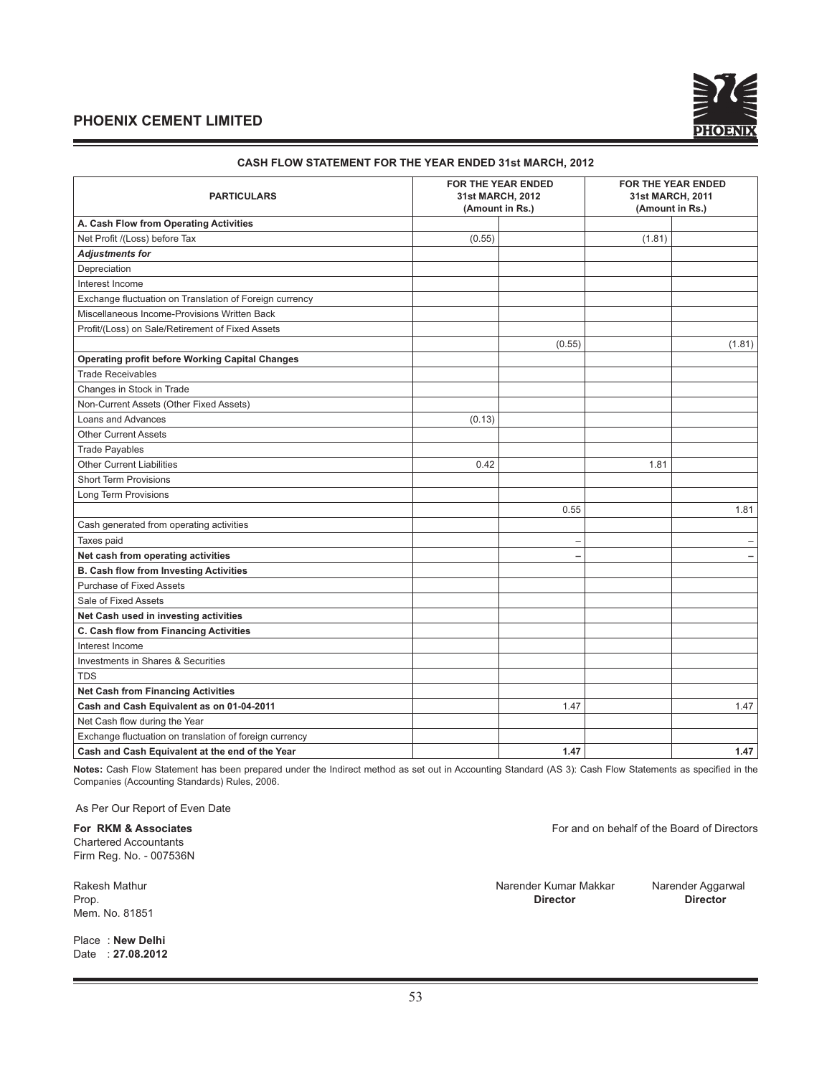| <b>PARTICULARS</b>                                      |        | <b>FOR THE YEAR ENDED</b><br>31st MARCH, 2012<br>(Amount in Rs.) | <b>FOR THE YEAR ENDED</b><br>31st MARCH, 2011<br>(Amount in Rs.) |        |
|---------------------------------------------------------|--------|------------------------------------------------------------------|------------------------------------------------------------------|--------|
| A. Cash Flow from Operating Activities                  |        |                                                                  |                                                                  |        |
| Net Profit /(Loss) before Tax                           | (0.55) |                                                                  | (1.81)                                                           |        |
| <b>Adjustments for</b>                                  |        |                                                                  |                                                                  |        |
| Depreciation                                            |        |                                                                  |                                                                  |        |
| Interest Income                                         |        |                                                                  |                                                                  |        |
| Exchange fluctuation on Translation of Foreign currency |        |                                                                  |                                                                  |        |
| Miscellaneous Income-Provisions Written Back            |        |                                                                  |                                                                  |        |
| Profit/(Loss) on Sale/Retirement of Fixed Assets        |        |                                                                  |                                                                  |        |
|                                                         |        | (0.55)                                                           |                                                                  | (1.81) |
| <b>Operating profit before Working Capital Changes</b>  |        |                                                                  |                                                                  |        |
| <b>Trade Receivables</b>                                |        |                                                                  |                                                                  |        |
| Changes in Stock in Trade                               |        |                                                                  |                                                                  |        |
| Non-Current Assets (Other Fixed Assets)                 |        |                                                                  |                                                                  |        |
| Loans and Advances                                      | (0.13) |                                                                  |                                                                  |        |
| <b>Other Current Assets</b>                             |        |                                                                  |                                                                  |        |
| <b>Trade Payables</b>                                   |        |                                                                  |                                                                  |        |
| <b>Other Current Liabilities</b>                        | 0.42   |                                                                  | 1.81                                                             |        |
| <b>Short Term Provisions</b>                            |        |                                                                  |                                                                  |        |
| Long Term Provisions                                    |        |                                                                  |                                                                  |        |
|                                                         |        | 0.55                                                             |                                                                  | 1.81   |
| Cash generated from operating activities                |        |                                                                  |                                                                  |        |
| Taxes paid                                              |        |                                                                  |                                                                  |        |
| Net cash from operating activities                      |        |                                                                  |                                                                  |        |
| <b>B. Cash flow from Investing Activities</b>           |        |                                                                  |                                                                  |        |
| <b>Purchase of Fixed Assets</b>                         |        |                                                                  |                                                                  |        |
| Sale of Fixed Assets                                    |        |                                                                  |                                                                  |        |
| Net Cash used in investing activities                   |        |                                                                  |                                                                  |        |
| C. Cash flow from Financing Activities                  |        |                                                                  |                                                                  |        |
| Interest Income                                         |        |                                                                  |                                                                  |        |
| Investments in Shares & Securities                      |        |                                                                  |                                                                  |        |
| <b>TDS</b>                                              |        |                                                                  |                                                                  |        |
| <b>Net Cash from Financing Activities</b>               |        |                                                                  |                                                                  |        |
| Cash and Cash Equivalent as on 01-04-2011               |        | 1.47                                                             |                                                                  | 1.47   |
| Net Cash flow during the Year                           |        |                                                                  |                                                                  |        |
| Exchange fluctuation on translation of foreign currency |        |                                                                  |                                                                  |        |
| Cash and Cash Equivalent at the end of the Year         |        | 1.47                                                             |                                                                  | 1.47   |

#### **CASH FLOW STATEMENT FOR THE YEAR ENDED 31st MARCH, 2012**

Notes: Cash Flow Statement has been prepared under the Indirect method as set out in Accounting Standard (AS 3): Cash Flow Statements as specified in the Companies (Accounting Standards) Rules, 2006.

As Per Our Report of Even Date

Chartered Accountants Firm Reg. No. - 007536N

Mem. No. 81851

Place : **New Delhi** Date : **27.08.2012**

**For RKM & Associates** For and on behalf of the Board of Directors

Rakesh Mathur Narender Kumar Makkar Narender Aggarwal Prop. **Director Director**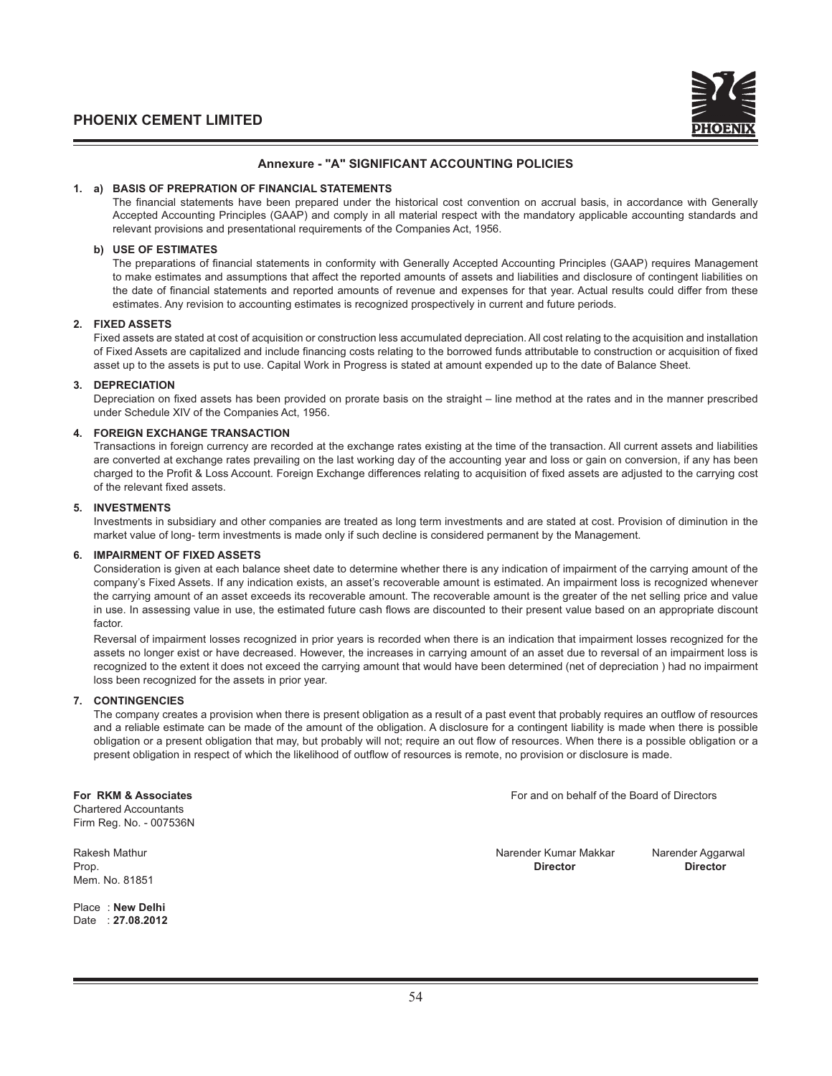

#### **Annexure - "A" SIGNIFICANT ACCOUNTING POLICIES**

#### **1. a) BASIS OF PREPRATION OF FINANCIAL STATEMENTS**

The financial statements have been prepared under the historical cost convention on accrual basis, in accordance with Generally Accepted Accounting Principles (GAAP) and comply in all material respect with the mandatory applicable accounting standards and relevant provisions and presentational requirements of the Companies Act, 1956.

#### **b) USE OF ESTIMATES**

The preparations of financial statements in conformity with Generally Accepted Accounting Principles (GAAP) requires Management to make estimates and assumptions that affect the reported amounts of assets and liabilities and disclosure of contingent liabilities on the date of financial statements and reported amounts of revenue and expenses for that year. Actual results could differ from these estimates. Any revision to accounting estimates is recognized prospectively in current and future periods.

#### **2. FIXED ASSETS**

 Fixed assets are stated at cost of acquisition or construction less accumulated depreciation. All cost relating to the acquisition and installation of Fixed Assets are capitalized and include financing costs relating to the borrowed funds attributable to construction or acquisition of fixed asset up to the assets is put to use. Capital Work in Progress is stated at amount expended up to the date of Balance Sheet.

#### **3. DEPRECIATION**

Depreciation on fixed assets has been provided on prorate basis on the straight – line method at the rates and in the manner prescribed under Schedule XIV of the Companies Act, 1956.

#### **4. FOREIGN EXCHANGE TRANSACTION**

 Transactions in foreign currency are recorded at the exchange rates existing at the time of the transaction. All current assets and liabilities are converted at exchange rates prevailing on the last working day of the accounting year and loss or gain on conversion, if any has been charged to the Profit & Loss Account. Foreign Exchange differences relating to acquisition of fixed assets are adjusted to the carrying cost of the relevant fixed assets.

#### **5. INVESTMENTS**

 Investments in subsidiary and other companies are treated as long term investments and are stated at cost. Provision of diminution in the market value of long- term investments is made only if such decline is considered permanent by the Management.

#### **6. IMPAIRMENT OF FIXED ASSETS**

 Consideration is given at each balance sheet date to determine whether there is any indication of impairment of the carrying amount of the company's Fixed Assets. If any indication exists, an asset's recoverable amount is estimated. An impairment loss is recognized whenever the carrying amount of an asset exceeds its recoverable amount. The recoverable amount is the greater of the net selling price and value in use. In assessing value in use, the estimated future cash flows are discounted to their present value based on an appropriate discount factor.

 Reversal of impairment losses recognized in prior years is recorded when there is an indication that impairment losses recognized for the assets no longer exist or have decreased. However, the increases in carrying amount of an asset due to reversal of an impairment loss is recognized to the extent it does not exceed the carrying amount that would have been determined (net of depreciation ) had no impairment loss been recognized for the assets in prior year.

#### **7. CONTINGENCIES**

The company creates a provision when there is present obligation as a result of a past event that probably requires an outflow of resources and a reliable estimate can be made of the amount of the obligation. A disclosure for a contingent liability is made when there is possible obligation or a present obligation that may, but probably will not; require an out flow of resources. When there is a possible obligation or a present obligation in respect of which the likelihood of outflow of resources is remote, no provision or disclosure is made.

Chartered Accountants Firm Reg. No. - 007536N

Mem. No. 81851

Place : **New Delhi** Date : **27.08.2012**

**For RKM & Associates** For and on behalf of the Board of Directors

Rakesh Mathur **Narender Kumar Makkar** Narender Aggarwal<br>Prop **Director National Director National Director National Director** Prop. **Director Director**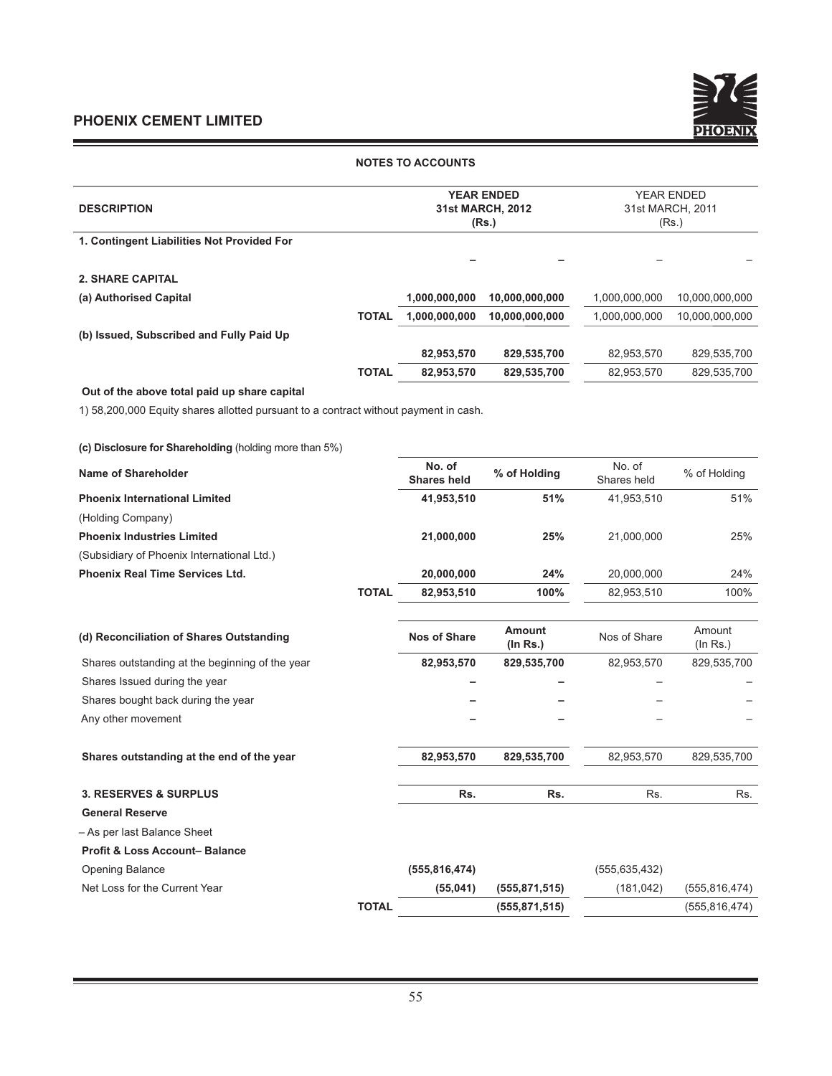and the control of the control of

 $\blacksquare$ 



#### **NOTES TO ACCOUNTS**

|                                                                                      |                               | <b>YEAR ENDED</b>         | <b>YEAR ENDED</b>     |                           |  |
|--------------------------------------------------------------------------------------|-------------------------------|---------------------------|-----------------------|---------------------------|--|
| <b>DESCRIPTION</b>                                                                   |                               | 31st MARCH, 2012<br>(Rs.) |                       | 31st MARCH, 2011<br>(Rs.) |  |
| 1. Contingent Liabilities Not Provided For                                           |                               |                           |                       |                           |  |
|                                                                                      |                               |                           |                       |                           |  |
| <b>2. SHARE CAPITAL</b>                                                              |                               |                           |                       |                           |  |
| (a) Authorised Capital                                                               | 1,000,000,000                 | 10,000,000,000            | 1,000,000,000         | 10,000,000,000            |  |
|                                                                                      | <b>TOTAL</b><br>1,000,000,000 | 10,000,000,000            | 1,000,000,000         | 10,000,000,000            |  |
| (b) Issued, Subscribed and Fully Paid Up                                             |                               |                           |                       |                           |  |
|                                                                                      | 82,953,570                    | 829,535,700               | 82,953,570            | 829,535,700               |  |
|                                                                                      | <b>TOTAL</b><br>82,953,570    | 829,535,700               | 82,953,570            | 829,535,700               |  |
| Out of the above total paid up share capital                                         |                               |                           |                       |                           |  |
| 1) 58,200,000 Equity shares allotted pursuant to a contract without payment in cash. |                               |                           |                       |                           |  |
|                                                                                      |                               |                           |                       |                           |  |
| (c) Disclosure for Shareholding (holding more than 5%)                               |                               |                           |                       |                           |  |
| <b>Name of Shareholder</b>                                                           | No. of<br><b>Shares held</b>  | % of Holding              | No. of<br>Shares held | % of Holding              |  |
| <b>Phoenix International Limited</b>                                                 | 41,953,510                    | 51%                       | 41,953,510            | 51%                       |  |
| (Holding Company)                                                                    |                               |                           |                       |                           |  |
| <b>Phoenix Industries Limited</b>                                                    | 21,000,000                    | 25%                       | 21,000,000            | 25%                       |  |
| (Subsidiary of Phoenix International Ltd.)                                           |                               |                           |                       |                           |  |
| <b>Phoenix Real Time Services Ltd.</b>                                               | 20,000,000                    | 24%                       | 20,000,000            | 24%                       |  |
| <b>TOTAL</b>                                                                         | 82,953,510                    | 100%                      | 82,953,510            | 100%                      |  |
|                                                                                      |                               |                           |                       |                           |  |
| (d) Reconciliation of Shares Outstanding                                             | <b>Nos of Share</b>           | Amount<br>$($ ln Rs. $)$  | Nos of Share          | Amount<br>(ln Rs.)        |  |
| Shares outstanding at the beginning of the year                                      | 82,953,570                    | 829,535,700               | 82,953,570            | 829,535,700               |  |
| Shares Issued during the year                                                        |                               |                           |                       |                           |  |
| Shares bought back during the year                                                   |                               |                           |                       |                           |  |
| Any other movement                                                                   |                               |                           |                       |                           |  |
| Shares outstanding at the end of the year                                            | 82,953,570                    | 829,535,700               | 82,953,570            | 829,535,700               |  |
| <b>3. RESERVES &amp; SURPLUS</b>                                                     | Rs.                           | Rs.                       | Rs.                   | Rs.                       |  |
| <b>General Reserve</b>                                                               |                               |                           |                       |                           |  |
| - As per last Balance Sheet                                                          |                               |                           |                       |                           |  |
| <b>Profit &amp; Loss Account-Balance</b>                                             |                               |                           |                       |                           |  |

| <b>Opening Balance</b>        |              | (555, 816, 474) |                 | (555, 635, 432) |                 |
|-------------------------------|--------------|-----------------|-----------------|-----------------|-----------------|
| Net Loss for the Current Year |              | (55.041)        | (555, 871, 515) | (181.042)       | (555, 816, 474) |
|                               | <b>TOTAL</b> |                 | (555, 871, 515) |                 | (555, 816, 474) |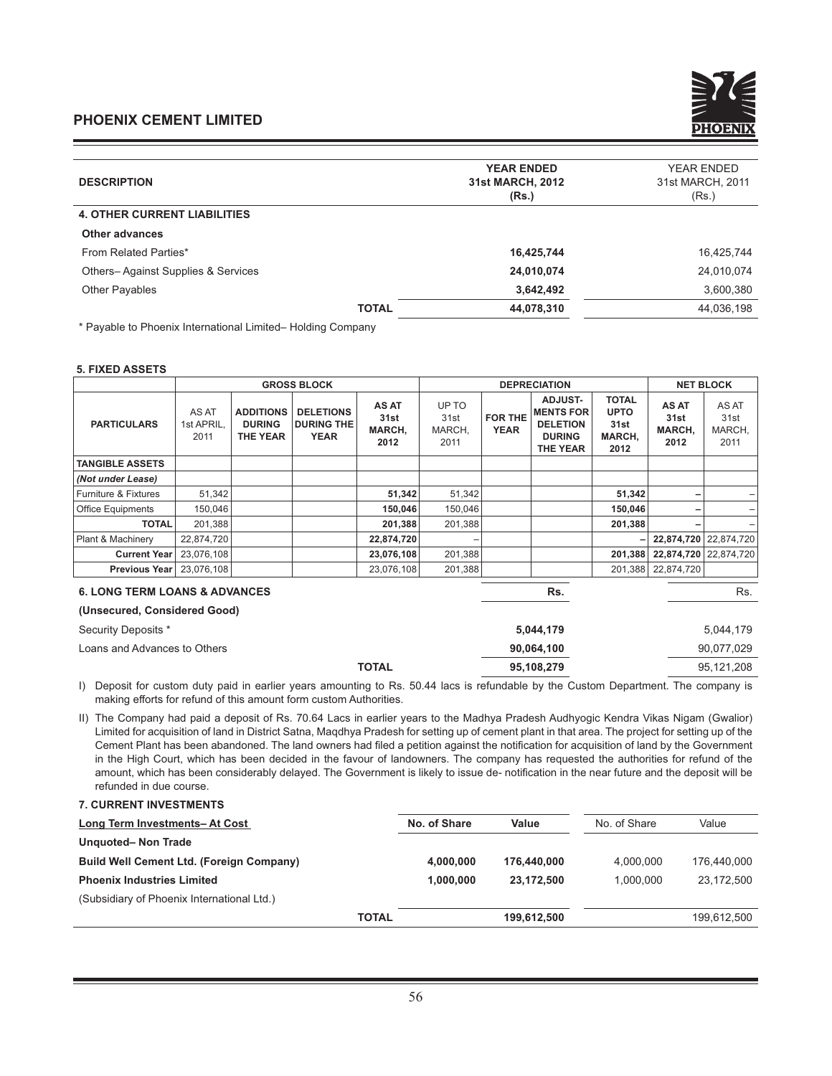| <b>DESCRIPTION</b>                  | <b>YEAR ENDED</b><br><b>31st MARCH, 2012</b><br>(Rs.) | <b>YEAR ENDED</b><br>31st MARCH, 2011<br>(Rs.) |
|-------------------------------------|-------------------------------------------------------|------------------------------------------------|
| <b>4. OTHER CURRENT LIABILITIES</b> |                                                       |                                                |
| Other advances                      |                                                       |                                                |
| From Related Parties*               | 16,425,744                                            | 16,425,744                                     |
| Others-Against Supplies & Services  | 24,010,074                                            | 24,010,074                                     |
| <b>Other Payables</b>               | 3,642,492                                             | 3,600,380                                      |
| <b>TOTAL</b>                        | 44,078,310                                            | 44,036,198                                     |
|                                     |                                                       |                                                |

\* Payable to Phoenix International Limited– Holding Company

#### **5. FIXED ASSETS**

|                                                                          |                             |                                                      | <b>GROSS BLOCK</b>                                   |                                 |                                 |                        | <b>DEPRECIATION</b>                                                                       |                                                       |                                 | <b>NET BLOCK</b>                |
|--------------------------------------------------------------------------|-----------------------------|------------------------------------------------------|------------------------------------------------------|---------------------------------|---------------------------------|------------------------|-------------------------------------------------------------------------------------------|-------------------------------------------------------|---------------------------------|---------------------------------|
| <b>PARTICULARS</b>                                                       | AS AT<br>1st APRIL,<br>2011 | <b>ADDITIONS</b><br><b>DURING</b><br><b>THE YEAR</b> | <b>DELETIONS</b><br><b>DURING THE</b><br><b>YEAR</b> | AS AT<br>31st<br>MARCH,<br>2012 | UP TO<br>31st<br>MARCH,<br>2011 | FOR THE<br><b>YEAR</b> | <b>ADJUST-</b><br><b>MENTS FOR</b><br><b>DELETION</b><br><b>DURING</b><br><b>THE YEAR</b> | <b>TOTAL</b><br><b>UPTO</b><br>31st<br>MARCH,<br>2012 | AS AT<br>31st<br>MARCH,<br>2012 | AS AT<br>31st<br>MARCH,<br>2011 |
| <b>TANGIBLE ASSETS</b>                                                   |                             |                                                      |                                                      |                                 |                                 |                        |                                                                                           |                                                       |                                 |                                 |
| (Not under Lease)                                                        |                             |                                                      |                                                      |                                 |                                 |                        |                                                                                           |                                                       |                                 |                                 |
| Furniture & Fixtures                                                     | 51,342                      |                                                      |                                                      | 51,342                          | 51,342                          |                        |                                                                                           | 51,342                                                |                                 |                                 |
| Office Equipments                                                        | 150,046                     |                                                      |                                                      | 150,046                         | 150,046                         |                        |                                                                                           | 150,046                                               |                                 |                                 |
| <b>TOTAL</b>                                                             | 201,388                     |                                                      |                                                      | 201,388                         | 201,388                         |                        |                                                                                           | 201,388                                               |                                 |                                 |
| Plant & Machinery                                                        | 22,874,720                  |                                                      |                                                      | 22,874,720                      |                                 |                        |                                                                                           |                                                       |                                 | 22,874,720 22,874,720           |
| <b>Current Year</b>                                                      | 23,076,108                  |                                                      |                                                      | 23,076,108                      | 201,388                         |                        |                                                                                           | 201,388                                               | 22,874,720 22,874,720           |                                 |
| Previous Year                                                            | 23,076,108                  |                                                      |                                                      | 23,076,108                      | 201,388                         |                        |                                                                                           | 201,388                                               | 22,874,720                      |                                 |
| <b>6. LONG TERM LOANS &amp; ADVANCES</b><br>(Unsecured, Considered Good) |                             |                                                      |                                                      |                                 |                                 |                        | Rs.                                                                                       |                                                       |                                 | Rs.                             |
| Security Deposits *                                                      |                             |                                                      |                                                      |                                 |                                 |                        | 5,044,179                                                                                 |                                                       |                                 | 5,044,179                       |
| Loans and Advances to Others                                             |                             |                                                      |                                                      |                                 |                                 |                        | 90,064,100                                                                                |                                                       |                                 | 90,077,029                      |
|                                                                          |                             |                                                      |                                                      | <b>TOTAL</b>                    |                                 |                        | 95,108,279                                                                                |                                                       |                                 | 95,121,208                      |

I) Deposit for custom duty paid in earlier years amounting to Rs. 50.44 lacs is refundable by the Custom Department. The company is making efforts for refund of this amount form custom Authorities.

II) The Company had paid a deposit of Rs. 70.64 Lacs in earlier years to the Madhya Pradesh Audhyogic Kendra Vikas Nigam (Gwalior) Limited for acquisition of land in District Satna, Maqdhya Pradesh for setting up of cement plant in that area. The project for setting up of the Cement Plant has been abandoned. The land owners had filed a petition against the notification for acquisition of land by the Government in the High Court, which has been decided in the favour of landowners. The company has requested the authorities for refund of the amount, which has been considerably delayed. The Government is likely to issue de- notification in the near future and the deposit will be refunded in due course.

#### **7. CURRENT INVESTMENTS**

| No. of Share | Value       | No. of Share | Value       |
|--------------|-------------|--------------|-------------|
|              |             |              |             |
| 4.000.000    | 176,440,000 | 4.000.000    | 176.440.000 |
| 1.000.000    | 23,172,500  | 1.000.000    | 23,172,500  |
|              |             |              |             |
| <b>TOTAL</b> | 199.612.500 |              | 199.612.500 |
|              |             |              |             |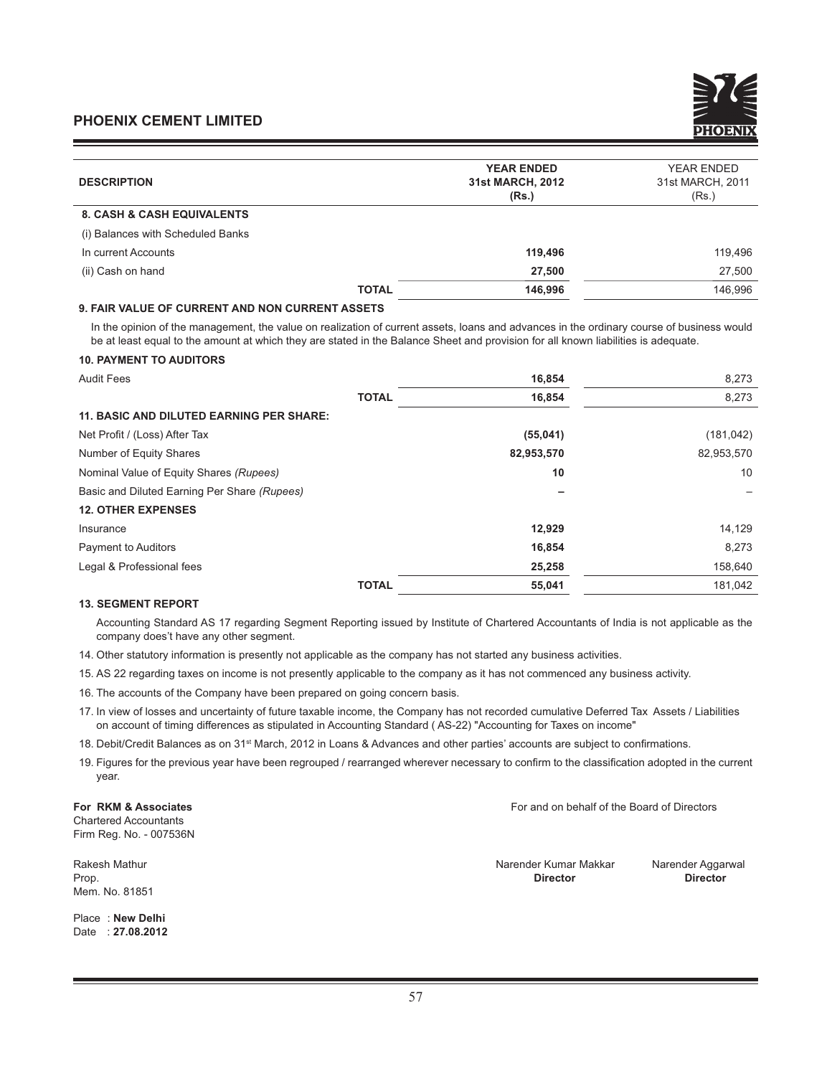| <b>DESCRIPTION</b>                    | <b>YEAR ENDED</b><br>31st MARCH, 2012<br>(Rs.) | <b>YEAR ENDED</b><br>31st MARCH, 2011<br>(Rs.) |
|---------------------------------------|------------------------------------------------|------------------------------------------------|
| <b>8. CASH &amp; CASH EQUIVALENTS</b> |                                                |                                                |
| (i) Balances with Scheduled Banks     |                                                |                                                |
| In current Accounts                   | 119,496                                        | 119,496                                        |
| (ii) Cash on hand                     | 27,500                                         | 27,500                                         |
| <b>TOTAL</b>                          | 146,996                                        | 146.996                                        |

#### **9. FAIR VALUE OF CURRENT AND NON CURRENT ASSETS**

In the opinion of the management, the value on realization of current assets, loans and advances in the ordinary course of business would be at least equal to the amount at which they are stated in the Balance Sheet and provision for all known liabilities is adequate.

#### **10. PAYMENT TO AUDITORS**

| <b>Audit Fees</b>                               |              | 16,854     | 8,273      |
|-------------------------------------------------|--------------|------------|------------|
|                                                 | <b>TOTAL</b> | 16,854     | 8,273      |
| <b>11. BASIC AND DILUTED EARNING PER SHARE:</b> |              |            |            |
| Net Profit / (Loss) After Tax                   |              | (55,041)   | (181, 042) |
| Number of Equity Shares                         |              | 82,953,570 | 82,953,570 |
| Nominal Value of Equity Shares (Rupees)         |              | 10         | 10         |
| Basic and Diluted Earning Per Share (Rupees)    |              |            |            |
| <b>12. OTHER EXPENSES</b>                       |              |            |            |
| Insurance                                       |              | 12,929     | 14,129     |
| <b>Payment to Auditors</b>                      |              | 16,854     | 8,273      |
| Legal & Professional fees                       |              | 25,258     | 158,640    |
|                                                 | <b>TOTAL</b> | 55,041     | 181.042    |

#### **13. SEGMENT REPORT**

Accounting Standard AS 17 regarding Segment Reporting issued by Institute of Chartered Accountants of India is not applicable as the company does't have any other segment.

14. Other statutory information is presently not applicable as the company has not started any business activities.

15. AS 22 regarding taxes on income is not presently applicable to the company as it has not commenced any business activity.

- 16. The accounts of the Company have been prepared on going concern basis.
- 17. In view of losses and uncertainty of future taxable income, the Company has not recorded cumulative Deferred Tax Assets / Liabilities on account of timing differences as stipulated in Accounting Standard ( AS-22) "Accounting for Taxes on income"
- 18. Debit/Credit Balances as on 31<sup>st</sup> March, 2012 in Loans & Advances and other parties' accounts are subject to confirmations.
- 19. Figures for the previous year have been regrouped / rearranged wherever necessary to confirm to the classification adopted in the current year.

**For RKM & Associates** For and on behalf of the Board of Directors Chartered Accountants Firm Reg. No. - 007536N

Mem. No. 81851

Place : **New Delhi** Date : **27.08.2012**

Rakesh Mathur Narender Kumar Makkar Narender Aggarwal Prop. **Director Director**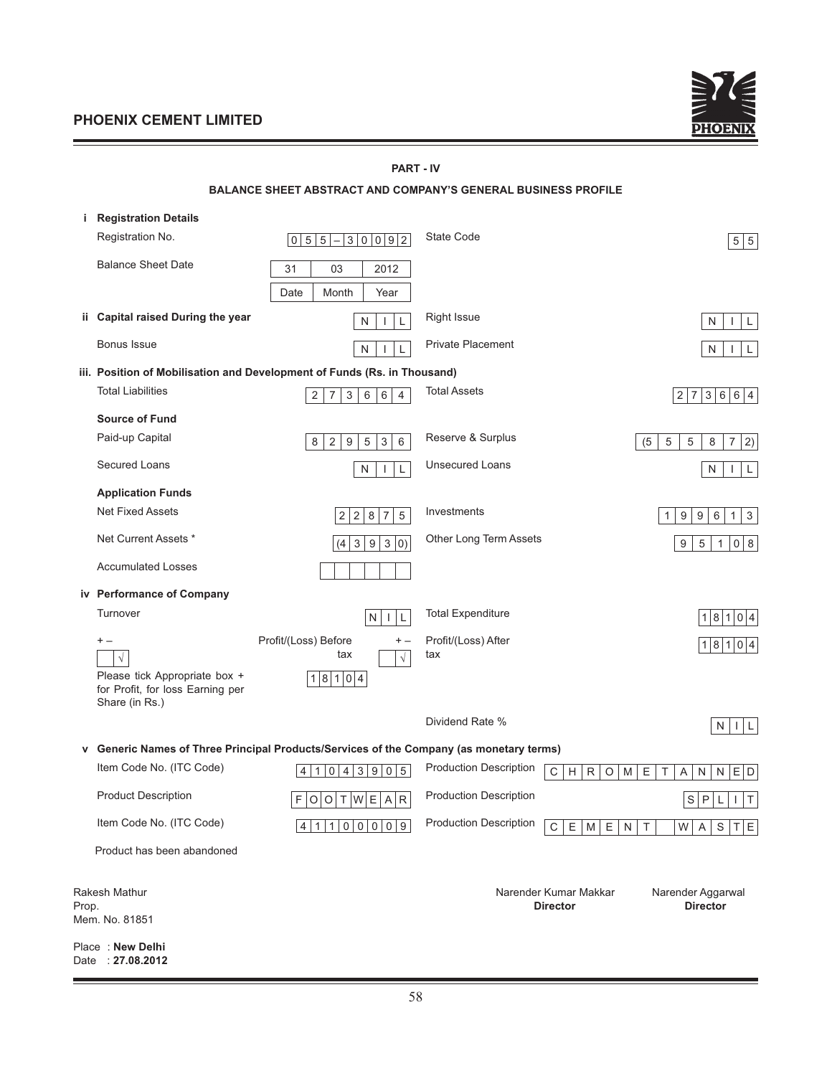<u> The Common Section of the Common Section of</u>



#### **PART - IV**

|       |                                                                                     | <b>BALANCE SHEET ABSTRACT AND COMPANY'S GENERAL BUSINESS PROFILE</b>                    |                               |                                                 |                                                                                               |
|-------|-------------------------------------------------------------------------------------|-----------------------------------------------------------------------------------------|-------------------------------|-------------------------------------------------|-----------------------------------------------------------------------------------------------|
| i.    | <b>Registration Details</b>                                                         |                                                                                         |                               |                                                 |                                                                                               |
|       | Registration No.                                                                    | 0 5 5<br>30092<br>$\qquad \qquad -$                                                     | <b>State Code</b>             |                                                 | 5 5                                                                                           |
|       | <b>Balance Sheet Date</b>                                                           | 31<br>03<br>2012                                                                        |                               |                                                 |                                                                                               |
|       |                                                                                     | Date<br>Month<br>Year                                                                   |                               |                                                 |                                                                                               |
|       | ii Capital raised During the year                                                   | $\mathsf{L}$<br>N<br>$\mathbf{I}$                                                       | <b>Right Issue</b>            |                                                 | N<br>L<br>J.                                                                                  |
|       | Bonus Issue                                                                         | $\mathsf{N}$<br>L<br>$\mathbf{I}$                                                       | <b>Private Placement</b>      |                                                 | N<br>$\mathbf{I}$<br>L                                                                        |
|       |                                                                                     | iii. Position of Mobilisation and Development of Funds (Rs. in Thousand)                |                               |                                                 |                                                                                               |
|       | <b>Total Liabilities</b>                                                            | 2<br>7<br>3<br>6<br>$\overline{4}$<br>6                                                 | <b>Total Assets</b>           |                                                 | $\overline{7}$<br>3 6<br>6 4<br>$\vert$ 2                                                     |
|       | <b>Source of Fund</b>                                                               |                                                                                         |                               |                                                 |                                                                                               |
|       | Paid-up Capital                                                                     | $\sqrt{3}$<br>6<br>$\overline{2}$<br>9<br>5<br>8                                        | Reserve & Surplus             |                                                 | (5)<br>$\sqrt{5}$<br>5<br>8<br>7<br>2)                                                        |
|       | Secured Loans                                                                       | N<br>L<br><b>I</b>                                                                      | <b>Unsecured Loans</b>        |                                                 | N<br>L                                                                                        |
|       | <b>Application Funds</b>                                                            |                                                                                         |                               |                                                 |                                                                                               |
|       | <b>Net Fixed Assets</b>                                                             | $\,8\,$<br>$\overline{7}$<br>$\sqrt{5}$<br>2<br>$\sqrt{2}$                              | Investments                   |                                                 | $\ensuremath{\mathsf{3}}$<br>$9\,$<br>9<br>6<br>$\mathbf{1}$<br>$\mathbf{1}$                  |
|       | Net Current Assets *                                                                | 9<br>$\sqrt{3}$<br>(4)<br>$\mathbf{3}$<br> 0)                                           | Other Long Term Assets        |                                                 | $\sqrt{5}$<br>8<br>9<br>0<br>1                                                                |
|       | <b>Accumulated Losses</b>                                                           |                                                                                         |                               |                                                 |                                                                                               |
|       | iv Performance of Company                                                           |                                                                                         |                               |                                                 |                                                                                               |
|       | Turnover                                                                            | N<br>L<br>$\mathbf{I}$                                                                  | <b>Total Expenditure</b>      |                                                 | 1 8 1<br> 0 4                                                                                 |
|       | $+ -$                                                                               | Profit/(Loss) Before<br>$+ -$<br>tax<br>$\sqrt{}$                                       | Profit/(Loss) After<br>tax    |                                                 | 1 8 1 0 4                                                                                     |
|       | Please tick Appropriate box +<br>for Profit, for loss Earning per<br>Share (in Rs.) | 18104                                                                                   |                               |                                                 |                                                                                               |
|       |                                                                                     |                                                                                         | Dividend Rate %               |                                                 | N<br>$  \cdot  $ L                                                                            |
|       |                                                                                     | v Generic Names of Three Principal Products/Services of the Company (as monetary terms) |                               |                                                 |                                                                                               |
|       | Item Code No. (ITC Code)                                                            | 4 1 0 4 3 9 0 5                                                                         | <b>Production Description</b> | $\mathsf C$<br>$\mathsf H$<br>R<br>$\circ$<br>M | $\mathsf{E}% _{\mathsf{H}}\left( \mathsf{E}\right)$<br>$E$ D<br>$\top$<br>N<br>${\sf N}$<br>A |
|       | <b>Product Description</b>                                                          | F<br> W E A R<br>$\circ$<br>O<br>$\top$                                                 | <b>Production Description</b> |                                                 | $\mathbb S$<br>$\mathsf{P}$<br>Τ<br>L                                                         |
|       | Item Code No. (ITC Code)                                                            | 4 1 1 0 0 0 0 9                                                                         | <b>Production Description</b> | $\mathbf C$<br>E<br>M<br>E<br>$\mathsf{N}$      | $\mathsf S$<br>T E <br>T<br>W<br>A                                                            |
|       | Product has been abandoned                                                          |                                                                                         |                               |                                                 |                                                                                               |
| Prop. | Rakesh Mathur<br>Mem. No. 81851                                                     |                                                                                         |                               | Narender Kumar Makkar<br><b>Director</b>        | Narender Aggarwal<br><b>Director</b>                                                          |
|       |                                                                                     |                                                                                         |                               |                                                 |                                                                                               |

Place : **New Delhi** Date : **27.08.2012**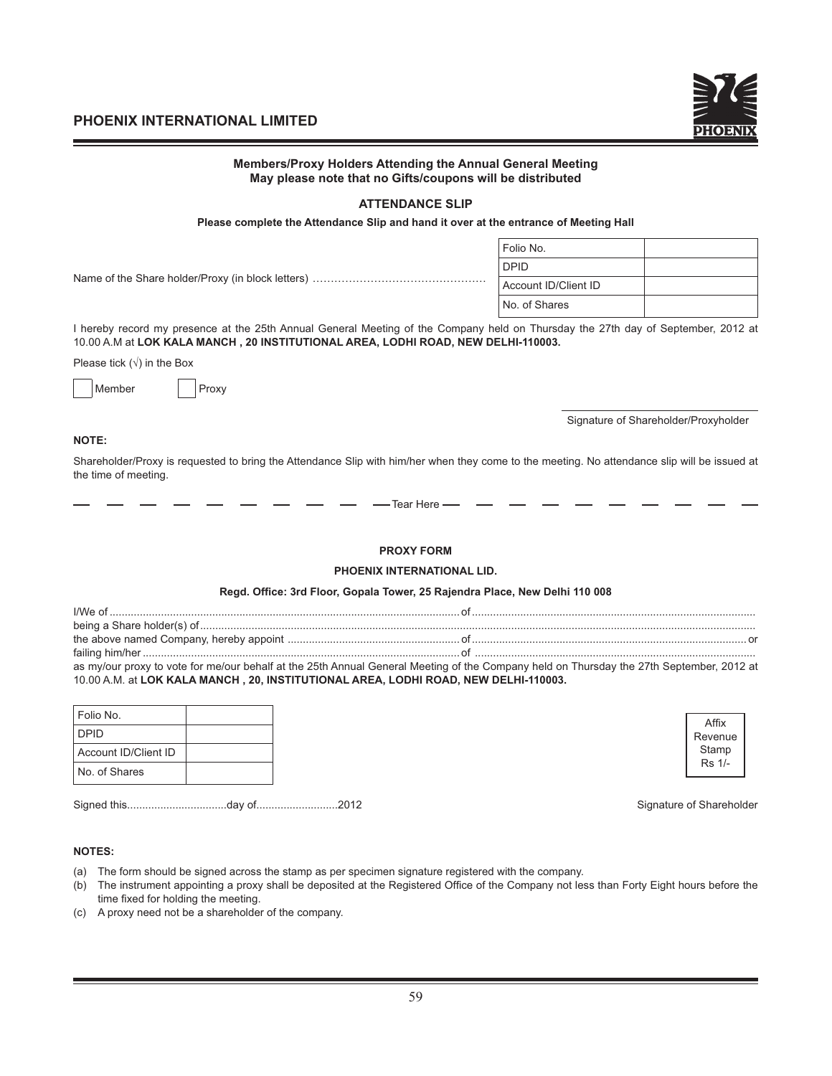

|                                                                                                                                                                                                                                 | Members/Proxy Holders Attending the Annual General Meeting<br>May please note that no Gifts/coupons will be distributed |                                      |
|---------------------------------------------------------------------------------------------------------------------------------------------------------------------------------------------------------------------------------|-------------------------------------------------------------------------------------------------------------------------|--------------------------------------|
|                                                                                                                                                                                                                                 | <b>ATTENDANCE SLIP</b>                                                                                                  |                                      |
|                                                                                                                                                                                                                                 | Please complete the Attendance Slip and hand it over at the entrance of Meeting Hall                                    |                                      |
|                                                                                                                                                                                                                                 | Folio No.                                                                                                               |                                      |
|                                                                                                                                                                                                                                 | <b>DPID</b>                                                                                                             |                                      |
|                                                                                                                                                                                                                                 | Account ID/Client ID                                                                                                    |                                      |
|                                                                                                                                                                                                                                 | No. of Shares                                                                                                           |                                      |
| I hereby record my presence at the 25th Annual General Meeting of the Company held on Thursday the 27th day of September, 2012 at<br>10.00 A.M at LOK KALA MANCH, 20 INSTITUTIONAL AREA, LODHI ROAD, NEW DELHI-110003.          |                                                                                                                         |                                      |
| Please tick $(\sqrt{})$ in the Box                                                                                                                                                                                              |                                                                                                                         |                                      |
| Member<br>Proxy                                                                                                                                                                                                                 |                                                                                                                         |                                      |
|                                                                                                                                                                                                                                 |                                                                                                                         | Signature of Shareholder/Proxyholder |
| <b>NOTE:</b><br>Shareholder/Proxy is requested to bring the Attendance Slip with him/her when they come to the meeting. No attendance slip will be issued at                                                                    |                                                                                                                         |                                      |
| the time of meeting.                                                                                                                                                                                                            |                                                                                                                         |                                      |
|                                                                                                                                                                                                                                 | - Tear Here -                                                                                                           |                                      |
|                                                                                                                                                                                                                                 | <b>PROXY FORM</b>                                                                                                       |                                      |
|                                                                                                                                                                                                                                 | PHOENIX INTERNATIONAL LID.                                                                                              |                                      |
|                                                                                                                                                                                                                                 | Regd. Office: 3rd Floor, Gopala Tower, 25 Rajendra Place, New Delhi 110 008                                             |                                      |
|                                                                                                                                                                                                                                 |                                                                                                                         |                                      |
|                                                                                                                                                                                                                                 |                                                                                                                         |                                      |
|                                                                                                                                                                                                                                 |                                                                                                                         |                                      |
| as my/our proxy to vote for me/our behalf at the 25th Annual General Meeting of the Company held on Thursday the 27th September, 2012 at<br>10.00 A.M. at LOK KALA MANCH, 20, INSTITUTIONAL AREA, LODHI ROAD, NEW DELHI-110003. |                                                                                                                         |                                      |
| Folio No.                                                                                                                                                                                                                       |                                                                                                                         |                                      |
|                                                                                                                                                                                                                                 |                                                                                                                         | Affix                                |

| I Folio No.          |  |
|----------------------|--|
| l DPID               |  |
| Account ID/Client ID |  |
| No. of Shares        |  |

Signed this.................................day of...........................2012 Signature of Shareholder

Revenue Stamp Rs 1/-

#### **NOTES:**

- (a) The form should be signed across the stamp as per specimen signature registered with the company.
- (b) The instrument appointing a proxy shall be deposited at the Registered Office of the Company not less than Forty Eight hours before the time fixed for holding the meeting.
- (c) A proxy need not be a shareholder of the company.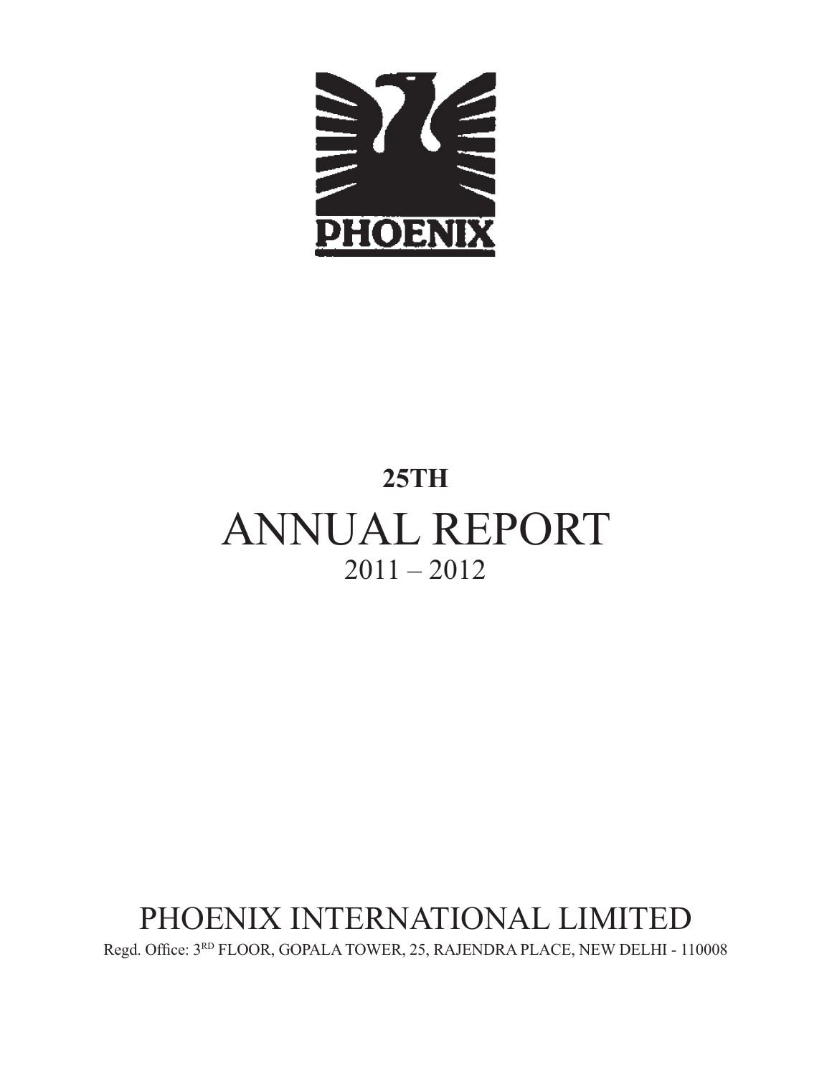

# **25TH** ANNUAL REPORT  $2011 - 2012$

# PHOENIX INTERNATIONAL LIMITED

Regd. Office:  $3^{RD}$  FLOOR, GOPALA TOWER, 25, RAJENDRA PLACE, NEW DELHI - 110008